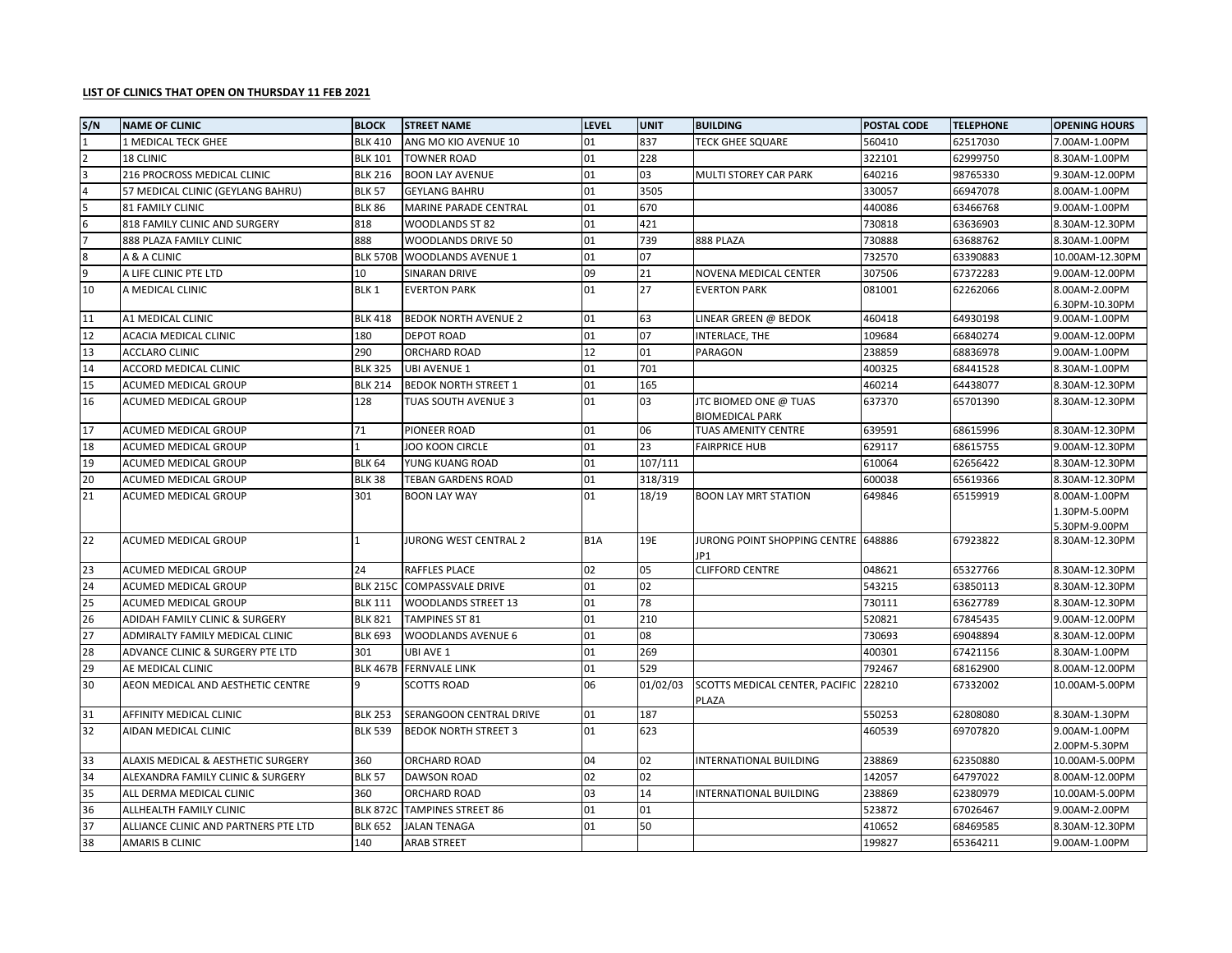## **LIST OF CLINICS THAT OPEN ON THURSDAY 11 FEB 2021**

| S/N            | <b>NAME OF CLINIC</b>                | <b>BLOCK</b>    | <b>STREET NAME</b>           | <b>LEVEL</b>     | UNIT     | <b>BUILDING</b>                            | POSTAL CODE | <b>TELEPHONE</b> | <b>OPENING HOURS</b> |
|----------------|--------------------------------------|-----------------|------------------------------|------------------|----------|--------------------------------------------|-------------|------------------|----------------------|
| $\mathbf{1}$   | 1 MEDICAL TECK GHEE                  | <b>BLK 410</b>  | ANG MO KIO AVENUE 10         | 01               | 837      | <b>TECK GHEE SQUARE</b>                    | 560410      | 62517030         | 7.00AM-1.00PM        |
| $\overline{2}$ | 18 CLINIC                            | <b>BLK 101</b>  | <b>TOWNER ROAD</b>           | 01               | 228      |                                            | 322101      | 62999750         | 8.30AM-1.00PM        |
| 3              | 216 PROCROSS MEDICAL CLINIC          | <b>BLK 216</b>  | <b>BOON LAY AVENUE</b>       | 01               | 03       | <b>MULTI STOREY CAR PARK</b>               | 640216      | 98765330         | 9.30AM-12.00PM       |
| 4              | 57 MEDICAL CLINIC (GEYLANG BAHRU)    | <b>BLK 57</b>   | <b>GEYLANG BAHRU</b>         | 01               | 3505     |                                            | 330057      | 66947078         | 8.00AM-1.00PM        |
| 5              | <b>81 FAMILY CLINIC</b>              | <b>BLK 86</b>   | MARINE PARADE CENTRAL        | 01               | 670      |                                            | 440086      | 63466768         | 9.00AM-1.00PM        |
| 6              | 818 FAMILY CLINIC AND SURGERY        | 818             | WOODLANDS ST 82              | 01               | 421      |                                            | 730818      | 63636903         | 8.30AM-12.30PM       |
|                | 888 PLAZA FAMILY CLINIC              | 888             | WOODLANDS DRIVE 50           | 01               | 739      | 888 PLAZA                                  | 730888      | 63688762         | 8.30AM-1.00PM        |
| 8              | A & A CLINIC                         | <b>BLK 570B</b> | <b>WOODLANDS AVENUE 1</b>    | 01               | 07       |                                            | 732570      | 63390883         | 10.00AM-12.30PM      |
| q              | A LIFE CLINIC PTE LTD                | 10              | SINARAN DRIVE                | 09               | 21       | NOVENA MEDICAL CENTER                      | 307506      | 67372283         | 9.00AM-12.00PM       |
| 10             | A MEDICAL CLINIC                     | BLK 1           | <b>EVERTON PARK</b>          | 01               | 27       | <b>EVERTON PARK</b>                        | 081001      | 62262066         | 8.00AM-2.00PM        |
|                |                                      |                 |                              |                  |          |                                            |             |                  | 6.30PM-10.30PM       |
| 11             | A1 MEDICAL CLINIC                    | <b>BLK 418</b>  | <b>BEDOK NORTH AVENUE 2</b>  | 01               | 63       | LINEAR GREEN @ BEDOK                       | 460418      | 64930198         | 9.00AM-1.00PM        |
| 12             | ACACIA MEDICAL CLINIC                | 180             | <b>DEPOT ROAD</b>            | 01               | 07       | INTERLACE, THE                             | 109684      | 66840274         | 9.00AM-12.00PM       |
| 13             | ACCLARO CLINIC                       | 290             | ORCHARD ROAD                 | 12               | 01       | PARAGON                                    | 238859      | 68836978         | 9.00AM-1.00PM        |
| 14             | ACCORD MEDICAL CLINIC                | <b>BLK 325</b>  | UBI AVENUE 1                 | 01               | 701      |                                            | 400325      | 68441528         | 8.30AM-1.00PM        |
| 15             | ACUMED MEDICAL GROUP                 | <b>BLK 214</b>  | <b>BEDOK NORTH STREET 1</b>  | 01               | 165      |                                            | 460214      | 64438077         | 8.30AM-12.30PM       |
| 16             | ACUMED MEDICAL GROUP                 | 128             | TUAS SOUTH AVENUE 3          | 01               | 03       | JTC BIOMED ONE @ TUAS                      | 637370      | 65701390         | 8.30AM-12.30PM       |
|                |                                      |                 |                              |                  |          | <b>BIOMEDICAL PARK</b>                     |             |                  |                      |
| 17             | ACUMED MEDICAL GROUP                 | 71              | PIONEER ROAD                 | 01               | 06       | TUAS AMENITY CENTRE                        | 639591      | 68615996         | 8.30AM-12.30PM       |
| 18             | ACUMED MEDICAL GROUP                 | 1               | JOO KOON CIRCLE              | 01               | 23       | <b>FAIRPRICE HUB</b>                       | 629117      | 68615755         | 9.00AM-12.30PM       |
| 19             | ACUMED MEDICAL GROUP                 | <b>BLK 64</b>   | YUNG KUANG ROAD              | 01               | 107/111  |                                            | 610064      | 62656422         | 8.30AM-12.30PM       |
| 20             | <b>ACUMED MEDICAL GROUP</b>          | <b>BLK 38</b>   | TEBAN GARDENS ROAD           | 01               | 318/319  |                                            | 600038      | 65619366         | 8.30AM-12.30PM       |
| 21             | ACUMED MEDICAL GROUP                 | 301             | <b>BOON LAY WAY</b>          | 01               | 18/19    | <b>BOON LAY MRT STATION</b>                | 649846      | 65159919         | 8.00AM-1.00PM        |
|                |                                      |                 |                              |                  |          |                                            |             |                  | 1.30PM-5.00PM        |
|                |                                      | $\mathbf{1}$    |                              |                  |          |                                            |             |                  | 5.30PM-9.00PM        |
| 22             | ACUMED MEDICAL GROUP                 |                 | <b>JURONG WEST CENTRAL 2</b> | B <sub>1</sub> A | 19E      | JURONG POINT SHOPPING CENTRE 648886<br>JP1 |             | 67923822         | 8.30AM-12.30PM       |
| 23             | ACUMED MEDICAL GROUP                 | 24              | RAFFLES PLACE                | 02               | 05       | <b>CLIFFORD CENTRE</b>                     | 048621      | 65327766         | 8.30AM-12.30PM       |
| 24             | ACUMED MEDICAL GROUP                 | <b>BLK 215C</b> | <b>COMPASSVALE DRIVE</b>     | 01               | 02       |                                            | 543215      | 63850113         | 8.30AM-12.30PM       |
| 25             | ACUMED MEDICAL GROUP                 | <b>BLK 111</b>  | <b>WOODLANDS STREET 13</b>   | 01               | 78       |                                            | 730111      | 63627789         | 8.30AM-12.30PM       |
| 26             | ADIDAH FAMILY CLINIC & SURGERY       | <b>BLK 821</b>  | <b>TAMPINES ST 81</b>        | 01               | 210      |                                            | 520821      | 67845435         | 9.00AM-12.00PM       |
| 27             | ADMIRALTY FAMILY MEDICAL CLINIC      | <b>BLK 693</b>  | WOODLANDS AVENUE 6           | 01               | 08       |                                            | 730693      | 69048894         | 8.30AM-12.00PM       |
| 28             | ADVANCE CLINIC & SURGERY PTE LTD     | 301             | UBI AVE 1                    | 01               | 269      |                                            | 400301      | 67421156         | 8.30AM-1.00PM        |
| 29             | AE MEDICAL CLINIC                    | <b>BLK 467B</b> | <b>FERNVALE LINK</b>         | 01               | 529      |                                            | 792467      | 68162900         | 8.00AM-12.00PM       |
| 30             | AEON MEDICAL AND AESTHETIC CENTRE    | 9               | SCOTTS ROAD                  | 06               | 01/02/03 | SCOTTS MEDICAL CENTER, PACIFIC             | 228210      | 67332002         | 10.00AM-5.00PM       |
|                |                                      |                 |                              |                  |          | <b>PLAZA</b>                               |             |                  |                      |
| 31             | AFFINITY MEDICAL CLINIC              | <b>BLK 253</b>  | SERANGOON CENTRAL DRIVE      | 01               | 187      |                                            | 550253      | 62808080         | 8.30AM-1.30PM        |
| 32             | AIDAN MEDICAL CLINIC                 | <b>BLK 539</b>  | <b>BEDOK NORTH STREET 3</b>  | 01               | 623      |                                            | 460539      | 69707820         | 9.00AM-1.00PM        |
|                |                                      |                 |                              |                  |          |                                            |             |                  | 2.00PM-5.30PM        |
| 33             | ALAXIS MEDICAL & AESTHETIC SURGERY   | 360             | ORCHARD ROAD                 | 04               | 02       | INTERNATIONAL BUILDING                     | 238869      | 62350880         | 10.00AM-5.00PM       |
| 34             | ALEXANDRA FAMILY CLINIC & SURGERY    | <b>BLK 57</b>   | <b>DAWSON ROAD</b>           | 02               | 02       |                                            | 142057      | 64797022         | 8.00AM-12.00PM       |
| 35             | ALL DERMA MEDICAL CLINIC             | 360             | ORCHARD ROAD                 | 03               | 14       | INTERNATIONAL BUILDING                     | 238869      | 62380979         | 10.00AM-5.00PM       |
| 36             | ALLHEALTH FAMILY CLINIC              | <b>BLK 872C</b> | <b>TAMPINES STREET 86</b>    | 01               | 01       |                                            | 523872      | 67026467         | 9.00AM-2.00PM        |
| 37             | ALLIANCE CLINIC AND PARTNERS PTE LTD | <b>BLK 652</b>  | <b>JALAN TENAGA</b>          | 01               | 50       |                                            | 410652      | 68469585         | 8.30AM-12.30PM       |
| 38             | <b>AMARIS B CLINIC</b>               | 140             | <b>ARAB STREET</b>           |                  |          |                                            | 199827      | 65364211         | 9.00AM-1.00PM        |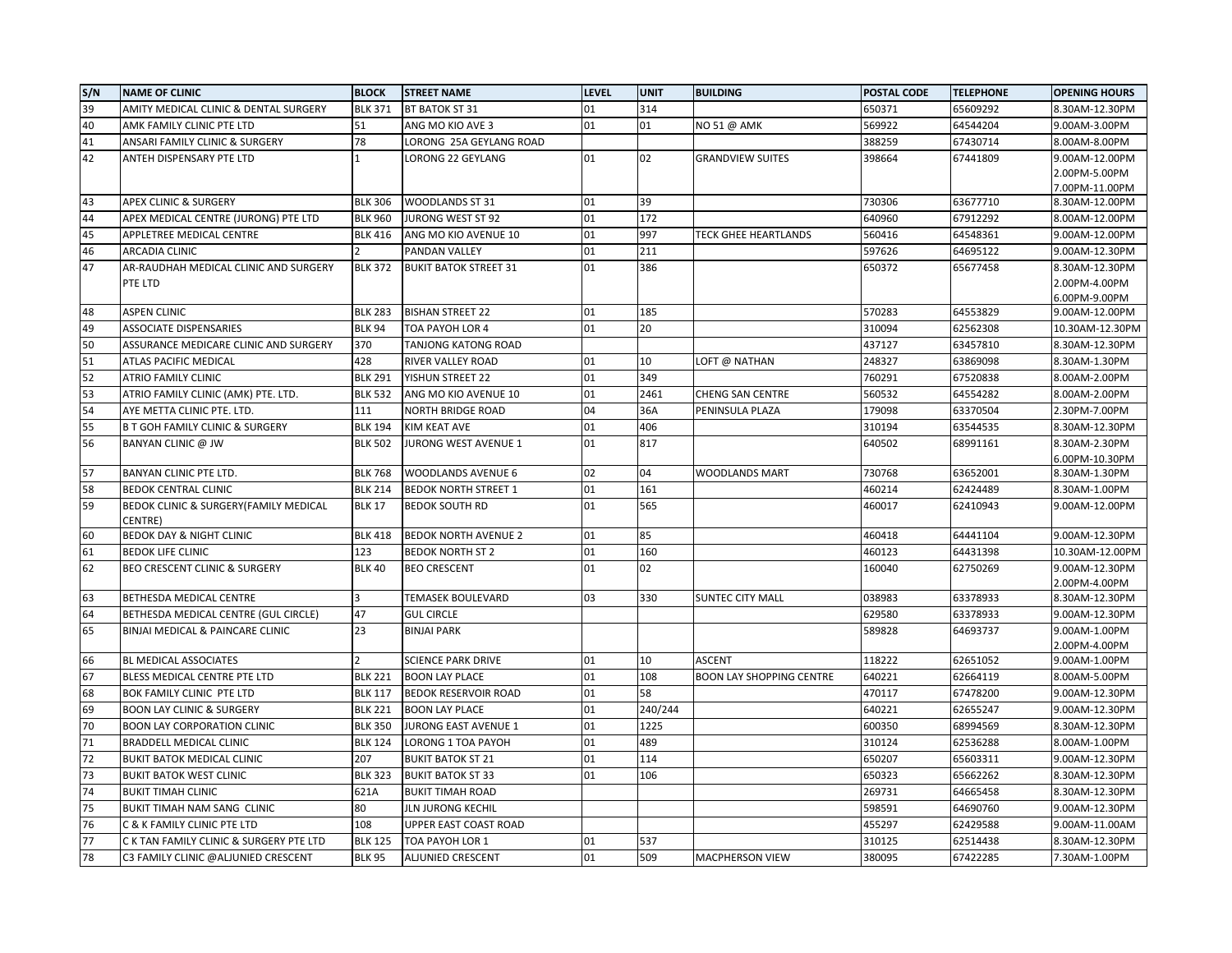| S/N      | <b>NAME OF CLINIC</b>                                                               | <b>BLOCK</b>            | <b>STREET NAME</b>                      | <b>LEVEL</b> | <b>UNIT</b> | <b>BUILDING</b>                 | <b>POSTAL CODE</b> | <b>TELEPHONE</b>     | <b>OPENING HOURS</b>           |
|----------|-------------------------------------------------------------------------------------|-------------------------|-----------------------------------------|--------------|-------------|---------------------------------|--------------------|----------------------|--------------------------------|
| 39       | AMITY MEDICAL CLINIC & DENTAL SURGERY                                               | <b>BLK 371</b>          | BT BATOK ST 31                          | 01           | 314         |                                 | 650371             | 65609292             | 8.30AM-12.30PM                 |
| 40       | AMK FAMILY CLINIC PTE LTD                                                           | 51                      | ANG MO KIO AVE 3                        | 01           | 01          | NO 51 @ AMK                     | 569922             | 64544204             | 9.00AM-3.00PM                  |
| 41       | ANSARI FAMILY CLINIC & SURGERY                                                      | 78                      | LORONG 25A GEYLANG ROAD                 |              |             |                                 | 388259             | 67430714             | 8.00AM-8.00PM                  |
| 42       | ANTEH DISPENSARY PTE LTD                                                            |                         | LORONG 22 GEYLANG                       | 01           | 02          | <b>GRANDVIEW SUITES</b>         | 398664             | 67441809             | 9.00AM-12.00PM                 |
|          |                                                                                     |                         |                                         |              |             |                                 |                    |                      | 2.00PM-5.00PM                  |
|          |                                                                                     |                         |                                         |              |             |                                 |                    |                      | 7.00PM-11.00PM                 |
| 43       | <b>APEX CLINIC &amp; SURGERY</b>                                                    | <b>BLK 306</b>          | <b>WOODLANDS ST 31</b>                  | 01           | 39          |                                 | 730306             | 63677710             | 8.30AM-12.00PM                 |
| 44       | APEX MEDICAL CENTRE (JURONG) PTE LTD                                                | <b>BLK 960</b>          | <b>JURONG WEST ST 92</b>                | 01           | 172         |                                 | 640960             | 67912292             | 8.00AM-12.00PM                 |
| 45       | APPLETREE MEDICAL CENTRE                                                            | <b>BLK 416</b>          | ANG MO KIO AVENUE 10                    | 01           | 997         | TECK GHEE HEARTLANDS            | 560416             | 64548361             | 9.00AM-12.00PM                 |
| 46       | ARCADIA CLINIC                                                                      |                         | PANDAN VALLEY                           | 01           | 211         |                                 | 597626             | 64695122             | 9.00AM-12.30PM                 |
| 47       | AR-RAUDHAH MEDICAL CLINIC AND SURGERY                                               | <b>BLK 372</b>          | <b>BUKIT BATOK STREET 31</b>            | 01           | 386         |                                 | 650372             | 65677458             | 8.30AM-12.30PM                 |
|          | PTE LTD                                                                             |                         |                                         |              |             |                                 |                    |                      | 2.00PM-4.00PM<br>6.00PM-9.00PM |
| 48       | <b>ASPEN CLINIC</b>                                                                 | <b>BLK 283</b>          | <b>BISHAN STREET 22</b>                 | 01           | 185         |                                 | 570283             | 64553829             | 9.00AM-12.00PM                 |
| 49       | <b>ASSOCIATE DISPENSARIES</b>                                                       | <b>BLK 94</b>           | TOA PAYOH LOR 4                         | 01           | 20          |                                 | 310094             | 62562308             | 10.30AM-12.30PM                |
| 50       | ASSURANCE MEDICARE CLINIC AND SURGERY                                               | 370                     | TANJONG KATONG ROAD                     |              |             |                                 | 437127             | 63457810             | 8.30AM-12.30PM                 |
| 51       | ATLAS PACIFIC MEDICAL                                                               | 428                     | RIVER VALLEY ROAD                       | 01           | 10          | LOFT @ NATHAN                   | 248327             | 63869098             | 8.30AM-1.30PM                  |
| 52       | ATRIO FAMILY CLINIC                                                                 | <b>BLK 291</b>          | YISHUN STREET 22                        | 01           | 349         |                                 | 760291             | 67520838             | 8.00AM-2.00PM                  |
| 53       | ATRIO FAMILY CLINIC (AMK) PTE. LTD.                                                 | <b>BLK 532</b>          | ANG MO KIO AVENUE 10                    | 01           | 2461        | CHENG SAN CENTRE                | 560532             | 64554282             | 8.00AM-2.00PM                  |
| 54       | AYE METTA CLINIC PTE. LTD                                                           | 111                     | <b>NORTH BRIDGE ROAD</b>                | 04           | 36A         | PENINSULA PLAZA                 | 179098             | 63370504             | 2.30PM-7.00PM                  |
| 55       | <b>B T GOH FAMILY CLINIC &amp; SURGERY</b>                                          | <b>BLK 194</b>          | KIM KEAT AVE                            | 01           | 406         |                                 | 310194             | 63544535             | 8.30AM-12.30PM                 |
| 56       | BANYAN CLINIC @ JW                                                                  | <b>BLK 502</b>          | JURONG WEST AVENUE 1                    | 01           | 817         |                                 | 640502             | 68991161             | 8.30AM-2.30PM                  |
|          |                                                                                     |                         |                                         |              |             |                                 |                    |                      | 6.00PM-10.30PM                 |
| 57       | BANYAN CLINIC PTE LTD.                                                              | <b>BLK 768</b>          | WOODLANDS AVENUE 6                      | 02           | 04          | WOODLANDS MART                  | 730768             | 63652001             | 8.30AM-1.30PM                  |
| 58       | <b>BEDOK CENTRAL CLINIC</b>                                                         | <b>BLK 214</b>          | <b>BEDOK NORTH STREET 1</b>             | 01           | 161         |                                 | 460214             | 62424489             | 8.30AM-1.00PM                  |
| 59       | BEDOK CLINIC & SURGERY(FAMILY MEDICAL                                               | <b>BLK 17</b>           | <b>BEDOK SOUTH RD</b>                   | 01           | 565         |                                 | 460017             | 62410943             | 9.00AM-12.00PM                 |
|          | CENTRE)                                                                             |                         |                                         |              |             |                                 |                    |                      |                                |
| 60       | <b>BEDOK DAY &amp; NIGHT CLINIC</b>                                                 | <b>BLK 418</b>          | <b>BEDOK NORTH AVENUE 2</b>             | 01           | 85          |                                 | 460418             | 64441104             | 9.00AM-12.30PM                 |
| 61       | <b>BEDOK LIFE CLINIC</b>                                                            | 123                     | <b>BEDOK NORTH ST 2</b>                 | 01           | 160         |                                 | 460123             | 64431398             | 10.30AM-12.00PM                |
| 62       | BEO CRESCENT CLINIC & SURGERY                                                       | <b>BLK 40</b>           | <b>BEO CRESCENT</b>                     | 01           | 02          |                                 | 160040             | 62750269             | 9.00AM-12.30PM                 |
| 63       |                                                                                     | $\overline{\mathbf{z}}$ |                                         | 03           |             |                                 |                    |                      | 2.00PM-4.00PM                  |
|          | BETHESDA MEDICAL CENTRE                                                             |                         | TEMASEK BOULEVARD                       |              | 330         | <b>SUNTEC CITY MALL</b>         | 038983             | 63378933             | 8.30AM-12.30PM                 |
| 64<br>65 | BETHESDA MEDICAL CENTRE (GUL CIRCLE)<br><b>BINJAI MEDICAL &amp; PAINCARE CLINIC</b> | 47<br>23                | <b>GUL CIRCLE</b><br><b>BINJAI PARK</b> |              |             |                                 | 629580             | 63378933<br>64693737 | 9.00AM-12.30PM                 |
|          |                                                                                     |                         |                                         |              |             |                                 | 589828             |                      | 9.00AM-1.00PM<br>2.00PM-4.00PM |
| 66       | BL MEDICAL ASSOCIATES                                                               |                         | <b>SCIENCE PARK DRIVE</b>               | 01           | 10          | <b>ASCENT</b>                   | 118222             | 62651052             | 9.00AM-1.00PM                  |
| 67       | BLESS MEDICAL CENTRE PTE LTD                                                        | <b>BLK 221</b>          | <b>BOON LAY PLACE</b>                   | 01           | 108         | <b>BOON LAY SHOPPING CENTRE</b> | 640221             | 62664119             | 8.00AM-5.00PM                  |
| 68       | BOK FAMILY CLINIC PTE LTD                                                           | <b>BLK 117</b>          | <b>BEDOK RESERVOIR ROAD</b>             | 01           | 58          |                                 | 470117             | 67478200             | 9.00AM-12.30PM                 |
| 69       | <b>BOON LAY CLINIC &amp; SURGERY</b>                                                | <b>BLK 221</b>          | <b>BOON LAY PLACE</b>                   | 01           | 240/244     |                                 | 640221             | 62655247             | 9.00AM-12.30PM                 |
| 70       | <b>BOON LAY CORPORATION CLINIC</b>                                                  | <b>BLK 350</b>          | JURONG EAST AVENUE 1                    | 01           | 1225        |                                 | 600350             | 68994569             | 8.30AM-12.30PM                 |
| 71       | <b>BRADDELL MEDICAL CLINIC</b>                                                      | <b>BLK 124</b>          | LORONG 1 TOA PAYOH                      | 01           | 489         |                                 | 310124             | 62536288             | 8.00AM-1.00PM                  |
| 72       | <b>BUKIT BATOK MEDICAL CLINIC</b>                                                   | 207                     | <b>BUKIT BATOK ST 21</b>                | 01           | 114         |                                 | 650207             | 65603311             | 9.00AM-12.30PM                 |
| 73       | <b>BUKIT BATOK WEST CLINIC</b>                                                      | <b>BLK 323</b>          | <b>BUKIT BATOK ST 33</b>                | 01           | 106         |                                 | 650323             | 65662262             | 8.30AM-12.30PM                 |
| 74       | <b>BUKIT TIMAH CLINIC</b>                                                           | 621A                    | <b>BUKIT TIMAH ROAD</b>                 |              |             |                                 | 269731             | 64665458             | 8.30AM-12.30PM                 |
| 75       | BUKIT TIMAH NAM SANG CLINIC                                                         | 80                      | JLN JURONG KECHIL                       |              |             |                                 | 598591             | 64690760             | 9.00AM-12.30PM                 |
| 76       | C & K FAMILY CLINIC PTE LTD                                                         | 108                     | UPPER EAST COAST ROAD                   |              |             |                                 | 455297             | 62429588             | 9.00AM-11.00AM                 |
| 77       | C K TAN FAMILY CLINIC & SURGERY PTE LTD                                             | <b>BLK 125</b>          | TOA PAYOH LOR 1                         | 01           | 537         |                                 | 310125             | 62514438             | 8.30AM-12.30PM                 |
| 78       | C3 FAMILY CLINIC @ALJUNIED CRESCENT                                                 | <b>BLK 95</b>           | <b>ALJUNIED CRESCENT</b>                | 01           | 509         | <b>MACPHERSON VIEW</b>          | 380095             | 67422285             | 7.30AM-1.00PM                  |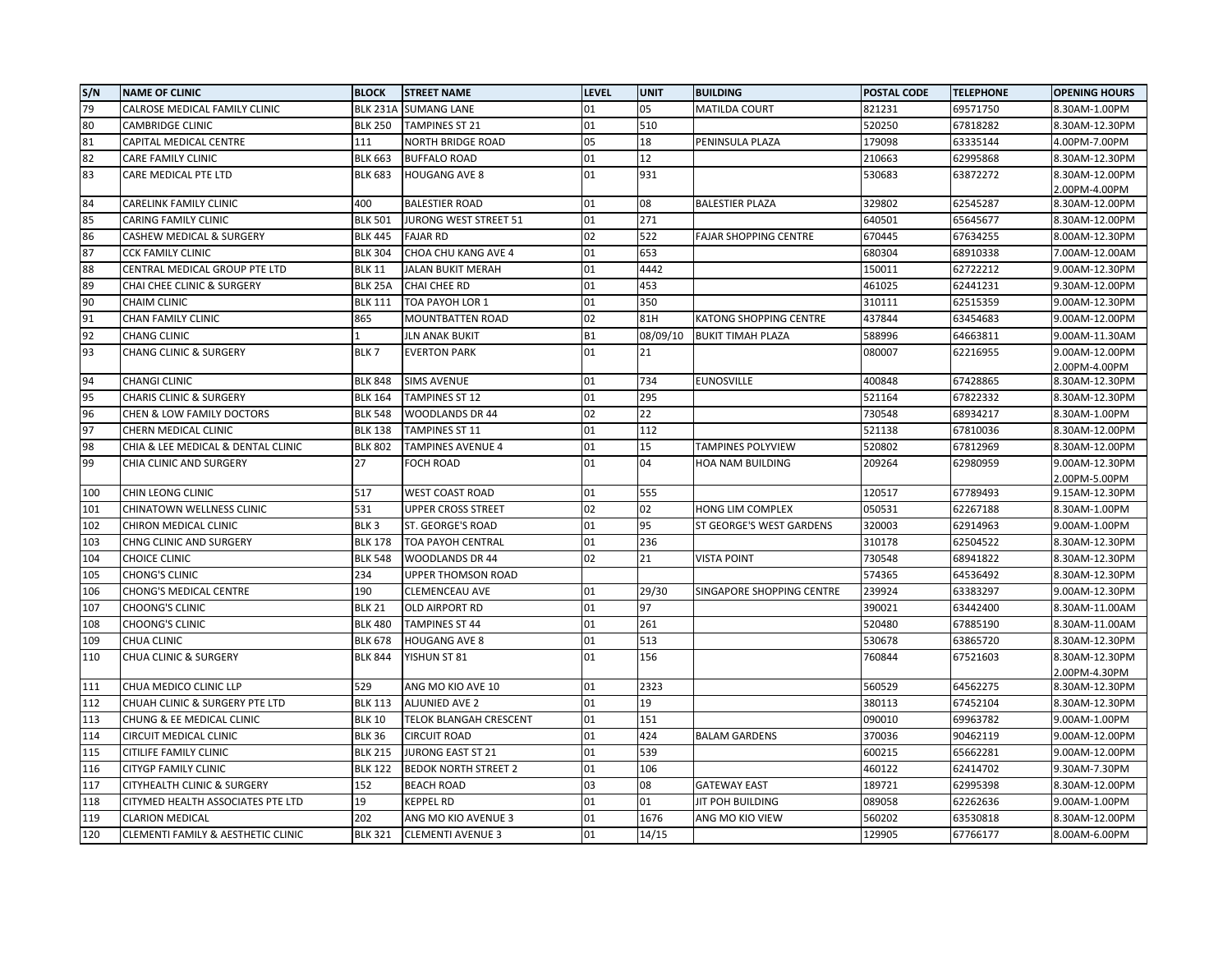| S/N | <b>NAME OF CLINIC</b>              | <b>BLOCK</b>     | <b>STREET NAME</b>          | <b>LEVEL</b> | <b>UNIT</b> | <b>BUILDING</b>              | POSTAL CODE | <b>TELEPHONE</b> | <b>OPENING HOURS</b> |
|-----|------------------------------------|------------------|-----------------------------|--------------|-------------|------------------------------|-------------|------------------|----------------------|
| 79  | CALROSE MEDICAL FAMILY CLINIC      | <b>BLK 231A</b>  | <b>SUMANG LANE</b>          | 01           | 05          | <b>MATILDA COURT</b>         | 821231      | 69571750         | 8.30AM-1.00PM        |
| 80  | CAMBRIDGE CLINIC                   | <b>BLK 250</b>   | <b>TAMPINES ST 21</b>       | 01           | 510         |                              | 520250      | 67818282         | 8.30AM-12.30PM       |
| 81  | CAPITAL MEDICAL CENTRE             | 111              | NORTH BRIDGE ROAD           | 05           | 18          | PENINSULA PLAZA              | 179098      | 63335144         | 4.00PM-7.00PM        |
| 82  | CARE FAMILY CLINIC                 | <b>BLK 663</b>   | <b>BUFFALO ROAD</b>         | 01           | 12          |                              | 210663      | 62995868         | 8.30AM-12.30PM       |
| 83  | CARE MEDICAL PTE LTD               | <b>BLK 683</b>   | <b>HOUGANG AVE 8</b>        | 01           | 931         |                              | 530683      | 63872272         | 8.30AM-12.00PM       |
|     |                                    |                  |                             |              |             |                              |             |                  | 2.00PM-4.00PM        |
| 84  | CARELINK FAMILY CLINIC             | 400              | <b>BALESTIER ROAD</b>       | 01           | 08          | <b>BALESTIER PLAZA</b>       | 329802      | 62545287         | 8.30AM-12.00PM       |
| 85  | CARING FAMILY CLINIC               | <b>BLK 501</b>   | JURONG WEST STREET 51       | 01           | 271         |                              | 640501      | 65645677         | 8.30AM-12.00PM       |
| 86  | CASHEW MEDICAL & SURGERY           | <b>BLK 445</b>   | <b>FAJAR RD</b>             | 02           | 522         | <b>FAJAR SHOPPING CENTRE</b> | 670445      | 67634255         | 8.00AM-12.30PM       |
| 87  | <b>CCK FAMILY CLINIC</b>           | <b>BLK 304</b>   | CHOA CHU KANG AVE 4         | 01           | 653         |                              | 680304      | 68910338         | 7.00AM-12.00AM       |
| 88  | CENTRAL MEDICAL GROUP PTE LTD      | <b>BLK 11</b>    | JALAN BUKIT MERAH           | 01           | 4442        |                              | 150011      | 62722212         | 9.00AM-12.30PM       |
| 89  | CHAI CHEE CLINIC & SURGERY         | <b>BLK 25A</b>   | CHAI CHEE RD                | 01           | 453         |                              | 461025      | 62441231         | 9.30AM-12.00PM       |
| 90  | <b>CHAIM CLINIC</b>                | <b>BLK 111</b>   | TOA PAYOH LOR 1             | 01           | 350         |                              | 310111      | 62515359         | 9.00AM-12.30PM       |
| 91  | CHAN FAMILY CLINIC                 | 865              | MOUNTBATTEN ROAD            | 02           | 81H         | KATONG SHOPPING CENTRE       | 437844      | 63454683         | 9.00AM-12.00PM       |
| 92  | <b>CHANG CLINIC</b>                |                  | <b>JLN ANAK BUKIT</b>       | <b>B1</b>    | 08/09/10    | <b>BUKIT TIMAH PLAZA</b>     | 588996      | 64663811         | 9.00AM-11.30AM       |
| 93  | <b>CHANG CLINIC &amp; SURGERY</b>  | BLK7             | <b>EVERTON PARK</b>         | 01           | 21          |                              | 080007      | 62216955         | 9.00AM-12.00PM       |
|     |                                    |                  |                             |              |             |                              |             |                  | 2.00PM-4.00PM        |
| 94  | <b>CHANGI CLINIC</b>               | <b>BLK 848</b>   | <b>SIMS AVENUE</b>          | 01           | 734         | <b>EUNOSVILLE</b>            | 400848      | 67428865         | 8.30AM-12.30PM       |
| 95  | <b>CHARIS CLINIC &amp; SURGERY</b> | <b>BLK 164</b>   | <b>TAMPINES ST 12</b>       | 01           | 295         |                              | 521164      | 67822332         | 8.30AM-12.30PM       |
| 96  | CHEN & LOW FAMILY DOCTORS          | <b>BLK 548</b>   | <b>WOODLANDS DR 44</b>      | 02           | 22          |                              | 730548      | 68934217         | 8.30AM-1.00PM        |
| 97  | CHERN MEDICAL CLINIC               | <b>BLK 138</b>   | TAMPINES ST 11              | 01           | 112         |                              | 521138      | 67810036         | 8.30AM-12.00PM       |
| 98  | CHIA & LEE MEDICAL & DENTAL CLINIC | <b>BLK 802</b>   | <b>TAMPINES AVENUE 4</b>    | 01           | 15          | <b>TAMPINES POLYVIEW</b>     | 520802      | 67812969         | 8.30AM-12.00PM       |
| 99  | CHIA CLINIC AND SURGERY            | 27               | <b>FOCH ROAD</b>            | 01           | 04          | HOA NAM BUILDING             | 209264      | 62980959         | 9.00AM-12.30PM       |
|     |                                    |                  |                             |              |             |                              |             |                  | 2.00PM-5.00PM        |
| 100 | CHIN LEONG CLINIC                  | 517              | WEST COAST ROAD             | 01           | 555         |                              | 120517      | 67789493         | 9.15AM-12.30PM       |
| 101 | CHINATOWN WELLNESS CLINIC          | 531              | UPPER CROSS STREET          | 02           | 02          | HONG LIM COMPLEX             | 050531      | 62267188         | 8.30AM-1.00PM        |
| 102 | CHIRON MEDICAL CLINIC              | BLK <sub>3</sub> | ST. GEORGE'S ROAD           | 01           | 95          | ST GEORGE'S WEST GARDENS     | 320003      | 62914963         | 9.00AM-1.00PM        |
| 103 | CHNG CLINIC AND SURGERY            | <b>BLK 178</b>   | TOA PAYOH CENTRAL           | 01           | 236         |                              | 310178      | 62504522         | 8.30AM-12.30PM       |
| 104 | <b>CHOICE CLINIC</b>               | <b>BLK 548</b>   | WOODLANDS DR 44             | 02           | 21          | <b>VISTA POINT</b>           | 730548      | 68941822         | 8.30AM-12.30PM       |
| 105 | <b>CHONG'S CLINIC</b>              | 234              | UPPER THOMSON ROAD          |              |             |                              | 574365      | 64536492         | 8.30AM-12.30PM       |
| 106 | CHONG'S MEDICAL CENTRE             | 190              | CLEMENCEAU AVE              | 01           | 29/30       | SINGAPORE SHOPPING CENTRE    | 239924      | 63383297         | 9.00AM-12.30PM       |
| 107 | <b>CHOONG'S CLINIC</b>             | <b>BLK 21</b>    | OLD AIRPORT RD              | 01           | 97          |                              | 390021      | 63442400         | 8.30AM-11.00AM       |
| 108 | <b>CHOONG'S CLINIC</b>             | <b>BLK 480</b>   | <b>TAMPINES ST 44</b>       | 01           | 261         |                              | 520480      | 67885190         | 8.30AM-11.00AM       |
| 109 | CHUA CLINIC                        | <b>BLK 678</b>   | <b>HOUGANG AVE 8</b>        | 01           | 513         |                              | 530678      | 63865720         | 8.30AM-12.30PM       |
| 110 | <b>CHUA CLINIC &amp; SURGERY</b>   | <b>BLK 844</b>   | YISHUN ST 81                | 01           | 156         |                              | 760844      | 67521603         | 8.30AM-12.30PM       |
|     |                                    |                  |                             |              |             |                              |             |                  | 2.00PM-4.30PM        |
| 111 | CHUA MEDICO CLINIC LLP             | 529              | ANG MO KIO AVE 10           | 01           | 2323        |                              | 560529      | 64562275         | 8.30AM-12.30PM       |
| 112 | CHUAH CLINIC & SURGERY PTE LTD     | <b>BLK 113</b>   | ALJUNIED AVE 2              | 01           | 19          |                              | 380113      | 67452104         | 8.30AM-12.30PM       |
| 113 | CHUNG & EE MEDICAL CLINIC          | <b>BLK 10</b>    | TELOK BLANGAH CRESCENT      | 01           | 151         |                              | 090010      | 69963782         | 9.00AM-1.00PM        |
| 114 | CIRCUIT MEDICAL CLINIC             | <b>BLK 36</b>    | <b>CIRCUIT ROAD</b>         | 01           | 424         | <b>BALAM GARDENS</b>         | 370036      | 90462119         | 9.00AM-12.00PM       |
| 115 | CITILIFE FAMILY CLINIC             | <b>BLK 215</b>   | JURONG EAST ST 21           | 01           | 539         |                              | 600215      | 65662281         | 9.00AM-12.00PM       |
| 116 | <b>CITYGP FAMILY CLINIC</b>        | <b>BLK 122</b>   | <b>BEDOK NORTH STREET 2</b> | 01           | 106         |                              | 460122      | 62414702         | 9.30AM-7.30PM        |
| 117 | CITYHEALTH CLINIC & SURGERY        | 152              | <b>BEACH ROAD</b>           | 03           | 08          | <b>GATEWAY EAST</b>          | 189721      | 62995398         | 8.30AM-12.00PM       |
| 118 | CITYMED HEALTH ASSOCIATES PTE LTD  | 19               | KEPPEL RD                   | 01           | 01          | JIT POH BUILDING             | 089058      | 62262636         | 9.00AM-1.00PM        |
| 119 | <b>CLARION MEDICAL</b>             | 202              | ANG MO KIO AVENUE 3         | 01           | 1676        | ANG MO KIO VIEW              | 560202      | 63530818         | 8.30AM-12.00PM       |
| 120 | CLEMENTI FAMILY & AESTHETIC CLINIC | <b>BLK 321</b>   | <b>CLEMENTI AVENUE 3</b>    | 01           | 14/15       |                              | 129905      | 67766177         | 8.00AM-6.00PM        |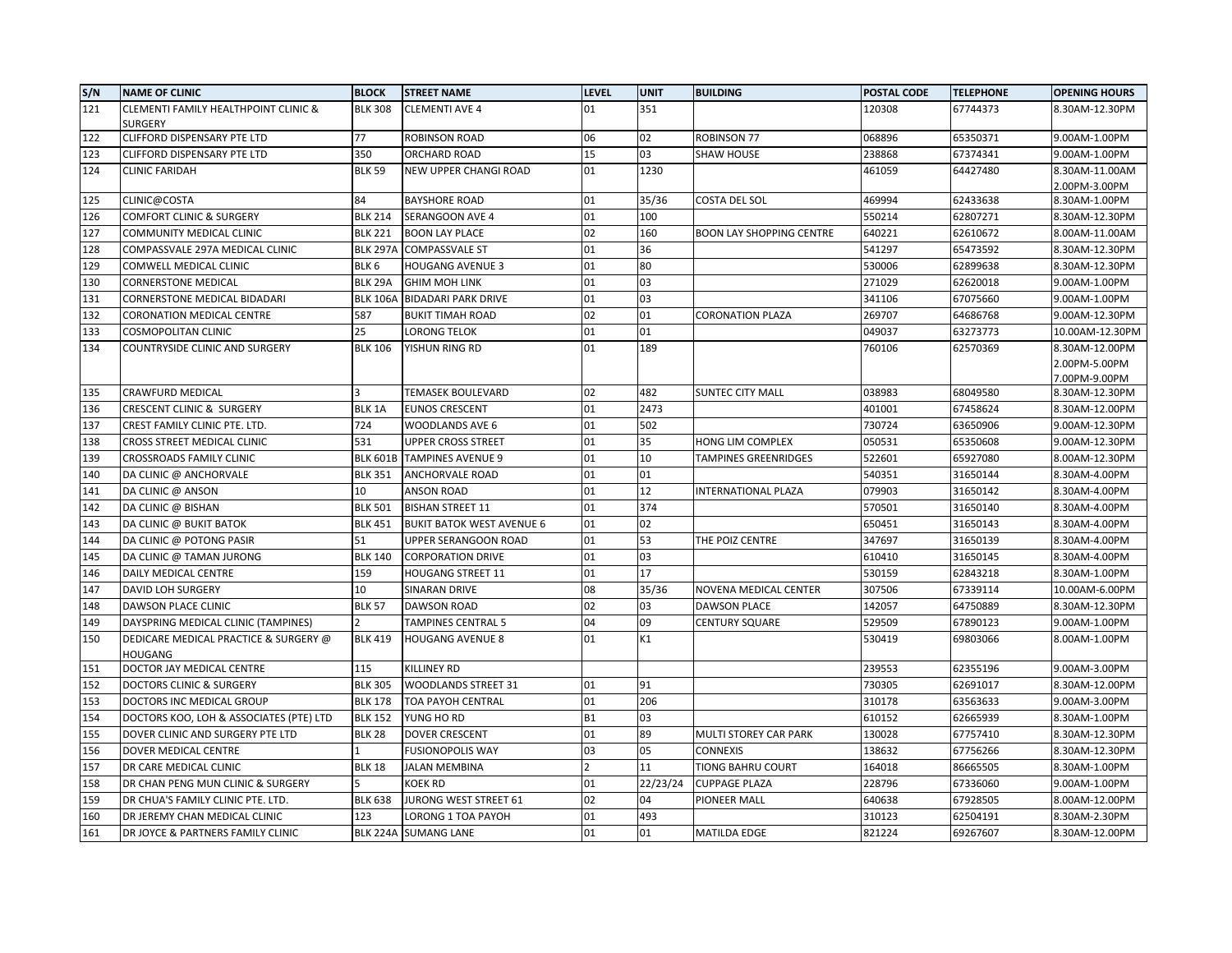| S/N | <b>NAME OF CLINIC</b>                                   | <b>BLOCK</b>     | <b>STREET NAME</b>               | <b>LEVEL</b> | <b>UNIT</b> | <b>BUILDING</b>                 | POSTAL CODE | <b>TELEPHONE</b> | <b>OPENING HOURS</b> |
|-----|---------------------------------------------------------|------------------|----------------------------------|--------------|-------------|---------------------------------|-------------|------------------|----------------------|
| 121 | CLEMENTI FAMILY HEALTHPOINT CLINIC &                    | <b>BLK 308</b>   | <b>CLEMENTI AVE 4</b>            | 01           | 351         |                                 | 120308      | 67744373         | 8.30AM-12.30PM       |
|     | SURGERY                                                 |                  |                                  |              |             |                                 |             |                  |                      |
| 122 | CLIFFORD DISPENSARY PTE LTD                             | 77               | ROBINSON ROAD                    | 06           | 02          | <b>ROBINSON 77</b>              | 068896      | 65350371         | 9.00AM-1.00PM        |
| 123 | CLIFFORD DISPENSARY PTE LTD                             | 350              | ORCHARD ROAD                     | 15           | 03          | <b>SHAW HOUSE</b>               | 238868      | 67374341         | 9.00AM-1.00PM        |
| 124 | <b>CLINIC FARIDAH</b>                                   | <b>BLK 59</b>    | NEW UPPER CHANGI ROAD            | 01           | 1230        |                                 | 461059      | 64427480         | 8.30AM-11.00AM       |
|     |                                                         |                  |                                  |              |             |                                 |             |                  | 2.00PM-3.00PM        |
| 125 | CLINIC@COSTA                                            | 84               | <b>BAYSHORE ROAD</b>             | 01           | 35/36       | <b>COSTA DEL SOL</b>            | 469994      | 62433638         | 8.30AM-1.00PM        |
| 126 | COMFORT CLINIC & SURGERY                                | <b>BLK 214</b>   | SERANGOON AVE 4                  | 01           | 100         |                                 | 550214      | 62807271         | 8.30AM-12.30PM       |
| 127 | COMMUNITY MEDICAL CLINIC                                | <b>BLK 221</b>   | <b>BOON LAY PLACE</b>            | 02           | 160         | <b>BOON LAY SHOPPING CENTRE</b> | 640221      | 62610672         | 8.00AM-11.00AM       |
| 128 | COMPASSVALE 297A MEDICAL CLINIC                         | <b>BLK 297A</b>  | <b>COMPASSVALE ST</b>            | 01           | 36          |                                 | 541297      | 65473592         | 8.30AM-12.30PM       |
| 129 | COMWELL MEDICAL CLINIC                                  | BLK <sub>6</sub> | <b>HOUGANG AVENUE 3</b>          | 01           | 80          |                                 | 530006      | 62899638         | 8.30AM-12.30PM       |
| 130 | <b>CORNERSTONE MEDICAL</b>                              | BLK 29A          | <b>GHIM MOH LINK</b>             | 01           | 03          |                                 | 271029      | 62620018         | 9.00AM-1.00PM        |
| 131 | CORNERSTONE MEDICAL BIDADARI                            | <b>BLK 106A</b>  | <b>BIDADARI PARK DRIVE</b>       | 01           | 03          |                                 | 341106      | 67075660         | 9.00AM-1.00PM        |
| 132 | CORONATION MEDICAL CENTRE                               | 587              | <b>BUKIT TIMAH ROAD</b>          | 02           | 01          | <b>CORONATION PLAZA</b>         | 269707      | 64686768         | 9.00AM-12.30PM       |
| 133 | <b>COSMOPOLITAN CLINIC</b>                              | 25               | LORONG TELOK                     | 01           | 01          |                                 | 049037      | 63273773         | 10.00AM-12.30PM      |
| 134 | COUNTRYSIDE CLINIC AND SURGERY                          | <b>BLK 106</b>   | YISHUN RING RD                   | 01           | 189         |                                 | 760106      | 62570369         | 8.30AM-12.00PM       |
|     |                                                         |                  |                                  |              |             |                                 |             |                  | 2.00PM-5.00PM        |
|     |                                                         |                  |                                  |              |             |                                 |             |                  | 7.00PM-9.00PM        |
| 135 | <b>CRAWFURD MEDICAL</b>                                 |                  | TEMASEK BOULEVARD                | 02           | 482         | <b>SUNTEC CITY MALL</b>         | 038983      | 68049580         | 8.30AM-12.30PM       |
| 136 | <b>CRESCENT CLINIC &amp; SURGERY</b>                    | BLK 1A           | <b>EUNOS CRESCENT</b>            | 01           | 2473        |                                 | 401001      | 67458624         | 8.30AM-12.00PM       |
| 137 | CREST FAMILY CLINIC PTE. LTD.                           | 724              | WOODLANDS AVE 6                  | 01           | 502         |                                 | 730724      | 63650906         | 9.00AM-12.30PM       |
| 138 | CROSS STREET MEDICAL CLINIC                             | 531              | UPPER CROSS STREET               | 01           | 35          | HONG LIM COMPLEX                | 050531      | 65350608         | 9.00AM-12.30PM       |
| 139 | <b>CROSSROADS FAMILY CLINIC</b>                         | <b>BLK 601B</b>  | <b>TAMPINES AVENUE 9</b>         | 01           | 10          | <b>TAMPINES GREENRIDGES</b>     | 522601      | 65927080         | 8.00AM-12.30PM       |
| 140 | DA CLINIC @ ANCHORVALE                                  | <b>BLK 351</b>   | ANCHORVALE ROAD                  | 01           | 01          |                                 | 540351      | 31650144         | 8.30AM-4.00PM        |
| 141 | DA CLINIC @ ANSON                                       | 10               | ANSON ROAD                       | 01           | 12          | <b>INTERNATIONAL PLAZA</b>      | 079903      | 31650142         | 8.30AM-4.00PM        |
| 142 | DA CLINIC @ BISHAN                                      | <b>BLK 501</b>   | <b>BISHAN STREET 11</b>          | 01           | 374         |                                 | 570501      | 31650140         | 8.30AM-4.00PM        |
| 143 | DA CLINIC @ BUKIT BATOK                                 | <b>BLK 451</b>   | <b>BUKIT BATOK WEST AVENUE 6</b> | 01           | 02          |                                 | 650451      | 31650143         | 8.30AM-4.00PM        |
| 144 | DA CLINIC @ POTONG PASIR                                | 51               | UPPER SERANGOON ROAD             | 01           | 53          | THE POIZ CENTRE                 | 347697      | 31650139         | 8.30AM-4.00PM        |
| 145 | DA CLINIC @ TAMAN JURONG                                | <b>BLK 140</b>   | <b>CORPORATION DRIVE</b>         | 01           | 03          |                                 | 610410      | 31650145         | 8.30AM-4.00PM        |
| 146 | <b>DAILY MEDICAL CENTRE</b>                             | 159              | <b>HOUGANG STREET 11</b>         | 01           | 17          |                                 | 530159      | 62843218         | 8.30AM-1.00PM        |
| 147 | DAVID LOH SURGERY                                       | 10               | SINARAN DRIVE                    | 08           | 35/36       | NOVENA MEDICAL CENTER           | 307506      | 67339114         | 10.00AM-6.00PM       |
| 148 | DAWSON PLACE CLINIC                                     | <b>BLK 57</b>    | <b>DAWSON ROAD</b>               | 02           | 03          | <b>DAWSON PLACE</b>             | 142057      | 64750889         | 8.30AM-12.30PM       |
| 149 | DAYSPRING MEDICAL CLINIC (TAMPINES)                     |                  | TAMPINES CENTRAL 5               | 04           | 09          | <b>CENTURY SQUARE</b>           | 529509      | 67890123         | 9.00AM-1.00PM        |
| 150 | DEDICARE MEDICAL PRACTICE & SURGERY @<br><b>HOUGANG</b> | <b>BLK 419</b>   | <b>HOUGANG AVENUE 8</b>          | 01           | K1          |                                 | 530419      | 69803066         | 8.00AM-1.00PM        |
| 151 | DOCTOR JAY MEDICAL CENTRE                               | 115              | KILLINEY RD                      |              |             |                                 | 239553      | 62355196         | 9.00AM-3.00PM        |
| 152 | <b>DOCTORS CLINIC &amp; SURGERY</b>                     | <b>BLK 305</b>   | WOODLANDS STREET 31              | 01           | 91          |                                 | 730305      | 62691017         | 8.30AM-12.00PM       |
| 153 | DOCTORS INC MEDICAL GROUP                               | <b>BLK 178</b>   | TOA PAYOH CENTRAL                | 01           | 206         |                                 | 310178      | 63563633         | 9.00AM-3.00PM        |
| 154 | DOCTORS KOO, LOH & ASSOCIATES (PTE) LTD                 | <b>BLK 152</b>   | YUNG HO RD                       | <b>B1</b>    | 03          |                                 | 610152      | 62665939         | 8.30AM-1.00PM        |
| 155 | DOVER CLINIC AND SURGERY PTE LTD                        | <b>BLK 28</b>    | <b>DOVER CRESCENT</b>            | 01           | 89          | MULTI STOREY CAR PARK           | 130028      | 67757410         | 8.30AM-12.30PM       |
| 156 | DOVER MEDICAL CENTRE                                    |                  | <b>FUSIONOPOLIS WAY</b>          | 03           | 05          | <b>CONNEXIS</b>                 | 138632      | 67756266         | 8.30AM-12.30PM       |
| 157 | DR CARE MEDICAL CLINIC                                  | <b>BLK 18</b>    | <b>JALAN MEMBINA</b>             |              | 11          | <b>TIONG BAHRU COURT</b>        | 164018      | 86665505         | 8.30AM-1.00PM        |
| 158 | DR CHAN PENG MUN CLINIC & SURGERY                       |                  | KOEK RD                          | 01           | 22/23/24    | <b>CUPPAGE PLAZA</b>            | 228796      | 67336060         | 9.00AM-1.00PM        |
| 159 | DR CHUA'S FAMILY CLINIC PTE. LTD.                       | <b>BLK 638</b>   | JURONG WEST STREET 61            | 02           | 04          | PIONEER MALL                    | 640638      | 67928505         | 8.00AM-12.00PM       |
| 160 | DR JEREMY CHAN MEDICAL CLINIC                           | 123              | LORONG 1 TOA PAYOH               | 01           | 493         |                                 | 310123      | 62504191         | 8.30AM-2.30PM        |
| 161 | DR JOYCE & PARTNERS FAMILY CLINIC                       |                  | BLK 224A SUMANG LANE             | 01           | 01          | <b>MATILDA EDGE</b>             | 821224      | 69267607         | 8.30AM-12.00PM       |
|     |                                                         |                  |                                  |              |             |                                 |             |                  |                      |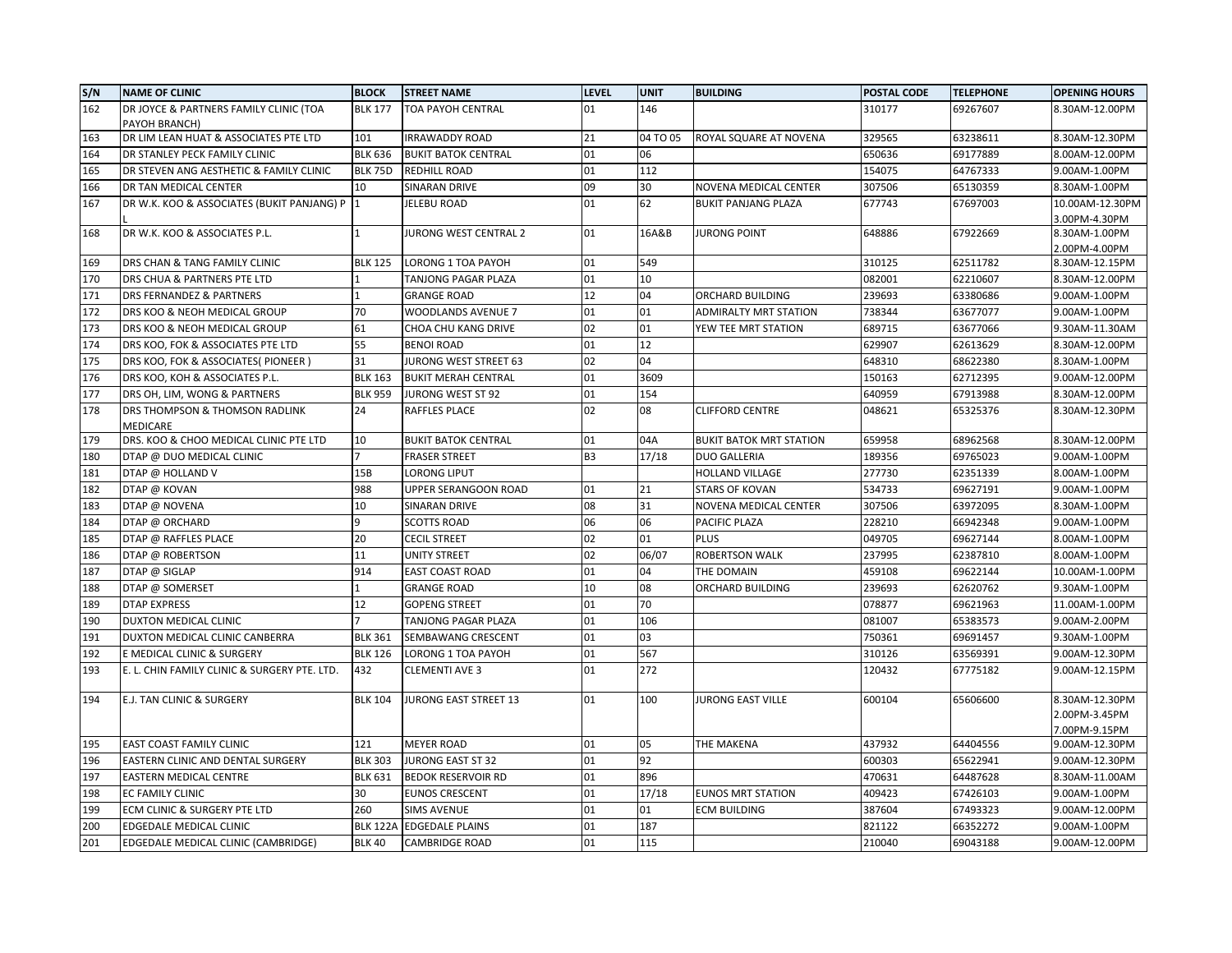| S/N | <b>NAME OF CLINIC</b>                        | <b>BLOCK</b>    | <b>STREET NAME</b>         | LEVEL          | <b>UNIT</b> | <b>BUILDING</b>                | POSTAL CODE | <b>TELEPHONE</b> | <b>OPENING HOURS</b>                             |
|-----|----------------------------------------------|-----------------|----------------------------|----------------|-------------|--------------------------------|-------------|------------------|--------------------------------------------------|
| 162 | DR JOYCE & PARTNERS FAMILY CLINIC (TOA       | <b>BLK 177</b>  | TOA PAYOH CENTRAL          | 01             | 146         |                                | 310177      | 69267607         | 8.30AM-12.00PM                                   |
|     | PAYOH BRANCH)                                |                 |                            |                |             |                                |             |                  |                                                  |
| 163 | DR LIM LEAN HUAT & ASSOCIATES PTE LTD        | 101             | <b>IRRAWADDY ROAD</b>      | 21             | 04 TO 05    | ROYAL SQUARE AT NOVENA         | 329565      | 63238611         | 8.30AM-12.30PM                                   |
| 164 | DR STANLEY PECK FAMILY CLINIC                | <b>BLK 636</b>  | <b>BUKIT BATOK CENTRAL</b> | 01             | 06          |                                | 650636      | 69177889         | 8.00AM-12.00PM                                   |
| 165 | DR STEVEN ANG AESTHETIC & FAMILY CLINIC      | <b>BLK 75D</b>  | REDHILL ROAD               | 01             | 112         |                                | 154075      | 64767333         | 9.00AM-1.00PM                                    |
| 166 | DR TAN MEDICAL CENTER                        | 10              | SINARAN DRIVE              | 09             | 30          | NOVENA MEDICAL CENTER          | 307506      | 65130359         | 8.30AM-1.00PM                                    |
| 167 | DR W.K. KOO & ASSOCIATES (BUKIT PANJANG) P 1 |                 | <b>JELEBU ROAD</b>         | 01             | 62          | <b>BUKIT PANJANG PLAZA</b>     | 677743      | 67697003         | 10.00AM-12.30PM<br>3.00PM-4.30PM                 |
| 168 | DR W.K. KOO & ASSOCIATES P.L.                | $\mathbf{1}$    | JURONG WEST CENTRAL 2      | 01             | 16A&B       | <b>JURONG POINT</b>            | 648886      | 67922669         | 8.30AM-1.00PM<br>2.00PM-4.00PM                   |
| 169 | DRS CHAN & TANG FAMILY CLINIC                | <b>BLK 125</b>  | LORONG 1 TOA PAYOH         | 01             | 549         |                                | 310125      | 62511782         | 8.30AM-12.15PM                                   |
| 170 | DRS CHUA & PARTNERS PTE LTD                  |                 | TANJONG PAGAR PLAZA        | 01             | 10          |                                | 082001      | 62210607         | 8.30AM-12.00PM                                   |
| 171 | DRS FERNANDEZ & PARTNERS                     | 1               | <b>GRANGE ROAD</b>         | 12             | 04          | ORCHARD BUILDING               | 239693      | 63380686         | 9.00AM-1.00PM                                    |
| 172 | DRS KOO & NEOH MEDICAL GROUP                 | 70              | WOODLANDS AVENUE 7         | 01             | 01          | <b>ADMIRALTY MRT STATION</b>   | 738344      | 63677077         | 9.00AM-1.00PM                                    |
| 173 | DRS KOO & NEOH MEDICAL GROUP                 | 61              | CHOA CHU KANG DRIVE        | 02             | 01          | YEW TEE MRT STATION            | 689715      | 63677066         | 9.30AM-11.30AM                                   |
| 174 | DRS KOO, FOK & ASSOCIATES PTE LTD            | 55              | <b>BENOI ROAD</b>          | 01             | 12          |                                | 629907      | 62613629         | 8.30AM-12.00PM                                   |
| 175 | DRS KOO, FOK & ASSOCIATES( PIONEER )         | 31              | JURONG WEST STREET 63      | 02             | 04          |                                | 648310      | 68622380         | 8.30AM-1.00PM                                    |
| 176 | DRS KOO, KOH & ASSOCIATES P.L.               | <b>BLK 163</b>  | <b>BUKIT MERAH CENTRAL</b> | 01             | 3609        |                                | 150163      | 62712395         | 9.00AM-12.00PM                                   |
| 177 | DRS OH, LIM, WONG & PARTNERS                 | <b>BLK 959</b>  | JURONG WEST ST 92          | 01             | 154         |                                | 640959      | 67913988         | 8.30AM-12.00PM                                   |
| 178 | DRS THOMPSON & THOMSON RADLINK<br>MEDICARE   | 24              | RAFFLES PLACE              | 02             | 08          | <b>CLIFFORD CENTRE</b>         | 048621      | 65325376         | 8.30AM-12.30PM                                   |
| 179 | DRS. KOO & CHOO MEDICAL CLINIC PTE LTD       | 10              | <b>BUKIT BATOK CENTRAL</b> | 01             | 04A         | <b>BUKIT BATOK MRT STATION</b> | 659958      | 68962568         | 8.30AM-12.00PM                                   |
| 180 | DTAP @ DUO MEDICAL CLINIC                    |                 | <b>FRASER STREET</b>       | B <sub>3</sub> | 17/18       | <b>DUO GALLERIA</b>            | 189356      | 69765023         | 9.00AM-1.00PM                                    |
| 181 | DTAP @ HOLLAND V                             | 15B             | LORONG LIPUT               |                |             | <b>HOLLAND VILLAGE</b>         | 277730      | 62351339         | 8.00AM-1.00PM                                    |
| 182 | DTAP @ KOVAN                                 | 988             | UPPER SERANGOON ROAD       | 01             | 21          | <b>STARS OF KOVAN</b>          | 534733      | 69627191         | 9.00AM-1.00PM                                    |
| 183 | DTAP @ NOVENA                                | 10              | SINARAN DRIVE              | 08             | 31          | NOVENA MEDICAL CENTER          | 307506      | 63972095         | 8.30AM-1.00PM                                    |
| 184 | DTAP @ ORCHARD                               | q               | <b>SCOTTS ROAD</b>         | 06             | 06          | PACIFIC PLAZA                  | 228210      | 66942348         | 9.00AM-1.00PM                                    |
| 185 | DTAP @ RAFFLES PLACE                         | 20              | <b>CECIL STREET</b>        | 02             | 01          | <b>PLUS</b>                    | 049705      | 69627144         | 8.00AM-1.00PM                                    |
| 186 | DTAP @ ROBERTSON                             | 11              | UNITY STREET               | 02             | 06/07       | ROBERTSON WALK                 | 237995      | 62387810         | 8.00AM-1.00PM                                    |
| 187 | DTAP @ SIGLAP                                | 914             | EAST COAST ROAD            | 01             | 04          | THE DOMAIN                     | 459108      | 69622144         | 10.00AM-1.00PM                                   |
| 188 | DTAP @ SOMERSET                              | $\mathbf{1}$    | <b>GRANGE ROAD</b>         | 10             | 08          | ORCHARD BUILDING               | 239693      | 62620762         | 9.30AM-1.00PM                                    |
| 189 | <b>DTAP EXPRESS</b>                          | 12              | <b>GOPENG STREET</b>       | 01             | 70          |                                | 078877      | 69621963         | 11.00AM-1.00PM                                   |
| 190 | DUXTON MEDICAL CLINIC                        |                 | TANJONG PAGAR PLAZA        | 01             | 106         |                                | 081007      | 65383573         | 9.00AM-2.00PM                                    |
| 191 | DUXTON MEDICAL CLINIC CANBERRA               | <b>BLK 361</b>  | SEMBAWANG CRESCENT         | 01             | 03          |                                | 750361      | 69691457         | 9.30AM-1.00PM                                    |
| 192 | E MEDICAL CLINIC & SURGERY                   | <b>BLK 126</b>  | LORONG 1 TOA PAYOH         | 01             | 567         |                                | 310126      | 63569391         | 9.00AM-12.30PM                                   |
| 193 | E. L. CHIN FAMILY CLINIC & SURGERY PTE. LTD. | 432             | <b>CLEMENTI AVE 3</b>      | 01             | 272         |                                | 120432      | 67775182         | 9.00AM-12.15PM                                   |
| 194 | E.J. TAN CLINIC & SURGERY                    | <b>BLK 104</b>  | JURONG EAST STREET 13      | 01             | 100         | <b>JURONG EAST VILLE</b>       | 600104      | 65606600         | 8.30AM-12.30PM<br>2.00PM-3.45PM<br>7.00PM-9.15PM |
| 195 | <b>EAST COAST FAMILY CLINIC</b>              | 121             | <b>MEYER ROAD</b>          | 01             | 05          | THE MAKENA                     | 437932      | 64404556         | 9.00AM-12.30PM                                   |
| 196 | EASTERN CLINIC AND DENTAL SURGERY            | <b>BLK 303</b>  | JURONG EAST ST 32          | 01             | 92          |                                | 600303      | 65622941         | 9.00AM-12.30PM                                   |
| 197 | EASTERN MEDICAL CENTRE                       | <b>BLK 631</b>  | <b>BEDOK RESERVOIR RD</b>  | 01             | 896         |                                | 470631      | 64487628         | 8.30AM-11.00AM                                   |
| 198 | EC FAMILY CLINIC                             | 30              | <b>EUNOS CRESCENT</b>      | 01             | 17/18       | <b>EUNOS MRT STATION</b>       | 409423      | 67426103         | 9.00AM-1.00PM                                    |
| 199 | ECM CLINIC & SURGERY PTE LTD                 | 260             | <b>SIMS AVENUE</b>         | 01             | 01          | <b>ECM BUILDING</b>            | 387604      | 67493323         | 9.00AM-12.00PM                                   |
| 200 | EDGEDALE MEDICAL CLINIC                      | <b>BLK 122A</b> | <b>EDGEDALE PLAINS</b>     | 01             | 187         |                                | 821122      | 66352272         | 9.00AM-1.00PM                                    |
| 201 | EDGEDALE MEDICAL CLINIC (CAMBRIDGE)          | <b>BLK 40</b>   | <b>CAMBRIDGE ROAD</b>      | 01             | 115         |                                | 210040      | 69043188         | 9.00AM-12.00PM                                   |
|     |                                              |                 |                            |                |             |                                |             |                  |                                                  |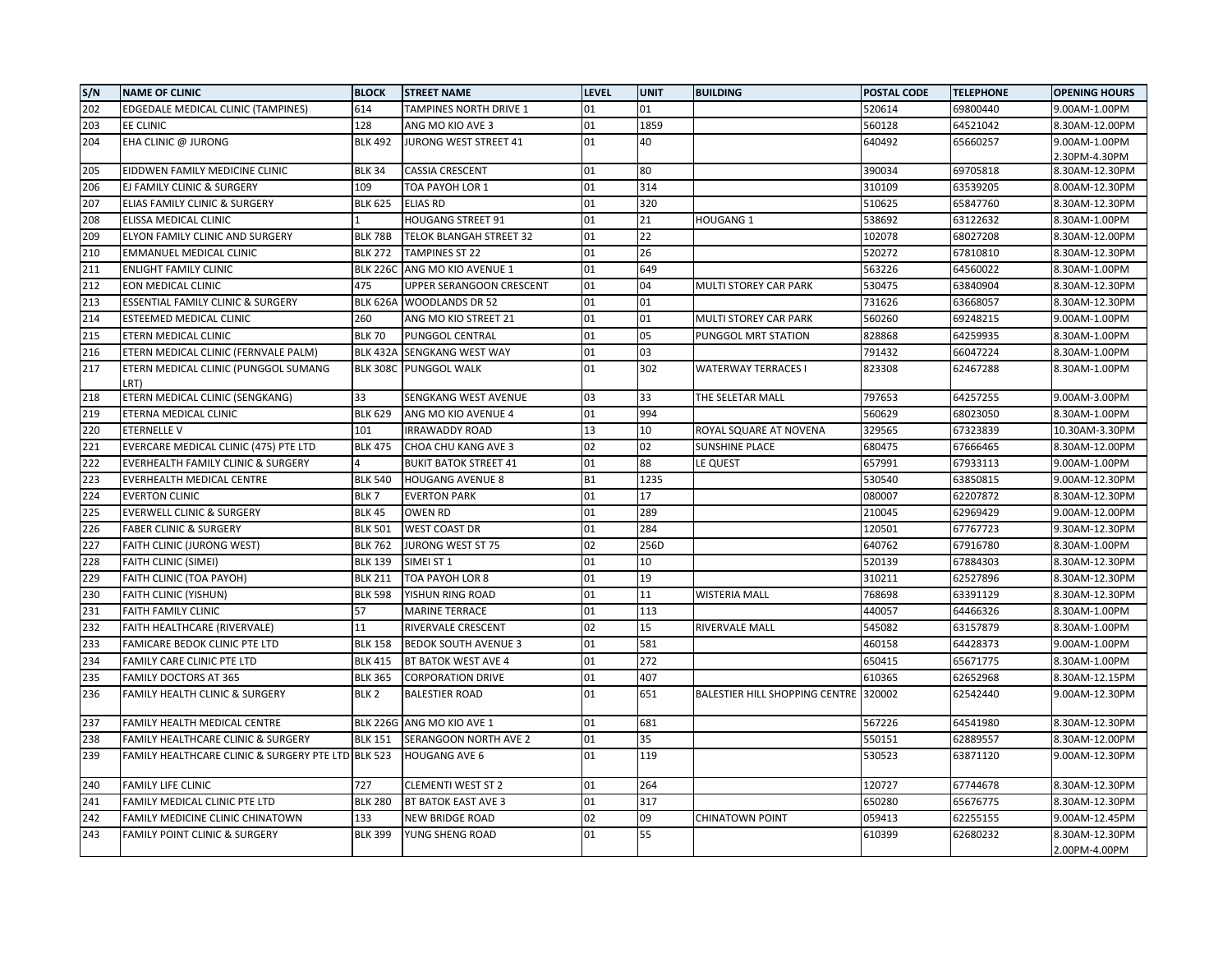| S/N | <b>NAME OF CLINIC</b>                              | <b>BLOCK</b>     | <b>STREET NAME</b>           | <b>LEVEL</b> | <b>UNIT</b> | <b>BUILDING</b>                | POSTAL CODE | <b>TELEPHONE</b> | <b>OPENING HOURS</b> |
|-----|----------------------------------------------------|------------------|------------------------------|--------------|-------------|--------------------------------|-------------|------------------|----------------------|
| 202 | EDGEDALE MEDICAL CLINIC (TAMPINES)                 | 614              | TAMPINES NORTH DRIVE 1       | 01           | 01          |                                | 520614      | 69800440         | 9.00AM-1.00PM        |
| 203 | EE CLINIC                                          | 128              | ANG MO KIO AVE 3             | 01           | 1859        |                                | 560128      | 64521042         | 8.30AM-12.00PM       |
| 204 | EHA CLINIC @ JURONG                                | <b>BLK 492</b>   | JURONG WEST STREET 41        | 01           | 40          |                                | 640492      | 65660257         | 9.00AM-1.00PM        |
|     |                                                    |                  |                              |              |             |                                |             |                  | 2.30PM-4.30PM        |
| 205 | EIDDWEN FAMILY MEDICINE CLINIC                     | <b>BLK 34</b>    | <b>CASSIA CRESCENT</b>       | 01           | 80          |                                | 390034      | 69705818         | 8.30AM-12.30PM       |
| 206 | EJ FAMILY CLINIC & SURGERY                         | 109              | TOA PAYOH LOR 1              | 01           | 314         |                                | 310109      | 63539205         | 8.00AM-12.30PM       |
| 207 | ELIAS FAMILY CLINIC & SURGERY                      | <b>BLK 625</b>   | <b>ELIAS RD</b>              | 01           | 320         |                                | 510625      | 65847760         | 8.30AM-12.30PM       |
| 208 | ELISSA MEDICAL CLINIC                              |                  | <b>HOUGANG STREET 91</b>     | 01           | 21          | HOUGANG 1                      | 538692      | 63122632         | 8.30AM-1.00PM        |
| 209 | ELYON FAMILY CLINIC AND SURGERY                    | <b>BLK 78B</b>   | TELOK BLANGAH STREET 32      | 01           | 22          |                                | 102078      | 68027208         | 8.30AM-12.00PM       |
| 210 | EMMANUEL MEDICAL CLINIC                            | <b>BLK 272</b>   | <b>TAMPINES ST 22</b>        | 01           | 26          |                                | 520272      | 67810810         | 8.30AM-12.30PM       |
| 211 | <b>ENLIGHT FAMILY CLINIC</b>                       | <b>BLK 226C</b>  | ANG MO KIO AVENUE 1          | 01           | 649         |                                | 563226      | 64560022         | 8.30AM-1.00PM        |
| 212 | EON MEDICAL CLINIC                                 | 475              | UPPER SERANGOON CRESCENT     | 01           | 04          | MULTI STOREY CAR PARK          | 530475      | 63840904         | 8.30AM-12.30PM       |
| 213 | ESSENTIAL FAMILY CLINIC & SURGERY                  | <b>BLK 626A</b>  | <b>WOODLANDS DR 52</b>       | 01           | 01          |                                | 731626      | 63668057         | 8.30AM-12.30PM       |
| 214 | ESTEEMED MEDICAL CLINIC                            | 260              | ANG MO KIO STREET 21         | 01           | 01          | MULTI STOREY CAR PARK          | 560260      | 69248215         | 9.00AM-1.00PM        |
| 215 | ETERN MEDICAL CLINIC                               | <b>BLK 70</b>    | PUNGGOL CENTRAL              | 01           | 05          | PUNGGOL MRT STATION            | 828868      | 64259935         | 8.30AM-1.00PM        |
| 216 | ETERN MEDICAL CLINIC (FERNVALE PALM)               | <b>BLK 432A</b>  | SENGKANG WEST WAY            | 01           | 03          |                                | 791432      | 66047224         | 8.30AM-1.00PM        |
| 217 | ETERN MEDICAL CLINIC (PUNGGOL SUMANG<br>LRT)       | <b>BLK 308C</b>  | <b>PUNGGOL WALK</b>          | 01           | 302         | <b>WATERWAY TERRACES I</b>     | 823308      | 62467288         | 8.30AM-1.00PM        |
| 218 | ETERN MEDICAL CLINIC (SENGKANG)                    | 33               | SENGKANG WEST AVENUE         | 03           | 33          | THE SELETAR MALL               | 797653      | 64257255         | 9.00AM-3.00PM        |
| 219 | ETERNA MEDICAL CLINIC                              | <b>BLK 629</b>   | ANG MO KIO AVENUE 4          | 01           | 994         |                                | 560629      | 68023050         | 8.30AM-1.00PM        |
| 220 | <b>ETERNELLE V</b>                                 | 101              | IRRAWADDY ROAD               | 13           | 10          | ROYAL SQUARE AT NOVENA         | 329565      | 67323839         | 10.30AM-3.30PM       |
| 221 | EVERCARE MEDICAL CLINIC (475) PTE LTD              | <b>BLK 475</b>   | CHOA CHU KANG AVE 3          | 02           | 02          | <b>SUNSHINE PLACE</b>          | 680475      | 67666465         | 8.30AM-12.00PM       |
| 222 | EVERHEALTH FAMILY CLINIC & SURGERY                 |                  | <b>BUKIT BATOK STREET 41</b> | 01           | 88          | LE QUEST                       | 657991      | 67933113         | 9.00AM-1.00PM        |
| 223 | EVERHEALTH MEDICAL CENTRE                          | <b>BLK 540</b>   | <b>HOUGANG AVENUE 8</b>      | <b>B1</b>    | 1235        |                                | 530540      | 63850815         | 9.00AM-12.30PM       |
| 224 | <b>EVERTON CLINIC</b>                              | BLK7             | <b>EVERTON PARK</b>          | 01           | 17          |                                | 080007      | 62207872         | 8.30AM-12.30PM       |
| 225 | <b>EVERWELL CLINIC &amp; SURGERY</b>               | <b>BLK 45</b>    | <b>OWEN RD</b>               | 01           | 289         |                                | 210045      | 62969429         | 9.00AM-12.00PM       |
| 226 | <b>FABER CLINIC &amp; SURGERY</b>                  | <b>BLK 501</b>   | <b>WEST COAST DR</b>         | 01           | 284         |                                | 120501      | 67767723         | 9.30AM-12.30PM       |
| 227 | FAITH CLINIC (JURONG WEST)                         | <b>BLK 762</b>   | JURONG WEST ST 75            | 02           | 256D        |                                | 640762      | 67916780         | 8.30AM-1.00PM        |
| 228 | FAITH CLINIC (SIMEI)                               | <b>BLK 139</b>   | SIMEI ST 1                   | 01           | 10          |                                | 520139      | 67884303         | 8.30AM-12.30PM       |
| 229 | FAITH CLINIC (TOA PAYOH)                           | <b>BLK 211</b>   | TOA PAYOH LOR 8              | 01           | 19          |                                | 310211      | 62527896         | 8.30AM-12.30PM       |
| 230 | <b>FAITH CLINIC (YISHUN)</b>                       | <b>BLK 598</b>   | YISHUN RING ROAD             | 01           | 11          | <b>WISTERIA MALL</b>           | 768698      | 63391129         | 8.30AM-12.30PM       |
| 231 | FAITH FAMILY CLINIC                                | 57               | <b>MARINE TERRACE</b>        | 01           | 113         |                                | 440057      | 64466326         | 8.30AM-1.00PM        |
| 232 | FAITH HEALTHCARE (RIVERVALE)                       | 11               | RIVERVALE CRESCENT           | 02           | 15          | RIVERVALE MALL                 | 545082      | 63157879         | 8.30AM-1.00PM        |
| 233 | FAMICARE BEDOK CLINIC PTE LTD                      | <b>BLK 158</b>   | <b>BEDOK SOUTH AVENUE 3</b>  | 01           | 581         |                                | 460158      | 64428373         | 9.00AM-1.00PM        |
| 234 | FAMILY CARE CLINIC PTE LTD                         | <b>BLK 415</b>   | BT BATOK WEST AVE 4          | 01           | 272         |                                | 650415      | 65671775         | 8.30AM-1.00PM        |
| 235 | <b>FAMILY DOCTORS AT 365</b>                       | <b>BLK 365</b>   | <b>CORPORATION DRIVE</b>     | 01           | 407         |                                | 610365      | 62652968         | 8.30AM-12.15PM       |
| 236 | FAMILY HEALTH CLINIC & SURGERY                     | BLK <sub>2</sub> | <b>BALESTIER ROAD</b>        | 01           | 651         | BALESTIER HILL SHOPPING CENTRE | 320002      | 62542440         | 9.00AM-12.30PM       |
| 237 | FAMILY HEALTH MEDICAL CENTRE                       | <b>BLK 226G</b>  | ANG MO KIO AVE 1             | 01           | 681         |                                | 567226      | 64541980         | 8.30AM-12.30PM       |
| 238 | FAMILY HEALTHCARE CLINIC & SURGERY                 | <b>BLK 151</b>   | SERANGOON NORTH AVE 2        | 01           | 35          |                                | 550151      | 62889557         | 8.30AM-12.00PM       |
| 239 | FAMILY HEALTHCARE CLINIC & SURGERY PTE LTD BLK 523 |                  | HOUGANG AVE 6                | 01           | 119         |                                | 530523      | 63871120         | 9.00AM-12.30PM       |
| 240 | <b>FAMILY LIFE CLINIC</b>                          | 727              | <b>CLEMENTI WEST ST 2</b>    | 01           | 264         |                                | 120727      | 67744678         | 8.30AM-12.30PM       |
| 241 | FAMILY MEDICAL CLINIC PTE LTD                      | <b>BLK 280</b>   | BT BATOK EAST AVE 3          | 01           | 317         |                                | 650280      | 65676775         | 8.30AM-12.30PM       |
| 242 | FAMILY MEDICINE CLINIC CHINATOWN                   | 133              | NEW BRIDGE ROAD              | 02           | 09          | <b>CHINATOWN POINT</b>         | 059413      | 62255155         | 9.00AM-12.45PM       |
| 243 | <b>FAMILY POINT CLINIC &amp; SURGERY</b>           | <b>BLK 399</b>   | YUNG SHENG ROAD              | 01           | 55          |                                | 610399      | 62680232         | 8.30AM-12.30PM       |
|     |                                                    |                  |                              |              |             |                                |             |                  | 2.00PM-4.00PM        |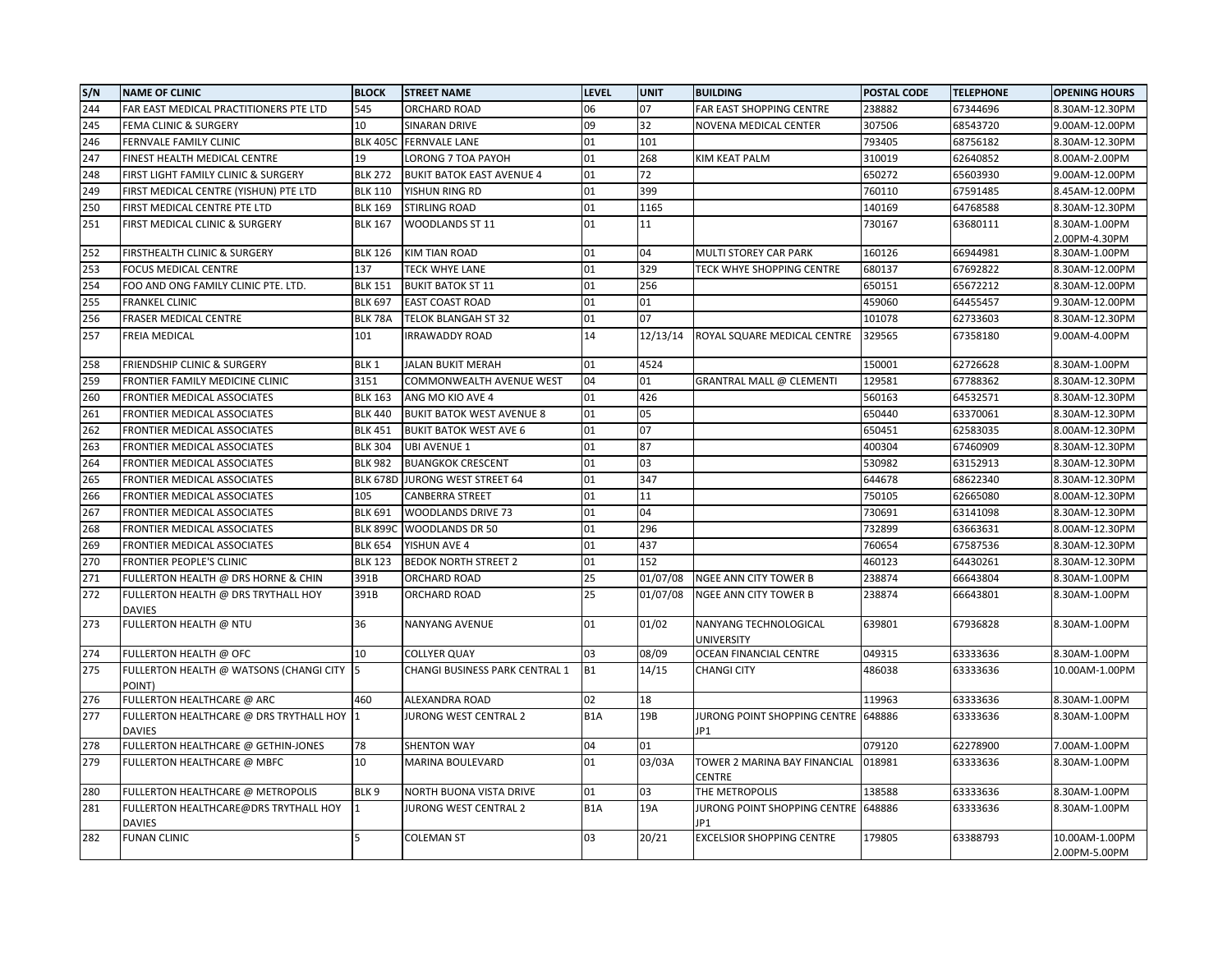| S/N | <b>NAME OF CLINIC</b>                                    | <b>BLOCK</b>     | <b>STREET NAME</b>               | <b>LEVEL</b>     | <b>UNIT</b> | <b>BUILDING</b>                               | <b>POSTAL CODE</b> | <b>TELEPHONE</b> | <b>OPENING HOURS</b>            |
|-----|----------------------------------------------------------|------------------|----------------------------------|------------------|-------------|-----------------------------------------------|--------------------|------------------|---------------------------------|
| 244 | FAR EAST MEDICAL PRACTITIONERS PTE LTD                   | 545              | ORCHARD ROAD                     | 06               | 07          | FAR EAST SHOPPING CENTRE                      | 238882             | 67344696         | 8.30AM-12.30PM                  |
| 245 | FEMA CLINIC & SURGERY                                    | 10               | SINARAN DRIVE                    | 09               | 32          | NOVENA MEDICAL CENTER                         | 307506             | 68543720         | 9.00AM-12.00PM                  |
| 246 | FERNVALE FAMILY CLINIC                                   | <b>BLK 405C</b>  | <b>FERNVALE LANE</b>             | 01               | 101         |                                               | 793405             | 68756182         | 8.30AM-12.30PM                  |
| 247 | FINEST HEALTH MEDICAL CENTRE                             | 19               | LORONG 7 TOA PAYOH               | 01               | 268         | KIM KEAT PALM                                 | 310019             | 62640852         | 8.00AM-2.00PM                   |
| 248 | FIRST LIGHT FAMILY CLINIC & SURGERY                      | <b>BLK 272</b>   | <b>BUKIT BATOK EAST AVENUE 4</b> | 01               | 72          |                                               | 650272             | 65603930         | 9.00AM-12.00PM                  |
| 249 | FIRST MEDICAL CENTRE (YISHUN) PTE LTD                    | <b>BLK 110</b>   | YISHUN RING RD                   | 01               | 399         |                                               | 760110             | 67591485         | 8.45AM-12.00PM                  |
| 250 | FIRST MEDICAL CENTRE PTE LTD                             | <b>BLK 169</b>   | STIRLING ROAD                    | 01               | 1165        |                                               | 140169             | 64768588         | 8.30AM-12.30PM                  |
| 251 | FIRST MEDICAL CLINIC & SURGERY                           | <b>BLK 167</b>   | WOODLANDS ST 11                  | 01               | 11          |                                               | 730167             | 63680111         | 8.30AM-1.00PM                   |
|     |                                                          |                  |                                  |                  |             |                                               |                    |                  | 2.00PM-4.30PM                   |
| 252 | FIRSTHEALTH CLINIC & SURGERY                             | <b>BLK 126</b>   | KIM TIAN ROAD                    | 01               | 04          | MULTI STOREY CAR PARK                         | 160126             | 66944981         | 8.30AM-1.00PM                   |
| 253 | FOCUS MEDICAL CENTRE                                     | 137              | <b>TECK WHYE LANE</b>            | 01               | 329         | TECK WHYE SHOPPING CENTRE                     | 680137             | 67692822         | 8.30AM-12.00PM                  |
| 254 | FOO AND ONG FAMILY CLINIC PTE. LTD.                      | <b>BLK 151</b>   | <b>BUKIT BATOK ST 11</b>         | 01               | 256         |                                               | 650151             | 65672212         | 8.30AM-12.00PM                  |
| 255 | <b>FRANKEL CLINIC</b>                                    | <b>BLK 697</b>   | <b>EAST COAST ROAD</b>           | 01               | 01          |                                               | 459060             | 64455457         | 9.30AM-12.00PM                  |
| 256 | FRASER MEDICAL CENTRE                                    | BLK 78A          | TELOK BLANGAH ST 32              | 01               | 07          |                                               | 101078             | 62733603         | 8.30AM-12.30PM                  |
| 257 | FREIA MEDICAL                                            | 101              | <b>IRRAWADDY ROAD</b>            | 14               | 12/13/14    | ROYAL SQUARE MEDICAL CENTRE                   | 329565             | 67358180         | 9.00AM-4.00PM                   |
| 258 | FRIENDSHIP CLINIC & SURGERY                              | BLK <sub>1</sub> | JALAN BUKIT MERAH                | 01               | 4524        |                                               | 150001             | 62726628         | 8.30AM-1.00PM                   |
| 259 | FRONTIER FAMILY MEDICINE CLINIC                          | 3151             | COMMONWEALTH AVENUE WEST         | 04               | 01          | GRANTRAL MALL @ CLEMENTI                      | 129581             | 67788362         | 8.30AM-12.30PM                  |
| 260 | FRONTIER MEDICAL ASSOCIATES                              | <b>BLK 163</b>   | ANG MO KIO AVE 4                 | 01               | 426         |                                               | 560163             | 64532571         | 8.30AM-12.30PM                  |
| 261 | FRONTIER MEDICAL ASSOCIATES                              | <b>BLK 440</b>   | <b>BUKIT BATOK WEST AVENUE 8</b> | 01               | 05          |                                               | 650440             | 63370061         | 8.30AM-12.30PM                  |
| 262 | FRONTIER MEDICAL ASSOCIATES                              | <b>BLK 451</b>   | <b>BUKIT BATOK WEST AVE 6</b>    | 01               | 07          |                                               | 650451             | 62583035         | 8.00AM-12.30PM                  |
| 263 | FRONTIER MEDICAL ASSOCIATES                              | <b>BLK 304</b>   | <b>UBI AVENUE 1</b>              | 01               | 87          |                                               | 400304             | 67460909         | 8.30AM-12.30PM                  |
| 264 | FRONTIER MEDICAL ASSOCIATES                              | <b>BLK 982</b>   | <b>BUANGKOK CRESCENT</b>         | 01               | 03          |                                               | 530982             | 63152913         | 8.30AM-12.30PM                  |
| 265 | FRONTIER MEDICAL ASSOCIATES                              | <b>BLK 678D</b>  | JURONG WEST STREET 64            | 01               | 347         |                                               | 644678             | 68622340         | 8.30AM-12.30PM                  |
| 266 | FRONTIER MEDICAL ASSOCIATES                              | 105              | CANBERRA STREET                  | 01               | 11          |                                               | 750105             | 62665080         | 8.00AM-12.30PM                  |
| 267 | FRONTIER MEDICAL ASSOCIATES                              | <b>BLK 691</b>   | WOODLANDS DRIVE 73               | 01               | 04          |                                               | 730691             | 63141098         | 8.30AM-12.30PM                  |
| 268 | FRONTIER MEDICAL ASSOCIATES                              | <b>BLK 8990</b>  | <b>WOODLANDS DR 50</b>           | 01               | 296         |                                               | 732899             | 63663631         | 8.00AM-12.30PM                  |
| 269 | FRONTIER MEDICAL ASSOCIATES                              | <b>BLK 654</b>   | YISHUN AVE 4                     | 01               | 437         |                                               | 760654             | 67587536         | 8.30AM-12.30PM                  |
| 270 | FRONTIER PEOPLE'S CLINIC                                 | <b>BLK 123</b>   | <b>BEDOK NORTH STREET 2</b>      | 01               | 152         |                                               | 460123             | 64430261         | 8.30AM-12.30PM                  |
| 271 | FULLERTON HEALTH @ DRS HORNE & CHIN                      | 391B             | ORCHARD ROAD                     | 25               | 01/07/08    | NGEE ANN CITY TOWER B                         | 238874             | 66643804         | 8.30AM-1.00PM                   |
| 272 | FULLERTON HEALTH @ DRS TRYTHALL HOY                      | 391B             | ORCHARD ROAD                     | 25               | 01/07/08    | <b>NGEE ANN CITY TOWER B</b>                  | 238874             | 66643801         | 8.30AM-1.00PM                   |
|     | <b>DAVIES</b>                                            |                  |                                  |                  |             |                                               |                    |                  |                                 |
| 273 | FULLERTON HEALTH @ NTU                                   | 36               | NANYANG AVENUE                   | 01               | 01/02       | NANYANG TECHNOLOGICAL<br><b>UNIVERSITY</b>    | 639801             | 67936828         | 8.30AM-1.00PM                   |
| 274 | FULLERTON HEALTH @ OFC                                   | 10               | COLLYER QUAY                     | 03               | 08/09       | OCEAN FINANCIAL CENTRE                        | 049315             | 63333636         | 8.30AM-1.00PM                   |
| 275 | FULLERTON HEALTH @ WATSONS (CHANGI CITY<br>POINT)        | 5                | CHANGI BUSINESS PARK CENTRAL 1   | <b>B1</b>        | 14/15       | <b>CHANGI CITY</b>                            | 486038             | 63333636         | 10.00AM-1.00PM                  |
| 276 | FULLERTON HEALTHCARE @ ARC                               | 460              | ALEXANDRA ROAD                   | 02               | 18          |                                               | 119963             | 63333636         | 8.30AM-1.00PM                   |
| 277 | FULLERTON HEALTHCARE @ DRS TRYTHALL HOY<br><b>DAVIES</b> |                  | JURONG WEST CENTRAL 2            | B <sub>1</sub> A | 19B         | JURONG POINT SHOPPING CENTRE<br>JP1           | 648886             | 63333636         | 8.30AM-1.00PM                   |
| 278 | FULLERTON HEALTHCARE @ GETHIN-JONES                      | 78               | <b>SHENTON WAY</b>               | 04               | 01          |                                               | 079120             | 62278900         | 7.00AM-1.00PM                   |
| 279 | FULLERTON HEALTHCARE @ MBFC                              | 10               | MARINA BOULEVARD                 | 01               | 03/03A      | TOWER 2 MARINA BAY FINANCIAL<br><b>CENTRE</b> | 018981             | 63333636         | 8.30AM-1.00PM                   |
| 280 | FULLERTON HEALTHCARE @ METROPOLIS                        | BLK <sub>9</sub> | NORTH BUONA VISTA DRIVE          | 01               | 03          | THE METROPOLIS                                | 138588             | 63333636         | 8.30AM-1.00PM                   |
| 281 | FULLERTON HEALTHCARE@DRS TRYTHALL HOY<br><b>DAVIES</b>   |                  | JURONG WEST CENTRAL 2            | B <sub>1</sub> A | 19A         | JURONG POINT SHOPPING CENTRE<br>JP1           | 648886             | 63333636         | 8.30AM-1.00PM                   |
| 282 | <b>FUNAN CLINIC</b>                                      | 5                | <b>COLEMAN ST</b>                | 03               | 20/21       | <b>EXCELSIOR SHOPPING CENTRE</b>              | 179805             | 63388793         | 10.00AM-1.00PM<br>2.00PM-5.00PM |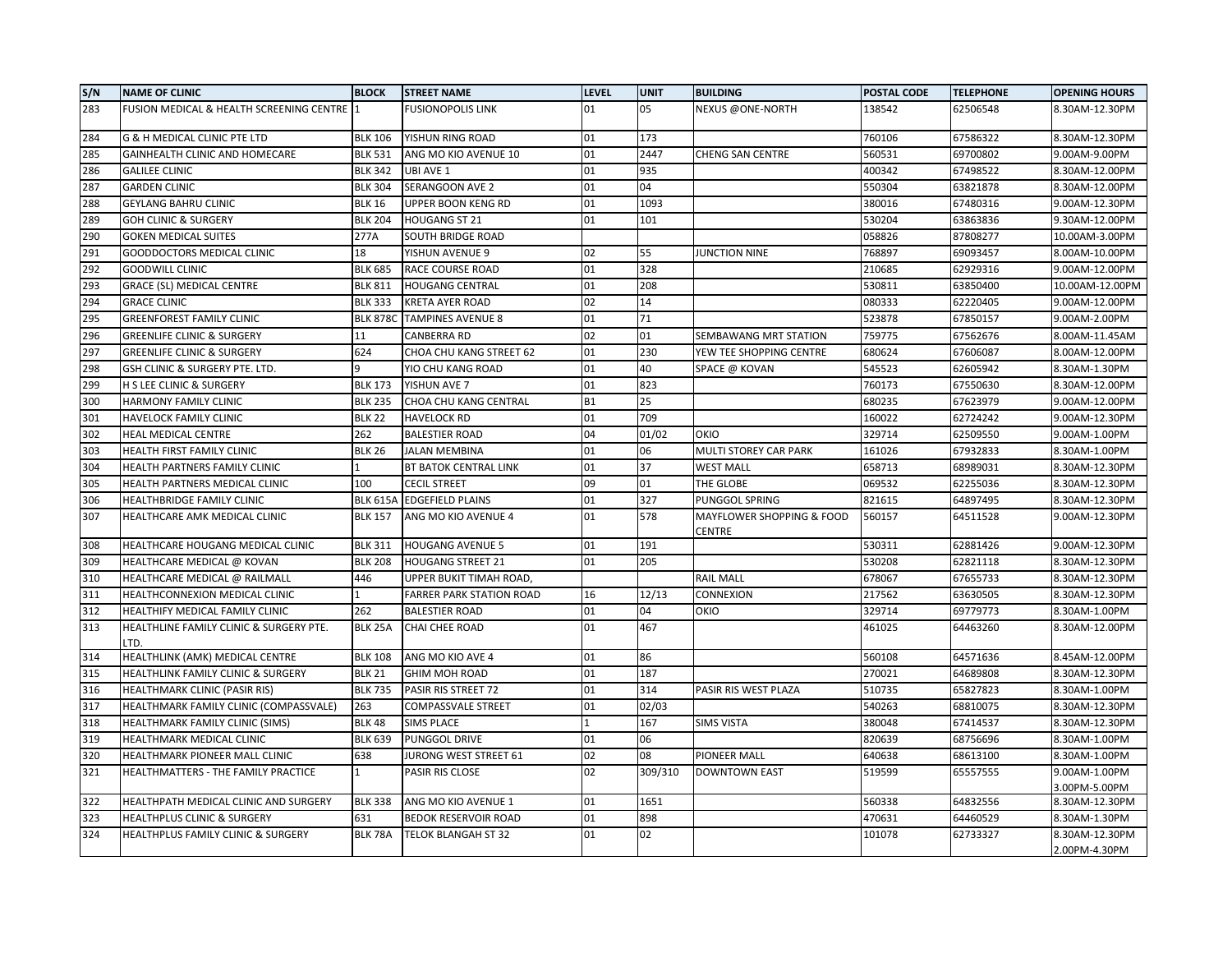| S/N | <b>NAME OF CLINIC</b>                           | <b>BLOCK</b>    | <b>STREET NAME</b>          | <b>LEVEL</b> | <b>UNIT</b> | <b>BUILDING</b>                     | POSTAL CODE | <b>TELEPHONE</b> | <b>OPENING HOURS</b>            |
|-----|-------------------------------------------------|-----------------|-----------------------------|--------------|-------------|-------------------------------------|-------------|------------------|---------------------------------|
| 283 | FUSION MEDICAL & HEALTH SCREENING CENTRE        | $\mathbf{1}$    | <b>FUSIONOPOLIS LINK</b>    | 01           | 05          | <b>NEXUS @ONE-NORTH</b>             | 138542      | 62506548         | 8.30AM-12.30PM                  |
| 284 | G & H MEDICAL CLINIC PTE LTD                    | <b>BLK 106</b>  | YISHUN RING ROAD            | 01           | 173         |                                     | 760106      | 67586322         | 8.30AM-12.30PM                  |
| 285 | GAINHEALTH CLINIC AND HOMECARE                  | <b>BLK 531</b>  | ANG MO KIO AVENUE 10        | 01           | 2447        | <b>CHENG SAN CENTRE</b>             | 560531      | 69700802         | 9.00AM-9.00PM                   |
| 286 | <b>GALILEE CLINIC</b>                           | <b>BLK 342</b>  | UBI AVE 1                   | 01           | 935         |                                     | 400342      | 67498522         | 8.30AM-12.00PM                  |
| 287 | <b>GARDEN CLINIC</b>                            | <b>BLK 304</b>  | <b>SERANGOON AVE 2</b>      | 01           | 04          |                                     | 550304      | 63821878         | 8.30AM-12.00PM                  |
| 288 | <b>GEYLANG BAHRU CLINIC</b>                     | <b>BLK 16</b>   | UPPER BOON KENG RD          | 01           | 1093        |                                     | 380016      | 67480316         | 9.00AM-12.30PM                  |
| 289 | <b>GOH CLINIC &amp; SURGERY</b>                 | <b>BLK 204</b>  | HOUGANG ST 21               | 01           | 101         |                                     | 530204      | 63863836         | 9.30AM-12.00PM                  |
| 290 | <b>GOKEN MEDICAL SUITES</b>                     | 277A            | SOUTH BRIDGE ROAD           |              |             |                                     | 058826      | 87808277         | 10.00AM-3.00PM                  |
| 291 | <b>GOODDOCTORS MEDICAL CLINIC</b>               | 18              | YISHUN AVENUE 9             | 02           | 55          | <b>JUNCTION NINE</b>                | 768897      | 69093457         | 8.00AM-10.00PM                  |
| 292 | <b>GOODWILL CLINIC</b>                          | <b>BLK 685</b>  | RACE COURSE ROAD            | 01           | 328         |                                     | 210685      | 62929316         | 9.00AM-12.00PM                  |
| 293 | <b>GRACE (SL) MEDICAL CENTRE</b>                | <b>BLK 811</b>  | <b>HOUGANG CENTRAL</b>      | 01           | 208         |                                     | 530811      | 63850400         | 10.00AM-12.00PM                 |
| 294 | <b>GRACE CLINIC</b>                             | <b>BLK 333</b>  | <b>KRETA AYER ROAD</b>      | 02           | 14          |                                     | 080333      | 62220405         | 9.00AM-12.00PM                  |
| 295 | <b>GREENFOREST FAMILY CLINIC</b>                | <b>BLK 878C</b> | <b>TAMPINES AVENUE 8</b>    | 01           | 71          |                                     | 523878      | 67850157         | 9.00AM-2.00PM                   |
| 296 | <b>GREENLIFE CLINIC &amp; SURGERY</b>           | 11              | <b>CANBERRA RD</b>          | 02           | 01          | SEMBAWANG MRT STATION               | 759775      | 67562676         | 8.00AM-11.45AM                  |
| 297 | <b>GREENLIFE CLINIC &amp; SURGERY</b>           | 624             | CHOA CHU KANG STREET 62     | 01           | 230         | YEW TEE SHOPPING CENTRE             | 680624      | 67606087         | 8.00AM-12.00PM                  |
| 298 | GSH CLINIC & SURGERY PTE. LTD.                  | q               | YIO CHU KANG ROAD           | 01           | 40          | SPACE @ KOVAN                       | 545523      | 62605942         | 8.30AM-1.30PM                   |
| 299 | H S LEE CLINIC & SURGERY                        | <b>BLK 173</b>  | YISHUN AVE 7                | 01           | 823         |                                     | 760173      | 67550630         | 8.30AM-12.00PM                  |
| 300 | HARMONY FAMILY CLINIC                           | <b>BLK 235</b>  | CHOA CHU KANG CENTRAL       | <b>B1</b>    | 25          |                                     | 680235      | 67623979         | 9.00AM-12.00PM                  |
| 301 | HAVELOCK FAMILY CLINIC                          | <b>BLK 22</b>   | <b>HAVELOCK RD</b>          | 01           | 709         |                                     | 160022      | 62724242         | 9.00AM-12.30PM                  |
| 302 | HEAL MEDICAL CENTRE                             | 262             | <b>BALESTIER ROAD</b>       | 04           | 01/02       | OKIO                                | 329714      | 62509550         | 9.00AM-1.00PM                   |
| 303 | HEALTH FIRST FAMILY CLINIC                      | <b>BLK 26</b>   | <b>JALAN MEMBINA</b>        | 01           | 06          | MULTI STOREY CAR PARK               | 161026      | 67932833         | 8.30AM-1.00PM                   |
| 304 | HEALTH PARTNERS FAMILY CLINIC                   |                 | BT BATOK CENTRAL LINK       | 01           | 37          | <b>WEST MALL</b>                    | 658713      | 68989031         | 8.30AM-12.30PM                  |
| 305 | HEALTH PARTNERS MEDICAL CLINIC                  | 100             | <b>CECIL STREET</b>         | 09           | 01          | THE GLOBE                           | 069532      | 62255036         | 8.30AM-12.30PM                  |
| 306 | HEALTHBRIDGE FAMILY CLINIC                      | <b>BLK 615A</b> | <b>EDGEFIELD PLAINS</b>     | 01           | 327         | PUNGGOL SPRING                      | 821615      | 64897495         | 8.30AM-12.30PM                  |
| 307 | HEALTHCARE AMK MEDICAL CLINIC                   | <b>BLK 157</b>  | ANG MO KIO AVENUE 4         | 01           | 578         | MAYFLOWER SHOPPING & FOOD<br>CENTRE | 560157      | 64511528         | 9.00AM-12.30PM                  |
| 308 | HEALTHCARE HOUGANG MEDICAL CLINIC               | <b>BLK 311</b>  | <b>HOUGANG AVENUE 5</b>     | 01           | 191         |                                     | 530311      | 62881426         | 9.00AM-12.30PM                  |
| 309 | HEALTHCARE MEDICAL @ KOVAN                      | <b>BLK 208</b>  | <b>HOUGANG STREET 21</b>    | 01           | 205         |                                     | 530208      | 62821118         | 8.30AM-12.30PM                  |
| 310 | HEALTHCARE MEDICAL @ RAILMALL                   | 446             | UPPER BUKIT TIMAH ROAD,     |              |             | <b>RAIL MALL</b>                    | 678067      | 67655733         | 8.30AM-12.30PM                  |
| 311 | HEALTHCONNEXION MEDICAL CLINIC                  | 1               | FARRER PARK STATION ROAD    | 16           | 12/13       | CONNEXION                           | 217562      | 63630505         | 8.30AM-12.30PM                  |
| 312 | HEALTHIFY MEDICAL FAMILY CLINIC                 | 262             | <b>BALESTIER ROAD</b>       | 01           | 04          | OKIO                                | 329714      | 69779773         | 8.30AM-1.00PM                   |
| 313 | HEALTHLINE FAMILY CLINIC & SURGERY PTE.<br>LTD. | <b>BLK 25A</b>  | CHAI CHEE ROAD              | 01           | 467         |                                     | 461025      | 64463260         | 8.30AM-12.00PM                  |
| 314 | HEALTHLINK (AMK) MEDICAL CENTRE                 | <b>BLK 108</b>  | ANG MO KIO AVE 4            | 01           | 86          |                                     | 560108      | 64571636         | 8.45AM-12.00PM                  |
| 315 | HEALTHLINK FAMILY CLINIC & SURGERY              | <b>BLK 21</b>   | GHIM MOH ROAD               | 01           | 187         |                                     | 270021      | 64689808         | 8.30AM-12.30PM                  |
| 316 | HEALTHMARK CLINIC (PASIR RIS)                   | <b>BLK 735</b>  | PASIR RIS STREET 72         | 01           | 314         | PASIR RIS WEST PLAZA                | 510735      | 65827823         | 8.30AM-1.00PM                   |
| 317 | HEALTHMARK FAMILY CLINIC (COMPASSVALE)          | 263             | <b>COMPASSVALE STREET</b>   | 01           | 02/03       |                                     | 540263      | 68810075         | 8.30AM-12.30PM                  |
| 318 | HEALTHMARK FAMILY CLINIC (SIMS)                 | <b>BLK 48</b>   | <b>SIMS PLACE</b>           |              | 167         | <b>SIMS VISTA</b>                   | 380048      | 67414537         | 8.30AM-12.30PM                  |
| 319 | HEALTHMARK MEDICAL CLINIC                       | <b>BLK 639</b>  | PUNGGOL DRIVE               | 01           | 06          |                                     | 820639      | 68756696         | 8.30AM-1.00PM                   |
| 320 | HEALTHMARK PIONEER MALL CLINIC                  | 638             | JURONG WEST STREET 61       | 02           | 08          | PIONEER MALL                        | 640638      | 68613100         | 8.30AM-1.00PM                   |
| 321 | HEALTHMATTERS - THE FAMILY PRACTICE             | $\mathbf{1}$    | PASIR RIS CLOSE             | 02           | 309/310     | <b>DOWNTOWN EAST</b>                | 519599      | 65557555         | 9.00AM-1.00PM                   |
|     |                                                 |                 |                             |              |             |                                     |             |                  | 3.00PM-5.00PM                   |
| 322 | HEALTHPATH MEDICAL CLINIC AND SURGERY           | <b>BLK 338</b>  | ANG MO KIO AVENUE 1         | 01           | 1651        |                                     | 560338      | 64832556         | 8.30AM-12.30PM                  |
| 323 | <b>HEALTHPLUS CLINIC &amp; SURGERY</b>          | 631             | <b>BEDOK RESERVOIR ROAD</b> | 01           | 898         |                                     | 470631      | 64460529         | 8.30AM-1.30PM                   |
| 324 | HEALTHPLUS FAMILY CLINIC & SURGERY              | BLK 78A         | TELOK BLANGAH ST 32         | 01           | 02          |                                     | 101078      | 62733327         | 8.30AM-12.30PM<br>2.00PM-4.30PM |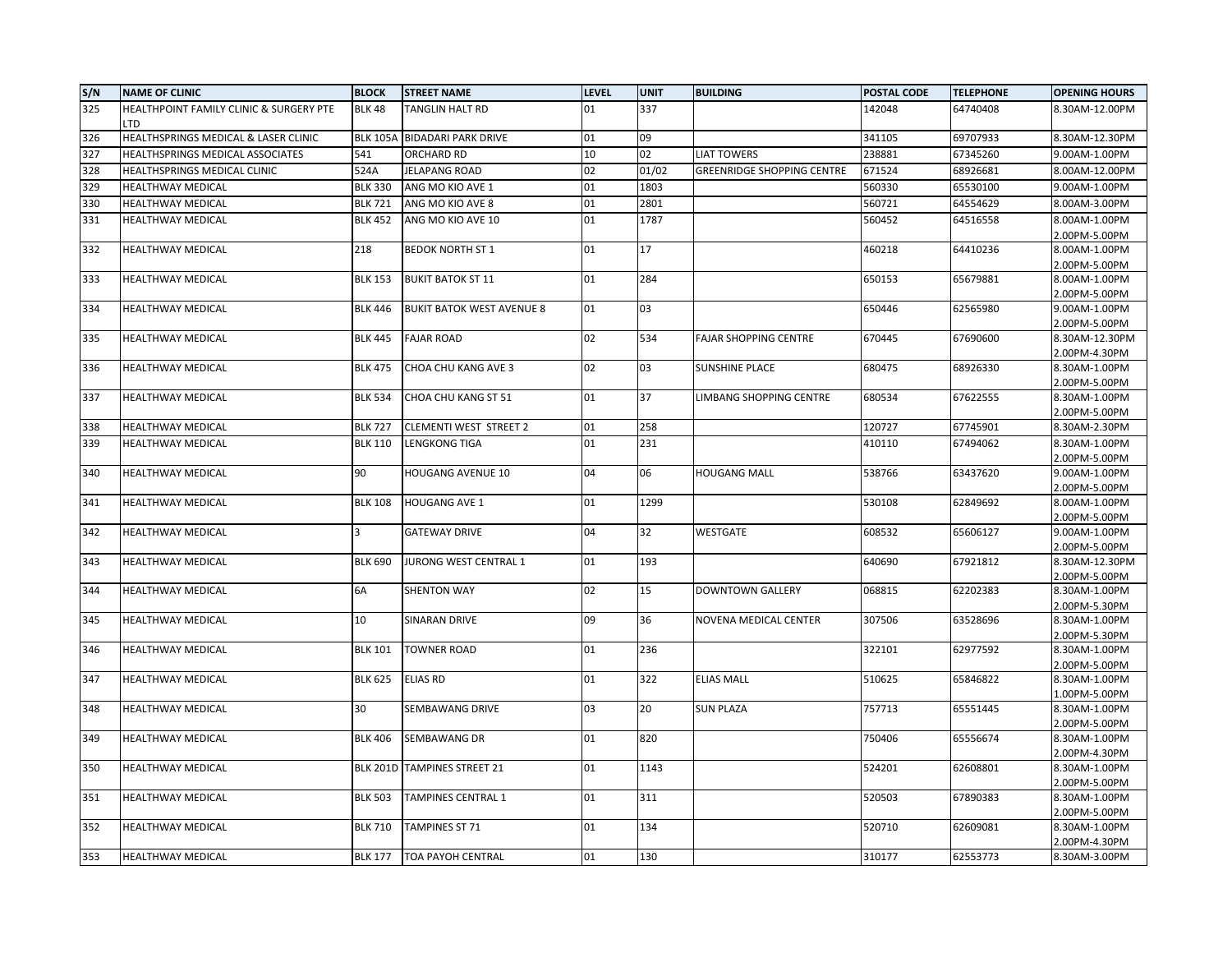| S/N | <b>NAME OF CLINIC</b>                          | <b>BLOCK</b>    | <b>STREET NAME</b>               | <b>LEVEL</b> | <b>UNIT</b> | <b>BUILDING</b>                   | POSTAL CODE | <b>TELEPHONE</b> | <b>OPENING HOURS</b>            |
|-----|------------------------------------------------|-----------------|----------------------------------|--------------|-------------|-----------------------------------|-------------|------------------|---------------------------------|
| 325 | HEALTHPOINT FAMILY CLINIC & SURGERY PTE<br>LTD | <b>BLK 48</b>   | TANGLIN HALT RD                  | 01           | 337         |                                   | 142048      | 64740408         | 8.30AM-12.00PM                  |
| 326 | HEALTHSPRINGS MEDICAL & LASER CLINIC           | <b>BLK 105A</b> | <b>BIDADARI PARK DRIVE</b>       | 01           | 09          |                                   | 341105      | 69707933         | 8.30AM-12.30PM                  |
| 327 | HEALTHSPRINGS MEDICAL ASSOCIATES               | 541             | ORCHARD RD                       | 10           | 02          | <b>LIAT TOWERS</b>                | 238881      | 67345260         | 9.00AM-1.00PM                   |
| 328 | HEALTHSPRINGS MEDICAL CLINIC                   | 524A            | <b>JELAPANG ROAD</b>             | 02           | 01/02       | <b>GREENRIDGE SHOPPING CENTRE</b> | 671524      | 68926681         | 8.00AM-12.00PM                  |
| 329 | <b>HEALTHWAY MEDICAL</b>                       | <b>BLK 330</b>  | ANG MO KIO AVE 1                 | 01           | 1803        |                                   | 560330      | 65530100         | 9.00AM-1.00PM                   |
| 330 |                                                | <b>BLK 721</b>  |                                  | 01           |             |                                   |             |                  |                                 |
|     | <b>HEALTHWAY MEDICAL</b>                       |                 | ANG MO KIO AVE 8                 |              | 2801        |                                   | 560721      | 64554629         | 8.00AM-3.00PM                   |
| 331 | HEALTHWAY MEDICAL                              | <b>BLK 452</b>  | ANG MO KIO AVE 10                | 01           | 1787        |                                   | 560452      | 64516558         | 8.00AM-1.00PM<br>2.00PM-5.00PM  |
| 332 | <b>HEALTHWAY MEDICAL</b>                       | 218             | <b>BEDOK NORTH ST 1</b>          | 01           | 17          |                                   | 460218      | 64410236         | 8.00AM-1.00PM<br>2.00PM-5.00PM  |
| 333 | <b>HEALTHWAY MEDICAL</b>                       | <b>BLK 153</b>  | <b>BUKIT BATOK ST 11</b>         | 01           | 284         |                                   | 650153      | 65679881         | 8.00AM-1.00PM                   |
|     |                                                |                 |                                  |              |             |                                   |             |                  | 2.00PM-5.00PM                   |
| 334 | <b>HEALTHWAY MEDICAL</b>                       | <b>BLK 446</b>  | <b>BUKIT BATOK WEST AVENUE 8</b> | 01           | 03          |                                   | 650446      | 62565980         | 9.00AM-1.00PM                   |
|     |                                                |                 |                                  |              |             |                                   |             |                  | 2.00PM-5.00PM                   |
| 335 | HEALTHWAY MEDICAL                              | <b>BLK 445</b>  | <b>FAJAR ROAD</b>                | 02           | 534         | <b>FAJAR SHOPPING CENTRE</b>      | 670445      | 67690600         | 8.30AM-12.30PM                  |
|     |                                                |                 |                                  |              |             |                                   |             |                  | 2.00PM-4.30PM                   |
| 336 | HEALTHWAY MEDICAL                              | <b>BLK 475</b>  | CHOA CHU KANG AVE 3              | 02           | 03          | <b>SUNSHINE PLACE</b>             | 680475      | 68926330         | 8.30AM-1.00PM                   |
|     |                                                |                 |                                  |              |             |                                   |             |                  | 2.00PM-5.00PM                   |
| 337 | HEALTHWAY MEDICAL                              | <b>BLK 534</b>  | CHOA CHU KANG ST 51              | 01           | 37          | LIMBANG SHOPPING CENTRE           | 680534      | 67622555         | 8.30AM-1.00PM<br>2.00PM-5.00PM  |
| 338 | <b>HEALTHWAY MEDICAL</b>                       | <b>BLK 727</b>  | CLEMENTI WEST STREET 2           | 01           | 258         |                                   | 120727      | 67745901         | 8.30AM-2.30PM                   |
| 339 | HEALTHWAY MEDICAL                              | <b>BLK 110</b>  | <b>LENGKONG TIGA</b>             | 01           | 231         |                                   | 410110      | 67494062         | 8.30AM-1.00PM                   |
|     |                                                |                 |                                  |              |             |                                   |             |                  | 2.00PM-5.00PM                   |
| 340 | <b>HEALTHWAY MEDICAL</b>                       | 90              | <b>HOUGANG AVENUE 10</b>         | 04           | 06          | <b>HOUGANG MALL</b>               | 538766      | 63437620         | 9.00AM-1.00PM                   |
|     |                                                |                 |                                  |              |             |                                   |             |                  | 2.00PM-5.00PM                   |
| 341 | HEALTHWAY MEDICAL                              | <b>BLK 108</b>  | <b>HOUGANG AVE 1</b>             | 01           | 1299        |                                   | 530108      | 62849692         | 8.00AM-1.00PM                   |
|     |                                                | $\overline{3}$  |                                  |              |             |                                   |             |                  | 2.00PM-5.00PM                   |
| 342 | HEALTHWAY MEDICAL                              |                 | <b>GATEWAY DRIVE</b>             | 04           | 32          | <b>WESTGATE</b>                   | 608532      | 65606127         | 9.00AM-1.00PM                   |
| 343 | <b>HEALTHWAY MEDICAL</b>                       | <b>BLK 690</b>  | JURONG WEST CENTRAL 1            | 01           | 193         |                                   | 640690      | 67921812         | 2.00PM-5.00PM<br>8.30AM-12.30PM |
|     |                                                |                 |                                  |              |             |                                   |             |                  | 2.00PM-5.00PM                   |
| 344 | <b>HEALTHWAY MEDICAL</b>                       | 6A              | <b>SHENTON WAY</b>               | 02           | 15          | <b>DOWNTOWN GALLERY</b>           | 068815      | 62202383         | 8.30AM-1.00PM                   |
|     |                                                |                 |                                  |              |             |                                   |             |                  | 2.00PM-5.30PM                   |
| 345 | HEALTHWAY MEDICAL                              | 10              | <b>SINARAN DRIVE</b>             | 09           | 36          | <b>NOVENA MEDICAL CENTER</b>      | 307506      | 63528696         | 8.30AM-1.00PM                   |
|     |                                                |                 |                                  |              |             |                                   |             |                  | 2.00PM-5.30PM                   |
| 346 | <b>HEALTHWAY MEDICAL</b>                       | <b>BLK 101</b>  | <b>TOWNER ROAD</b>               | 01           | 236         |                                   | 322101      | 62977592         | 8.30AM-1.00PM                   |
|     |                                                |                 |                                  |              |             |                                   |             |                  | 2.00PM-5.00PM                   |
| 347 | <b>HEALTHWAY MEDICAL</b>                       | <b>BLK 625</b>  | <b>ELIAS RD</b>                  | 01           | 322         | <b>ELIAS MALL</b>                 | 510625      | 65846822         | 8.30AM-1.00PM                   |
|     |                                                |                 |                                  |              |             |                                   |             |                  | 1.00PM-5.00PM                   |
| 348 | <b>HEALTHWAY MEDICAL</b>                       | 30              | SEMBAWANG DRIVE                  | 03           | 20          | <b>SUN PLAZA</b>                  | 757713      | 65551445         | 8.30AM-1.00PM                   |
|     |                                                |                 |                                  |              |             |                                   |             |                  | 2.00PM-5.00PM                   |
| 349 | <b>HEALTHWAY MEDICAL</b>                       | <b>BLK 406</b>  | SEMBAWANG DR                     | 01           | 820         |                                   | 750406      | 65556674         | 8.30AM-1.00PM                   |
|     |                                                |                 |                                  |              |             |                                   |             |                  | 2.00PM-4.30PM                   |
| 350 | <b>HEALTHWAY MEDICAL</b>                       | <b>BLK 201D</b> | <b>TAMPINES STREET 21</b>        | 01           | 1143        |                                   | 524201      | 62608801         | 8.30AM-1.00PM                   |
| 351 | <b>HEALTHWAY MEDICAL</b>                       | <b>BLK 503</b>  | <b>TAMPINES CENTRAL 1</b>        | 01           | 311         |                                   | 520503      | 67890383         | 2.00PM-5.00PM<br>8.30AM-1.00PM  |
|     |                                                |                 |                                  |              |             |                                   |             |                  | 2.00PM-5.00PM                   |
| 352 | <b>HEALTHWAY MEDICAL</b>                       | <b>BLK 710</b>  | <b>TAMPINES ST 71</b>            | 01           | 134         |                                   | 520710      | 62609081         | 8.30AM-1.00PM                   |
|     |                                                |                 |                                  |              |             |                                   |             |                  | 2.00PM-4.30PM                   |
| 353 | <b>HEALTHWAY MEDICAL</b>                       |                 | BLK 177   TOA PAYOH CENTRAL      | 01           | 130         |                                   | 310177      | 62553773         | 8.30AM-3.00PM                   |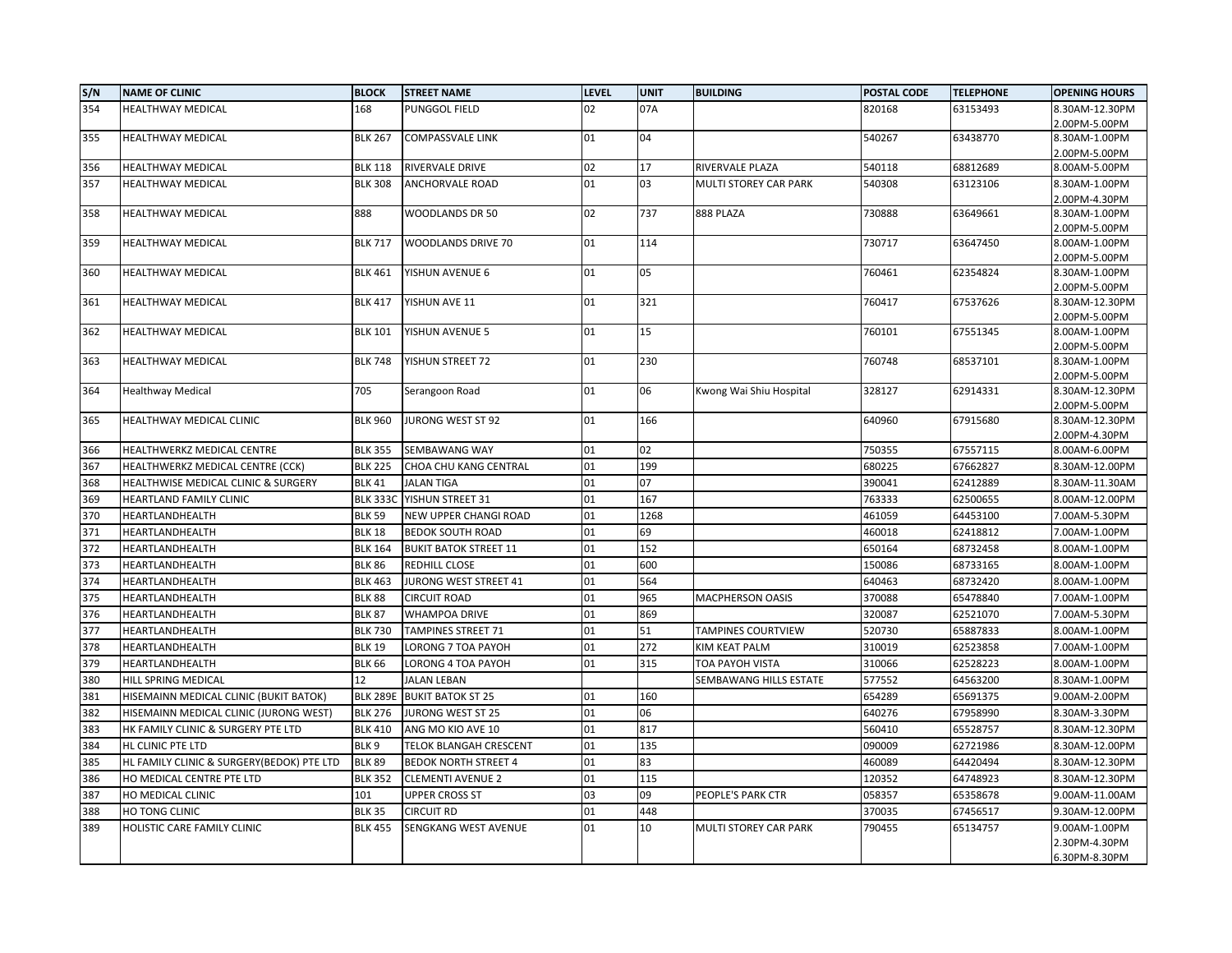| S/N | <b>NAME OF CLINIC</b>                     | <b>BLOCK</b>    | <b>STREET NAME</b>           | <b>LEVEL</b> | <b>UNIT</b> | <b>BUILDING</b>              | <b>POSTAL CODE</b> | <b>TELEPHONE</b> | <b>OPENING HOURS</b>           |
|-----|-------------------------------------------|-----------------|------------------------------|--------------|-------------|------------------------------|--------------------|------------------|--------------------------------|
| 354 | <b>HEALTHWAY MEDICAL</b>                  | 168             | PUNGGOL FIELD                | 02           | 07A         |                              | 820168             | 63153493         | 8.30AM-12.30PM                 |
| 355 | HEALTHWAY MEDICAL                         | <b>BLK 267</b>  | <b>COMPASSVALE LINK</b>      | 01           | 04          |                              | 540267             | 63438770         | 2.00PM-5.00PM<br>8.30AM-1.00PM |
|     |                                           |                 |                              |              |             |                              |                    |                  | 2.00PM-5.00PM                  |
| 356 | HEALTHWAY MEDICAL                         | <b>BLK 118</b>  | RIVERVALE DRIVE              | 02           | 17          | RIVERVALE PLAZA              | 540118             | 68812689         | 8.00AM-5.00PM                  |
| 357 | <b>HEALTHWAY MEDICAL</b>                  | <b>BLK 308</b>  | ANCHORVALE ROAD              | 01           | 03          | MULTI STOREY CAR PARK        | 540308             | 63123106         | 8.30AM-1.00PM                  |
|     |                                           |                 |                              |              |             |                              |                    |                  | 2.00PM-4.30PM                  |
| 358 | <b>HEALTHWAY MEDICAL</b>                  | 888             | WOODLANDS DR 50              | 02           | 737         | 888 PLAZA                    | 730888             | 63649661         | 8.30AM-1.00PM                  |
| 359 | <b>HEALTHWAY MEDICAL</b>                  | <b>BLK 717</b>  | WOODLANDS DRIVE 70           | 01           | 114         |                              | 730717             | 63647450         | 2.00PM-5.00PM<br>8.00AM-1.00PM |
|     |                                           |                 |                              |              |             |                              |                    |                  | 2.00PM-5.00PM                  |
| 360 | HEALTHWAY MEDICAL                         | <b>BLK 461</b>  | YISHUN AVENUE 6              | 01           | 05          |                              | 760461             | 62354824         | 8.30AM-1.00PM                  |
|     |                                           |                 |                              |              |             |                              |                    |                  | 2.00PM-5.00PM                  |
| 361 | <b>HEALTHWAY MEDICAL</b>                  | <b>BLK 417</b>  | YISHUN AVE 11                | 01           | 321         |                              | 760417             | 67537626         | 8.30AM-12.30PM                 |
|     |                                           |                 |                              |              |             |                              |                    |                  | 2.00PM-5.00PM                  |
| 362 | <b>HEALTHWAY MEDICAL</b>                  | <b>BLK 101</b>  | YISHUN AVENUE 5              | 01           | 15          |                              | 760101             | 67551345         | 8.00AM-1.00PM                  |
| 363 | HEALTHWAY MEDICAL                         | <b>BLK 748</b>  | YISHUN STREET 72             | 01           | 230         |                              | 760748             | 68537101         | 2.00PM-5.00PM<br>8.30AM-1.00PM |
|     |                                           |                 |                              |              |             |                              |                    |                  | 2.00PM-5.00PM                  |
| 364 | <b>Healthway Medical</b>                  | 705             | Serangoon Road               | 01           | 06          | Kwong Wai Shiu Hospital      | 328127             | 62914331         | 8.30AM-12.30PM                 |
|     |                                           |                 |                              |              |             |                              |                    |                  | 2.00PM-5.00PM                  |
| 365 | HEALTHWAY MEDICAL CLINIC                  | <b>BLK 960</b>  | <b>JURONG WEST ST 92</b>     | 01           | 166         |                              | 640960             | 67915680         | 8.30AM-12.30PM                 |
|     |                                           |                 |                              |              |             |                              |                    |                  | 2.00PM-4.30PM                  |
| 366 | HEALTHWERKZ MEDICAL CENTRE                | <b>BLK 355</b>  | SEMBAWANG WAY                | 01           | 02          |                              | 750355             | 67557115         | 8.00AM-6.00PM                  |
| 367 | HEALTHWERKZ MEDICAL CENTRE (CCK)          | <b>BLK 225</b>  | CHOA CHU KANG CENTRAL        | 01           | 199         |                              | 680225             | 67662827         | 8.30AM-12.00PM                 |
| 368 | HEALTHWISE MEDICAL CLINIC & SURGERY       | <b>BLK 41</b>   | <b>JALAN TIGA</b>            | 01           | 07          |                              | 390041             | 62412889         | 8.30AM-11.30AM                 |
| 369 | HEARTLAND FAMILY CLINIC                   | <b>BLK 333C</b> | YISHUN STREET 31             | 01           | 167         |                              | 763333             | 62500655         | 8.00AM-12.00PM                 |
| 370 | HEARTLANDHEALTH                           | <b>BLK 59</b>   | NEW UPPER CHANGI ROAD        | 01           | 1268        |                              | 461059             | 64453100         | 7.00AM-5.30PM                  |
| 371 | HEARTLANDHEALTH                           | <b>BLK 18</b>   | <b>BEDOK SOUTH ROAD</b>      | 01           | 69          |                              | 460018             | 62418812         | 7.00AM-1.00PM                  |
| 372 | HEARTLANDHEALTH                           | <b>BLK 164</b>  | <b>BUKIT BATOK STREET 11</b> | 01           | 152         |                              | 650164             | 68732458         | 8.00AM-1.00PM                  |
| 373 | HEARTLANDHEALTH                           | <b>BLK 86</b>   | REDHILL CLOSE                | 01           | 600         |                              | 150086             | 68733165         | 8.00AM-1.00PM                  |
| 374 | HEARTLANDHEALTH                           | <b>BLK 463</b>  | JURONG WEST STREET 41        | 01           | 564         |                              | 640463             | 68732420         | 8.00AM-1.00PM                  |
| 375 | HEARTLANDHEALTH                           | <b>BLK 88</b>   | CIRCUIT ROAD                 | 01           | 965         | <b>MACPHERSON OASIS</b>      | 370088             | 65478840         | 7.00AM-1.00PM                  |
| 376 | HEARTLANDHEALTH                           | <b>BLK 87</b>   | <b>WHAMPOA DRIVE</b>         | 01           | 869         |                              | 320087             | 62521070         | 7.00AM-5.30PM                  |
| 377 | HEARTLANDHEALTH                           | <b>BLK 730</b>  | <b>TAMPINES STREET 71</b>    | 01           | 51          | <b>TAMPINES COURTVIEW</b>    | 520730             | 65887833         | 8.00AM-1.00PM                  |
| 378 | HEARTLANDHEALTH                           | <b>BLK 19</b>   | LORONG 7 TOA PAYOH           | 01           | 272         | KIM KEAT PALM                | 310019             | 62523858         | 7.00AM-1.00PM                  |
| 379 | HEARTLANDHEALTH                           | <b>BLK 66</b>   | LORONG 4 TOA PAYOH           | 01           | 315         | TOA PAYOH VISTA              | 310066             | 62528223         | 8.00AM-1.00PM                  |
| 380 | HILL SPRING MEDICAL                       | 12              | <b>JALAN LEBAN</b>           |              |             | SEMBAWANG HILLS ESTATE       | 577552             | 64563200         | 8.30AM-1.00PM                  |
| 381 | HISEMAINN MEDICAL CLINIC (BUKIT BATOK)    | <b>BLK 289E</b> | <b>BUKIT BATOK ST 25</b>     | 01           | 160         |                              | 654289             | 65691375         | 9.00AM-2.00PM                  |
| 382 | HISEMAINN MEDICAL CLINIC (JURONG WEST)    | <b>BLK 276</b>  | JURONG WEST ST 25            | 01           | 06          |                              | 640276             | 67958990         | 8.30AM-3.30PM                  |
| 383 | HK FAMILY CLINIC & SURGERY PTE LTD        | <b>BLK 410</b>  | ANG MO KIO AVE 10            | 01           | 817         |                              | 560410             | 65528757         | 8.30AM-12.30PM                 |
| 384 | HL CLINIC PTE LTD                         | BLK 9           | TELOK BLANGAH CRESCENT       | 01           | 135         |                              | 090009             | 62721986         | 8.30AM-12.00PM                 |
| 385 | HL FAMILY CLINIC & SURGERY(BEDOK) PTE LTD | <b>BLK 89</b>   | <b>BEDOK NORTH STREET 4</b>  | 01           | 83          |                              | 460089             | 64420494         | 8.30AM-12.30PM                 |
| 386 | HO MEDICAL CENTRE PTE LTD                 | <b>BLK 352</b>  | <b>CLEMENTI AVENUE 2</b>     | 01           | 115         |                              | 120352             | 64748923         | 8.30AM-12.30PM                 |
| 387 | HO MEDICAL CLINIC                         | 101             | <b>UPPER CROSS ST</b>        | 03           | 09          | PEOPLE'S PARK CTR            | 058357             | 65358678         | 9.00AM-11.00AM                 |
| 388 | HO TONG CLINIC                            | <b>BLK 35</b>   | <b>CIRCUIT RD</b>            | 01           | 448         |                              | 370035             | 67456517         | 9.30AM-12.00PM                 |
| 389 | HOLISTIC CARE FAMILY CLINIC               | <b>BLK 455</b>  | <b>SENGKANG WEST AVENUE</b>  | 01           | 10          | <b>MULTI STOREY CAR PARK</b> | 790455             | 65134757         | 9.00AM-1.00PM                  |
|     |                                           |                 |                              |              |             |                              |                    |                  | 2.30PM-4.30PM                  |
|     |                                           |                 |                              |              |             |                              |                    |                  | 6.30PM-8.30PM                  |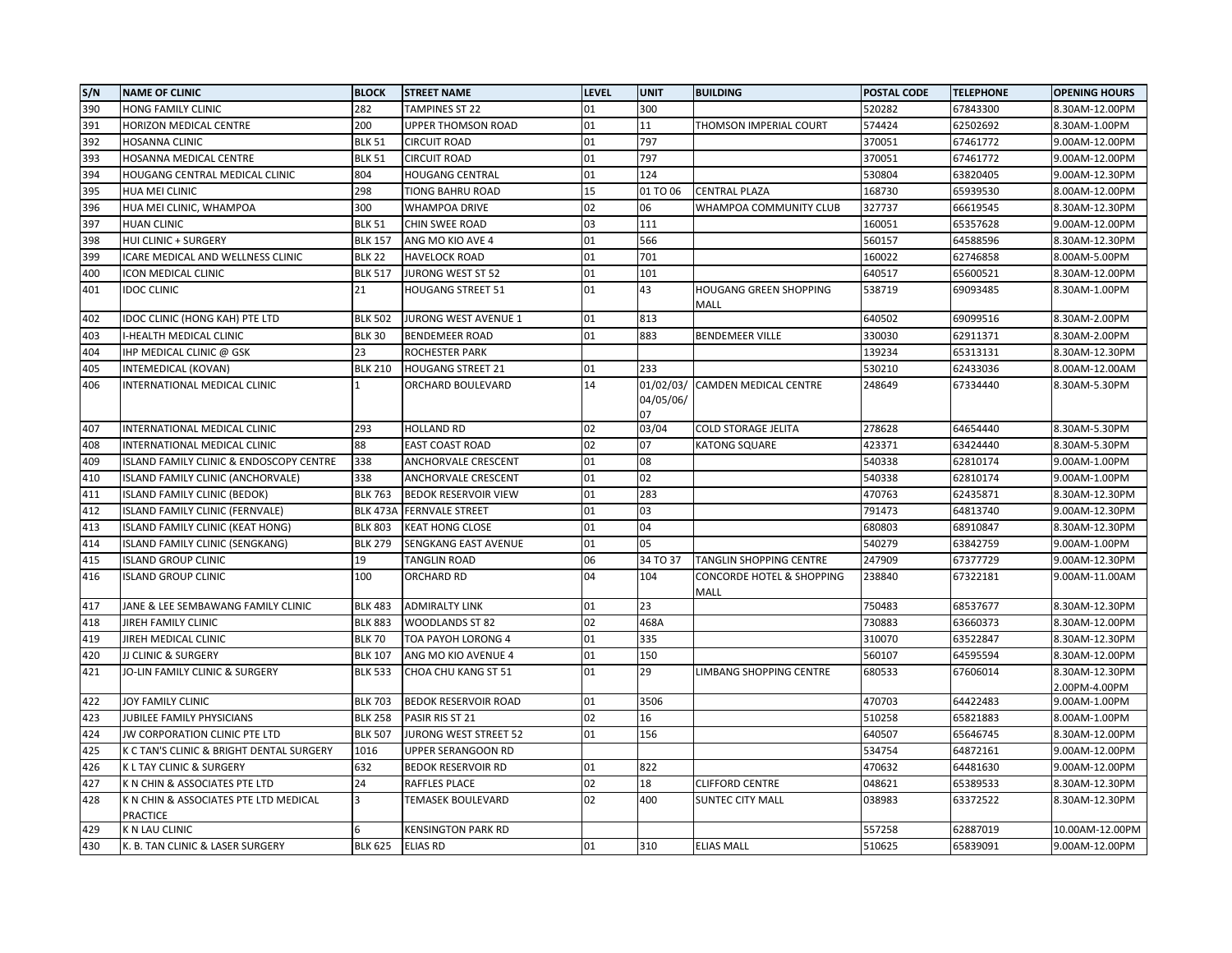| S/N | <b>NAME OF CLINIC</b>                             | <b>BLOCK</b>            | <b>STREET NAME</b>          | <b>LEVEL</b> | <b>UNIT</b>     | <b>BUILDING</b>                   | POSTAL CODE | <b>TELEPHONE</b> | <b>OPENING HOURS</b>            |
|-----|---------------------------------------------------|-------------------------|-----------------------------|--------------|-----------------|-----------------------------------|-------------|------------------|---------------------------------|
| 390 | HONG FAMILY CLINIC                                | 282                     | <b>TAMPINES ST 22</b>       | 01           | 300             |                                   | 520282      | 67843300         | 8.30AM-12.00PM                  |
| 391 | HORIZON MEDICAL CENTRE                            | 200                     | UPPER THOMSON ROAD          | 01           | 11              | THOMSON IMPERIAL COURT            | 574424      | 62502692         | 8.30AM-1.00PM                   |
| 392 | HOSANNA CLINIC                                    | <b>BLK 51</b>           | <b>CIRCUIT ROAD</b>         | 01           | 797             |                                   | 370051      | 67461772         | 9.00AM-12.00PM                  |
| 393 | HOSANNA MEDICAL CENTRE                            | <b>BLK 51</b>           | <b>CIRCUIT ROAD</b>         | 01           | 797             |                                   | 370051      | 67461772         | 9.00AM-12.00PM                  |
| 394 | HOUGANG CENTRAL MEDICAL CLINIC                    | 804                     | <b>HOUGANG CENTRAL</b>      | 01           | 124             |                                   | 530804      | 63820405         | 9.00AM-12.30PM                  |
| 395 | HUA MEI CLINIC                                    | 298                     | <b>TIONG BAHRU ROAD</b>     | 15           | 01 TO 06        | <b>CENTRAL PLAZA</b>              | 168730      | 65939530         | 8.00AM-12.00PM                  |
| 396 | HUA MEI CLINIC, WHAMPOA                           | 300                     | WHAMPOA DRIVE               | 02           | 06              | WHAMPOA COMMUNITY CLUB            | 327737      | 66619545         | 8.30AM-12.30PM                  |
| 397 | <b>HUAN CLINIC</b>                                | <b>BLK 51</b>           | CHIN SWEE ROAD              | 03           | 111             |                                   | 160051      | 65357628         | 9.00AM-12.00PM                  |
| 398 | HUI CLINIC + SURGERY                              | <b>BLK 157</b>          | ANG MO KIO AVE 4            | 01           | 566             |                                   | 560157      | 64588596         | 8.30AM-12.30PM                  |
| 399 | ICARE MEDICAL AND WELLNESS CLINIC                 | <b>BLK 22</b>           | <b>HAVELOCK ROAD</b>        | 01           | 701             |                                   | 160022      | 62746858         | 8.00AM-5.00PM                   |
| 400 | <b>ICON MEDICAL CLINIC</b>                        | <b>BLK 517</b>          | JURONG WEST ST 52           | 01           | 101             |                                   | 640517      | 65600521         | 8.30AM-12.00PM                  |
| 401 | <b>IDOC CLINIC</b>                                | 21                      | <b>HOUGANG STREET 51</b>    | 01           | 43              | HOUGANG GREEN SHOPPING<br>MALL    | 538719      | 69093485         | 8.30AM-1.00PM                   |
| 402 | IDOC CLINIC (HONG KAH) PTE LTD                    | <b>BLK 502</b>          | JURONG WEST AVENUE 1        | 01           | 813             |                                   | 640502      | 69099516         | 8.30AM-2.00PM                   |
| 403 | I-HEALTH MEDICAL CLINIC                           | <b>BLK 30</b>           | <b>BENDEMEER ROAD</b>       | 01           | 883             | <b>BENDEMEER VILLE</b>            | 330030      | 62911371         | 8.30AM-2.00PM                   |
| 404 | IHP MEDICAL CLINIC @ GSK                          | 23                      | ROCHESTER PARK              |              |                 |                                   | 139234      | 65313131         | 8.30AM-12.30PM                  |
| 405 | INTEMEDICAL (KOVAN)                               | <b>BLK 210</b>          | <b>HOUGANG STREET 21</b>    | 01           | 233             |                                   | 530210      | 62433036         | 8.00AM-12.00AM                  |
| 406 | INTERNATIONAL MEDICAL CLINIC                      | 1                       | ORCHARD BOULEVARD           | 14           | 04/05/06/<br>07 | 01/02/03/ CAMDEN MEDICAL CENTRE   | 248649      | 67334440         | 8.30AM-5.30PM                   |
| 407 | INTERNATIONAL MEDICAL CLINIC                      | 293                     | <b>HOLLAND RD</b>           | 02           | 03/04           | COLD STORAGE JELITA               | 278628      | 64654440         | 8.30AM-5.30PM                   |
| 408 | INTERNATIONAL MEDICAL CLINIC                      | 88                      | <b>EAST COAST ROAD</b>      | 02           | 07              | <b>KATONG SQUARE</b>              | 423371      | 63424440         | 8.30AM-5.30PM                   |
| 409 | ISLAND FAMILY CLINIC & ENDOSCOPY CENTRE           | 338                     | ANCHORVALE CRESCENT         | 01           | 08              |                                   | 540338      | 62810174         | 9.00AM-1.00PM                   |
| 410 | ISLAND FAMILY CLINIC (ANCHORVALE)                 | 338                     | ANCHORVALE CRESCENT         | 01           | 02              |                                   | 540338      | 62810174         | 9.00AM-1.00PM                   |
| 411 | <b>ISLAND FAMILY CLINIC (BEDOK)</b>               | <b>BLK 763</b>          | <b>BEDOK RESERVOIR VIEW</b> | 01           | 283             |                                   | 470763      | 62435871         | 8.30AM-12.30PM                  |
| 412 | ISLAND FAMILY CLINIC (FERNVALE)                   | <b>BLK 473A</b>         | <b>FERNVALE STREET</b>      | 01           | 03              |                                   | 791473      | 64813740         | 9.00AM-12.30PM                  |
| 413 | <b>ISLAND FAMILY CLINIC (KEAT HONG)</b>           | <b>BLK 803</b>          | <b>KEAT HONG CLOSE</b>      | 01           | 04              |                                   | 680803      | 68910847         | 8.30AM-12.30PM                  |
| 414 | ISLAND FAMILY CLINIC (SENGKANG)                   | <b>BLK 279</b>          | SENGKANG EAST AVENUE        | 01           | 05              |                                   | 540279      | 63842759         | 9.00AM-1.00PM                   |
| 415 | <b>ISLAND GROUP CLINIC</b>                        | 19                      | TANGLIN ROAD                | 06           | 34 TO 37        | TANGLIN SHOPPING CENTRE           | 247909      | 67377729         | 9.00AM-12.30PM                  |
| 416 | <b>ISLAND GROUP CLINIC</b>                        | 100                     | ORCHARD RD                  | 04           | 104             | CONCORDE HOTEL & SHOPPING<br>MALL | 238840      | 67322181         | 9.00AM-11.00AM                  |
| 417 | JANE & LEE SEMBAWANG FAMILY CLINIC                | <b>BLK 483</b>          | <b>ADMIRALTY LINK</b>       | 01           | 23              |                                   | 750483      | 68537677         | 8.30AM-12.30PM                  |
| 418 | JIREH FAMILY CLINIC                               | <b>BLK 883</b>          | WOODLANDS ST 82             | 02           | 468A            |                                   | 730883      | 63660373         | 8.30AM-12.00PM                  |
| 419 | JIREH MEDICAL CLINIC                              | <b>BLK 70</b>           | TOA PAYOH LORONG 4          | 01           | 335             |                                   | 310070      | 63522847         | 8.30AM-12.30PM                  |
| 420 | JJ CLINIC & SURGERY                               | <b>BLK 107</b>          | ANG MO KIO AVENUE 4         | 01           | 150             |                                   | 560107      | 64595594         | 8.30AM-12.00PM                  |
| 421 | JO-LIN FAMILY CLINIC & SURGERY                    | <b>BLK 533</b>          | CHOA CHU KANG ST 51         | 01           | 29              | LIMBANG SHOPPING CENTRE           | 680533      | 67606014         | 8.30AM-12.30PM<br>2.00PM-4.00PM |
| 422 | JOY FAMILY CLINIC                                 | <b>BLK 703</b>          | BEDOK RESERVOIR ROAD        | 01           | 3506            |                                   | 470703      | 64422483         | 9.00AM-1.00PM                   |
| 423 | JUBILEE FAMILY PHYSICIANS                         | <b>BLK 258</b>          | PASIR RIS ST 21             | 02           | 16              |                                   | 510258      | 65821883         | 8.00AM-1.00PM                   |
| 424 | JW CORPORATION CLINIC PTE LTD                     | <b>BLK 507</b>          | JURONG WEST STREET 52       | 01           | 156             |                                   | 640507      | 65646745         | 8.30AM-12.00PM                  |
| 425 | K C TAN'S CLINIC & BRIGHT DENTAL SURGERY          | 1016                    | <b>UPPER SERANGOON RD</b>   |              |                 |                                   | 534754      | 64872161         | 9.00AM-12.00PM                  |
| 426 | K L TAY CLINIC & SURGERY                          | 632                     | <b>BEDOK RESERVOIR RD</b>   | 01           | 822             |                                   | 470632      | 64481630         | 9.00AM-12.00PM                  |
| 427 | K N CHIN & ASSOCIATES PTE LTD                     | 24                      | RAFFLES PLACE               | 02           | 18              | <b>CLIFFORD CENTRE</b>            | 048621      | 65389533         | 8.30AM-12.30PM                  |
| 428 | K N CHIN & ASSOCIATES PTE LTD MEDICAL<br>PRACTICE | $\overline{\mathbf{3}}$ | TEMASEK BOULEVARD           | 02           | 400             | SUNTEC CITY MALL                  | 038983      | 63372522         | 8.30AM-12.30PM                  |
| 429 | K N LAU CLINIC                                    | 6                       | <b>KENSINGTON PARK RD</b>   |              |                 |                                   | 557258      | 62887019         | 10.00AM-12.00PM                 |
| 430 | K. B. TAN CLINIC & LASER SURGERY                  | <b>BLK 625</b>          | <b>ELIAS RD</b>             | 01           | 310             | <b>ELIAS MALL</b>                 | 510625      | 65839091         | 9.00AM-12.00PM                  |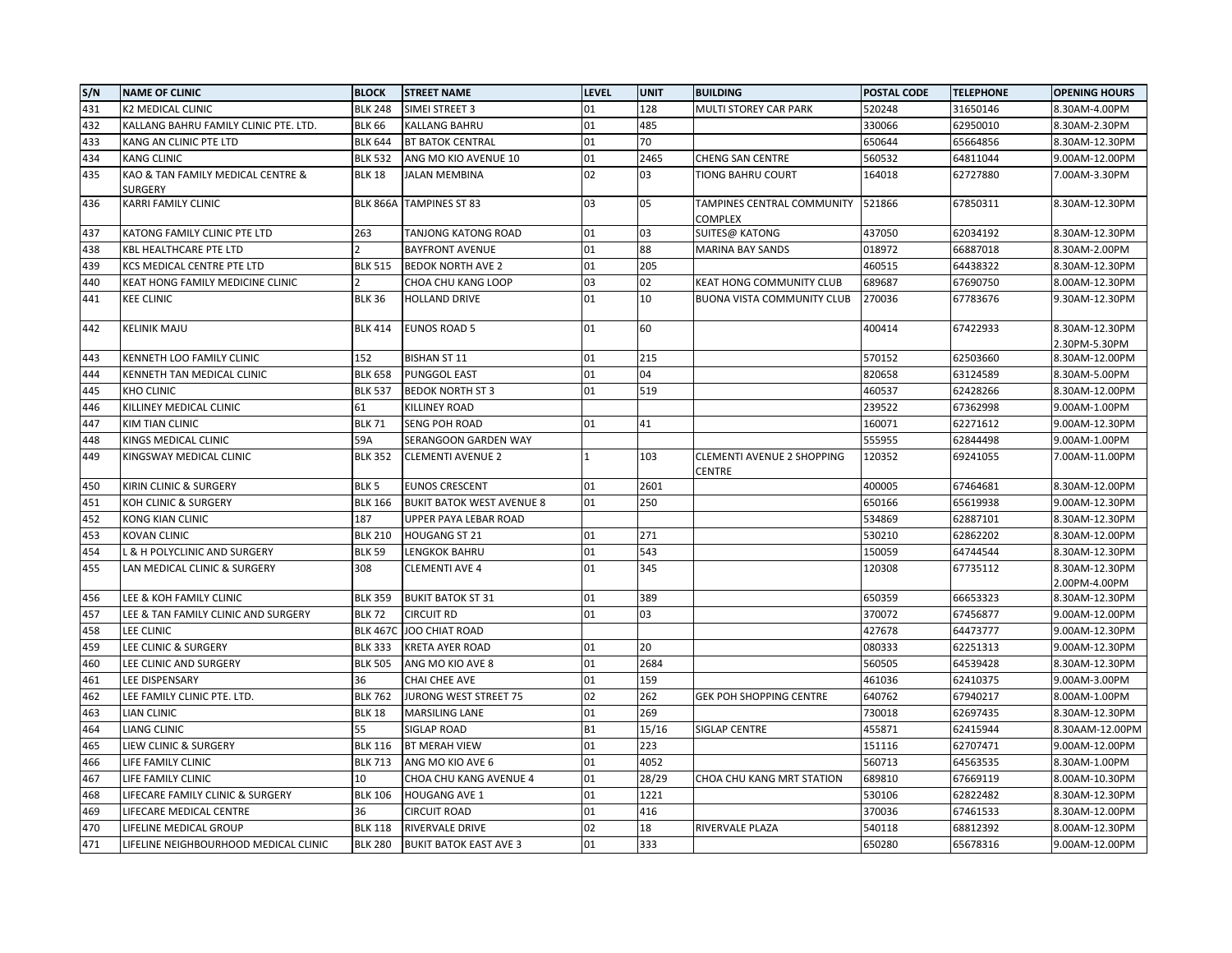| S/N | <b>NAME OF CLINIC</b>                 | <b>BLOCK</b>     | <b>STREET NAME</b>               | <b>LEVEL</b> | <b>UNIT</b> | <b>BUILDING</b>                             | POSTAL CODE | <b>TELEPHONE</b> | <b>OPENING HOURS</b> |
|-----|---------------------------------------|------------------|----------------------------------|--------------|-------------|---------------------------------------------|-------------|------------------|----------------------|
| 431 | <b>K2 MEDICAL CLINIC</b>              | <b>BLK 248</b>   | SIMEI STREET 3                   | 01           | 128         | MULTI STOREY CAR PARK                       | 520248      | 31650146         | 8.30AM-4.00PM        |
| 432 | KALLANG BAHRU FAMILY CLINIC PTE. LTD. | <b>BLK 66</b>    | KALLANG BAHRU                    | 01           | 485         |                                             | 330066      | 62950010         | 8.30AM-2.30PM        |
| 433 | KANG AN CLINIC PTE LTD                | <b>BLK 644</b>   | <b>BT BATOK CENTRAL</b>          | 01           | 70          |                                             | 650644      | 65664856         | 8.30AM-12.30PM       |
| 434 | <b>KANG CLINIC</b>                    | <b>BLK 532</b>   | ANG MO KIO AVENUE 10             | 01           | 2465        | <b>CHENG SAN CENTRE</b>                     | 560532      | 64811044         | 9.00AM-12.00PM       |
| 435 | KAO & TAN FAMILY MEDICAL CENTRE &     | <b>BLK 18</b>    | <b>JALAN MEMBINA</b>             | 02           | 03          | TIONG BAHRU COURT                           | 164018      | 62727880         | 7.00AM-3.30PM        |
|     | SURGERY                               |                  |                                  |              |             |                                             |             |                  |                      |
| 436 | KARRI FAMILY CLINIC                   | <b>BLK 866A</b>  | <b>TAMPINES ST 83</b>            | 03           | 05          | TAMPINES CENTRAL COMMUNITY<br>COMPLEX       | 521866      | 67850311         | 8.30AM-12.30PM       |
| 437 | KATONG FAMILY CLINIC PTE LTD          | 263              | TANJONG KATONG ROAD              | 01           | 03          | SUITES@ KATONG                              | 437050      | 62034192         | 8.30AM-12.30PM       |
| 438 | KBL HEALTHCARE PTE LTD                |                  | <b>BAYFRONT AVENUE</b>           | 01           | 88          | <b>MARINA BAY SANDS</b>                     | 018972      | 66887018         | 8.30AM-2.00PM        |
| 439 | KCS MEDICAL CENTRE PTE LTD            | <b>BLK 515</b>   | <b>BEDOK NORTH AVE 2</b>         | 01           | 205         |                                             | 460515      | 64438322         | 8.30AM-12.30PM       |
| 440 | KEAT HONG FAMILY MEDICINE CLINIC      |                  | CHOA CHU KANG LOOP               | 03           | 02          | KEAT HONG COMMUNITY CLUB                    | 689687      | 67690750         | 8.00AM-12.30PM       |
| 441 | <b>KEE CLINIC</b>                     | <b>BLK 36</b>    | <b>HOLLAND DRIVE</b>             | 01           | 10          | <b>BUONA VISTA COMMUNITY CLUB</b>           | 270036      | 67783676         | 9.30AM-12.30PM       |
| 442 | <b>KELINIK MAJU</b>                   | <b>BLK 414</b>   | <b>EUNOS ROAD 5</b>              | 01           | 60          |                                             | 400414      | 67422933         | 8.30AM-12.30PM       |
|     |                                       |                  |                                  |              |             |                                             |             |                  | 2.30PM-5.30PM        |
| 443 | KENNETH LOO FAMILY CLINIC             | 152              | <b>BISHAN ST 11</b>              | 01           | 215         |                                             | 570152      | 62503660         | 8.30AM-12.00PM       |
| 444 | KENNETH TAN MEDICAL CLINIC            | <b>BLK 658</b>   | <b>PUNGGOL EAST</b>              | 01           | 04          |                                             | 820658      | 63124589         | 8.30AM-5.00PM        |
| 445 | <b>KHO CLINIC</b>                     | <b>BLK 537</b>   | <b>BEDOK NORTH ST 3</b>          | 01           | 519         |                                             | 460537      | 62428266         | 8.30AM-12.00PM       |
| 446 | KILLINEY MEDICAL CLINIC               | 61               | KILLINEY ROAD                    |              |             |                                             | 239522      | 67362998         | 9.00AM-1.00PM        |
| 447 | KIM TIAN CLINIC                       | <b>BLK 71</b>    | <b>SENG POH ROAD</b>             | 01           | 41          |                                             | 160071      | 62271612         | 9.00AM-12.30PM       |
| 448 | KINGS MEDICAL CLINIC                  | 59A              | SERANGOON GARDEN WAY             |              |             |                                             | 555955      | 62844498         | 9.00AM-1.00PM        |
| 449 | KINGSWAY MEDICAL CLINIC               | <b>BLK 352</b>   | <b>CLEMENTI AVENUE 2</b>         |              | 103         | <b>CLEMENTI AVENUE 2 SHOPPING</b><br>CENTRE | 120352      | 69241055         | 7.00AM-11.00PM       |
| 450 | KIRIN CLINIC & SURGERY                | BLK <sub>5</sub> | <b>EUNOS CRESCENT</b>            | 01           | 2601        |                                             | 400005      | 67464681         | 8.30AM-12.00PM       |
| 451 | KOH CLINIC & SURGERY                  | <b>BLK 166</b>   | <b>BUKIT BATOK WEST AVENUE 8</b> | 01           | 250         |                                             | 650166      | 65619938         | 9.00AM-12.30PM       |
| 452 | <b>KONG KIAN CLINIC</b>               | 187              | UPPER PAYA LEBAR ROAD            |              |             |                                             | 534869      | 62887101         | 8.30AM-12.30PM       |
| 453 | KOVAN CLINIC                          | <b>BLK 210</b>   | HOUGANG ST 21                    | 01           | 271         |                                             | 530210      | 62862202         | 8.30AM-12.00PM       |
| 454 | L & H POLYCLINIC AND SURGERY          | <b>BLK 59</b>    | LENGKOK BAHRU                    | 01           | 543         |                                             | 150059      | 64744544         | 8.30AM-12.30PM       |
| 455 | LAN MEDICAL CLINIC & SURGERY          | 308              | CLEMENTI AVE 4                   | 01           | 345         |                                             | 120308      | 67735112         | 8.30AM-12.30PM       |
|     |                                       |                  |                                  |              |             |                                             |             |                  | 2.00PM-4.00PM        |
| 456 | LEE & KOH FAMILY CLINIC               | <b>BLK 359</b>   | <b>BUKIT BATOK ST 31</b>         | 01           | 389         |                                             | 650359      | 66653323         | 8.30AM-12.30PM       |
| 457 | LEE & TAN FAMILY CLINIC AND SURGERY   | <b>BLK 72</b>    | <b>CIRCUIT RD</b>                | 01           | 03          |                                             | 370072      | 67456877         | 9.00AM-12.00PM       |
| 458 | <b>LEE CLINIC</b>                     | <b>BLK 467C</b>  | <b>JOO CHIAT ROAD</b>            |              |             |                                             | 427678      | 64473777         | 9.00AM-12.30PM       |
| 459 | LEE CLINIC & SURGERY                  | <b>BLK 333</b>   | <b>KRETA AYER ROAD</b>           | 01           | 20          |                                             | 080333      | 62251313         | 9.00AM-12.30PM       |
| 460 | LEE CLINIC AND SURGERY                | <b>BLK 505</b>   | ANG MO KIO AVE 8                 | 01           | 2684        |                                             | 560505      | 64539428         | 8.30AM-12.30PM       |
| 461 | LEE DISPENSARY                        | 36               | CHAI CHEE AVE                    | 01           | 159         |                                             | 461036      | 62410375         | 9.00AM-3.00PM        |
| 462 | LEE FAMILY CLINIC PTE. LTD.           | <b>BLK 762</b>   | <b>JURONG WEST STREET 75</b>     | 02           | 262         | <b>GEK POH SHOPPING CENTRE</b>              | 640762      | 67940217         | 8.00AM-1.00PM        |
| 463 | LIAN CLINIC                           | <b>BLK 18</b>    | <b>MARSILING LANE</b>            | 01           | 269         |                                             | 730018      | 62697435         | 8.30AM-12.30PM       |
| 464 | LIANG CLINIC                          | 55               | SIGLAP ROAD                      | <b>B1</b>    | 15/16       | SIGLAP CENTRE                               | 455871      | 62415944         | 8.30AAM-12.00PM      |
| 465 | LIEW CLINIC & SURGERY                 | <b>BLK 116</b>   | <b>BT MERAH VIEW</b>             | 01           | 223         |                                             | 151116      | 62707471         | 9.00AM-12.00PM       |
| 466 | LIFE FAMILY CLINIC                    | <b>BLK 713</b>   | ANG MO KIO AVE 6                 | 01           | 4052        |                                             | 560713      | 64563535         | 8.30AM-1.00PM        |
| 467 | LIFE FAMILY CLINIC                    | 10               | CHOA CHU KANG AVENUE 4           | 01           | 28/29       | CHOA CHU KANG MRT STATION                   | 689810      | 67669119         | 8.00AM-10.30PM       |
| 468 | LIFECARE FAMILY CLINIC & SURGERY      | <b>BLK 106</b>   | HOUGANG AVE 1                    | 01           | 1221        |                                             | 530106      | 62822482         | 8.30AM-12.30PM       |
| 469 | LIFECARE MEDICAL CENTRE               | 36               | CIRCUIT ROAD                     | 01           | 416         |                                             | 370036      | 67461533         | 8.30AM-12.00PM       |
| 470 | LIFELINE MEDICAL GROUP                | <b>BLK 118</b>   | RIVERVALE DRIVE                  | 02           | 18          | RIVERVALE PLAZA                             | 540118      | 68812392         | 8.00AM-12.30PM       |
| 471 | LIFELINE NEIGHBOURHOOD MEDICAL CLINIC | <b>BLK 280</b>   | <b>BUKIT BATOK EAST AVE 3</b>    | 01           | 333         |                                             | 650280      | 65678316         | 9.00AM-12.00PM       |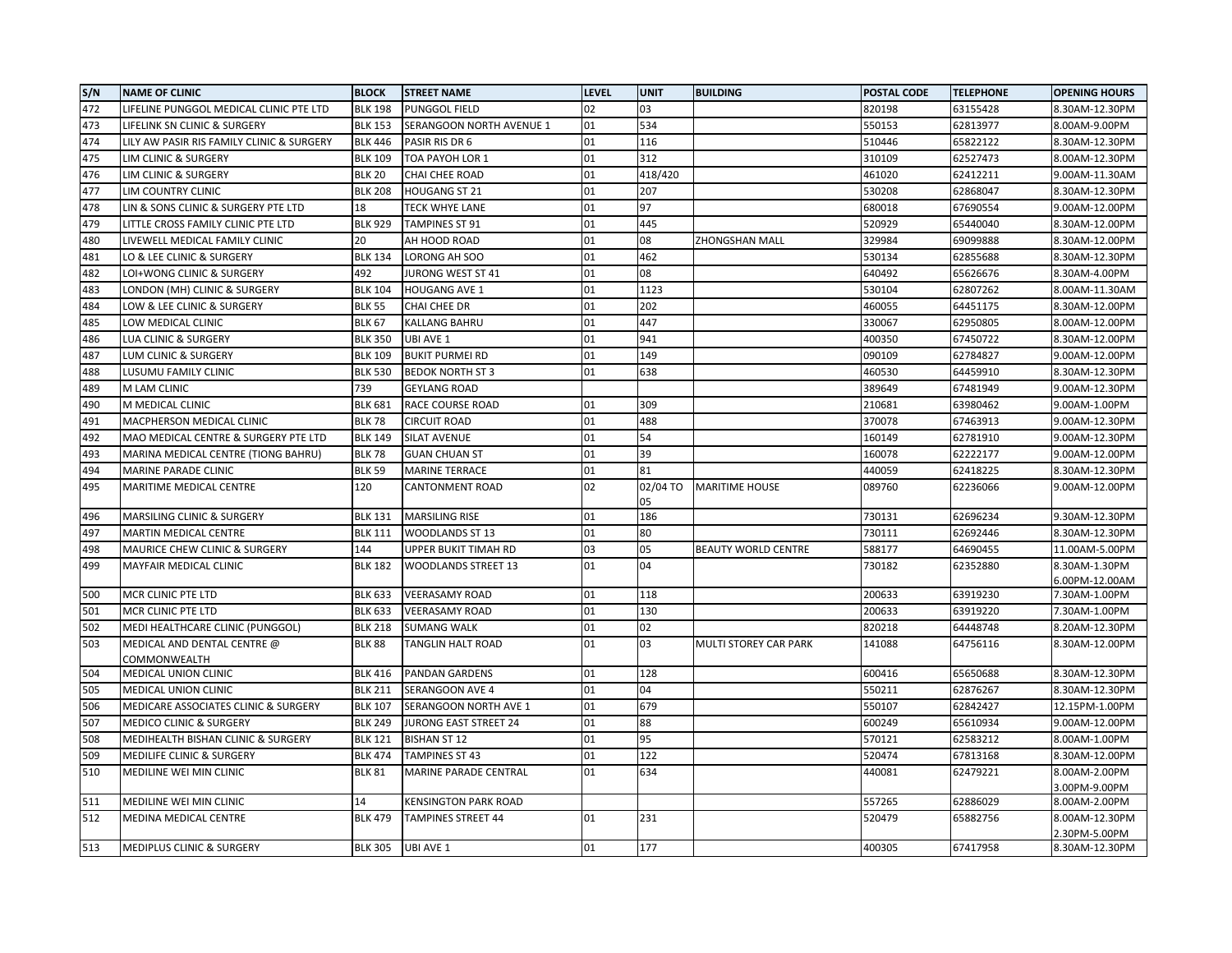| S/N | <b>NAME OF CLINIC</b>                       | <b>BLOCK</b>   | <b>STREET NAME</b>           | <b>LEVEL</b> | <b>UNIT</b>    | <b>BUILDING</b>            | POSTAL CODE | <b>TELEPHONE</b> | <b>OPENING HOURS</b>            |
|-----|---------------------------------------------|----------------|------------------------------|--------------|----------------|----------------------------|-------------|------------------|---------------------------------|
| 472 | LIFELINE PUNGGOL MEDICAL CLINIC PTE LTD     | <b>BLK 198</b> | <b>PUNGGOL FIELD</b>         | 02           | 03             |                            | 820198      | 63155428         | 8.30AM-12.30PM                  |
| 473 | LIFELINK SN CLINIC & SURGERY                | <b>BLK 153</b> | SERANGOON NORTH AVENUE 1     | 01           | 534            |                            | 550153      | 62813977         | 8.00AM-9.00PM                   |
| 474 | LILY AW PASIR RIS FAMILY CLINIC & SURGERY   | <b>BLK 446</b> | PASIR RIS DR 6               | 01           | 116            |                            | 510446      | 65822122         | 8.30AM-12.30PM                  |
| 475 | LIM CLINIC & SURGERY                        | <b>BLK 109</b> | TOA PAYOH LOR 1              | 01           | 312            |                            | 310109      | 62527473         | 8.00AM-12.30PM                  |
| 476 | LIM CLINIC & SURGERY                        | <b>BLK 20</b>  | CHAI CHEE ROAD               | 01           | 418/420        |                            | 461020      | 62412211         | 9.00AM-11.30AM                  |
| 477 | LIM COUNTRY CLINIC                          | <b>BLK 208</b> | <b>HOUGANG ST 21</b>         | 01           | 207            |                            | 530208      | 62868047         | 8.30AM-12.30PM                  |
| 478 | LIN & SONS CLINIC & SURGERY PTE LTD         | 18             | <b>TECK WHYE LANE</b>        | 01           | 97             |                            | 680018      | 67690554         | 9.00AM-12.00PM                  |
| 479 | LITTLE CROSS FAMILY CLINIC PTE LTD          | <b>BLK 929</b> | <b>TAMPINES ST 91</b>        | 01           | 445            |                            | 520929      | 65440040         | 8.30AM-12.00PM                  |
| 480 | LIVEWELL MEDICAL FAMILY CLINIC              | 20             | AH HOOD ROAD                 | 01           | 08             | <b>ZHONGSHAN MALL</b>      | 329984      | 69099888         | 8.30AM-12.00PM                  |
| 481 | LO & LEE CLINIC & SURGERY                   | <b>BLK 134</b> | LORONG AH SOO                | 01           | 462            |                            | 530134      | 62855688         | 8.30AM-12.30PM                  |
| 482 | LOI+WONG CLINIC & SURGERY                   | 492            | JURONG WEST ST 41            | 01           | 08             |                            | 640492      | 65626676         | 8.30AM-4.00PM                   |
| 483 | LONDON (MH) CLINIC & SURGERY                | <b>BLK 104</b> | <b>HOUGANG AVE 1</b>         | 01           | 1123           |                            | 530104      | 62807262         | 8.00AM-11.30AM                  |
| 484 | LOW & LEE CLINIC & SURGERY                  | <b>BLK 55</b>  | CHAI CHEE DR                 | 01           | 202            |                            | 460055      | 64451175         | 8.30AM-12.00PM                  |
| 485 | LOW MEDICAL CLINIC                          | <b>BLK 67</b>  | KALLANG BAHRU                | 01           | 447            |                            | 330067      | 62950805         | 8.00AM-12.00PM                  |
| 486 | LUA CLINIC & SURGERY                        | <b>BLK 350</b> | <b>UBI AVE 1</b>             | 01           | 941            |                            | 400350      | 67450722         | 8.30AM-12.00PM                  |
| 487 | LUM CLINIC & SURGERY                        | <b>BLK 109</b> | <b>BUKIT PURMEI RD</b>       | 01           | 149            |                            | 090109      | 62784827         | 9.00AM-12.00PM                  |
| 488 | LUSUMU FAMILY CLINIC                        | <b>BLK 530</b> | <b>BEDOK NORTH ST 3</b>      | 01           | 638            |                            | 460530      | 64459910         | 8.30AM-12.30PM                  |
| 489 | M LAM CLINIC                                | 739            | <b>GEYLANG ROAD</b>          |              |                |                            | 389649      | 67481949         | 9.00AM-12.30PM                  |
| 490 | M MEDICAL CLINIC                            | <b>BLK 681</b> | RACE COURSE ROAD             | 01           | 309            |                            | 210681      | 63980462         | 9.00AM-1.00PM                   |
| 491 | MACPHERSON MEDICAL CLINIC                   | <b>BLK 78</b>  | <b>CIRCUIT ROAD</b>          | 01           | 488            |                            | 370078      | 67463913         | 9.00AM-12.30PM                  |
| 492 | MAO MEDICAL CENTRE & SURGERY PTE LTD        | <b>BLK 149</b> | SILAT AVENUE                 | 01           | 54             |                            | 160149      | 62781910         | 9.00AM-12.30PM                  |
| 493 | MARINA MEDICAL CENTRE (TIONG BAHRU)         | <b>BLK 78</b>  | <b>GUAN CHUAN ST</b>         | 01           | 39             |                            | 160078      | 62222177         | 9.00AM-12.00PM                  |
| 494 | MARINE PARADE CLINIC                        | <b>BLK 59</b>  | <b>MARINE TERRACE</b>        | 01           | 81             |                            | 440059      | 62418225         | 8.30AM-12.30PM                  |
| 495 | MARITIME MEDICAL CENTRE                     | 120            | CANTONMENT ROAD              | 02           | 02/04 TO<br>05 | <b>MARITIME HOUSE</b>      | 089760      | 62236066         | 9.00AM-12.00PM                  |
| 496 | MARSILING CLINIC & SURGERY                  | <b>BLK 131</b> | <b>MARSILING RISE</b>        | 01           | 186            |                            | 730131      | 62696234         | 9.30AM-12.30PM                  |
| 497 | MARTIN MEDICAL CENTRE                       | <b>BLK 111</b> | <b>WOODLANDS ST 13</b>       | 01           | 80             |                            | 730111      | 62692446         | 8.30AM-12.30PM                  |
| 498 | MAURICE CHEW CLINIC & SURGERY               | 144            | UPPER BUKIT TIMAH RD         | 03           | 05             | <b>BEAUTY WORLD CENTRE</b> | 588177      | 64690455         | 11.00AM-5.00PM                  |
| 499 | <b>MAYFAIR MEDICAL CLINIC</b>               | <b>BLK 182</b> | <b>WOODLANDS STREET 13</b>   | 01           | 04             |                            | 730182      | 62352880         | 8.30AM-1.30PM<br>6.00PM-12.00AM |
| 500 | MCR CLINIC PTE LTD                          | <b>BLK 633</b> | <b>VEERASAMY ROAD</b>        | 01           | 118            |                            | 200633      | 63919230         | 7.30AM-1.00PM                   |
| 501 | MCR CLINIC PTE LTD                          | <b>BLK 633</b> | <b>VEERASAMY ROAD</b>        | 01           | 130            |                            | 200633      | 63919220         | 7.30AM-1.00PM                   |
| 502 | MEDI HEALTHCARE CLINIC (PUNGGOL)            | <b>BLK 218</b> | <b>SUMANG WALK</b>           | 01           | 02             |                            | 820218      | 64448748         | 8.20AM-12.30PM                  |
| 503 | MEDICAL AND DENTAL CENTRE @<br>COMMONWEALTH | <b>BLK 88</b>  | TANGLIN HALT ROAD            | 01           | 03             | MULTI STOREY CAR PARK      | 141088      | 64756116         | 8.30AM-12.00PM                  |
| 504 | <b>MEDICAL UNION CLINIC</b>                 | <b>BLK 416</b> | <b>PANDAN GARDENS</b>        | 01           | 128            |                            | 600416      | 65650688         | 8.30AM-12.30PM                  |
| 505 | MEDICAL UNION CLINIC                        | <b>BLK 211</b> | SERANGOON AVE 4              | 01           | 04             |                            | 550211      | 62876267         | 8.30AM-12.30PM                  |
| 506 | MEDICARE ASSOCIATES CLINIC & SURGERY        | <b>BLK 107</b> | SERANGOON NORTH AVE 1        | 01           | 679            |                            | 550107      | 62842427         | 12.15PM-1.00PM                  |
| 507 | <b>MEDICO CLINIC &amp; SURGERY</b>          | <b>BLK 249</b> | JURONG EAST STREET 24        | 01           | 88             |                            | 600249      | 65610934         | 9.00AM-12.00PM                  |
| 508 | MEDIHEALTH BISHAN CLINIC & SURGERY          | <b>BLK 121</b> | <b>BISHAN ST 12</b>          | 01           | 95             |                            | 570121      | 62583212         | 8.00AM-1.00PM                   |
| 509 | MEDILIFE CLINIC & SURGERY                   | <b>BLK 474</b> | <b>TAMPINES ST 43</b>        | 01           | 122            |                            | 520474      | 67813168         | 8.30AM-12.00PM                  |
| 510 | MEDILINE WEI MIN CLINIC                     | <b>BLK 81</b>  | <b>MARINE PARADE CENTRAL</b> | 01           | 634            |                            | 440081      | 62479221         | 8.00AM-2.00PM                   |
|     |                                             |                |                              |              |                |                            |             |                  | 3.00PM-9.00PM                   |
| 511 | MEDILINE WEI MIN CLINIC                     | 14             | <b>KENSINGTON PARK ROAD</b>  |              |                |                            | 557265      | 62886029         | 8.00AM-2.00PM                   |
| 512 | MEDINA MEDICAL CENTRE                       | <b>BLK 479</b> | <b>TAMPINES STREET 44</b>    | 01           | 231            |                            | 520479      | 65882756         | 8.00AM-12.30PM                  |
| 513 | MEDIPLUS CLINIC & SURGERY                   | <b>BLK 305</b> | <b>UBI AVE 1</b>             | 01           | 177            |                            | 400305      | 67417958         | 2.30PM-5.00PM<br>8.30AM-12.30PM |
|     |                                             |                |                              |              |                |                            |             |                  |                                 |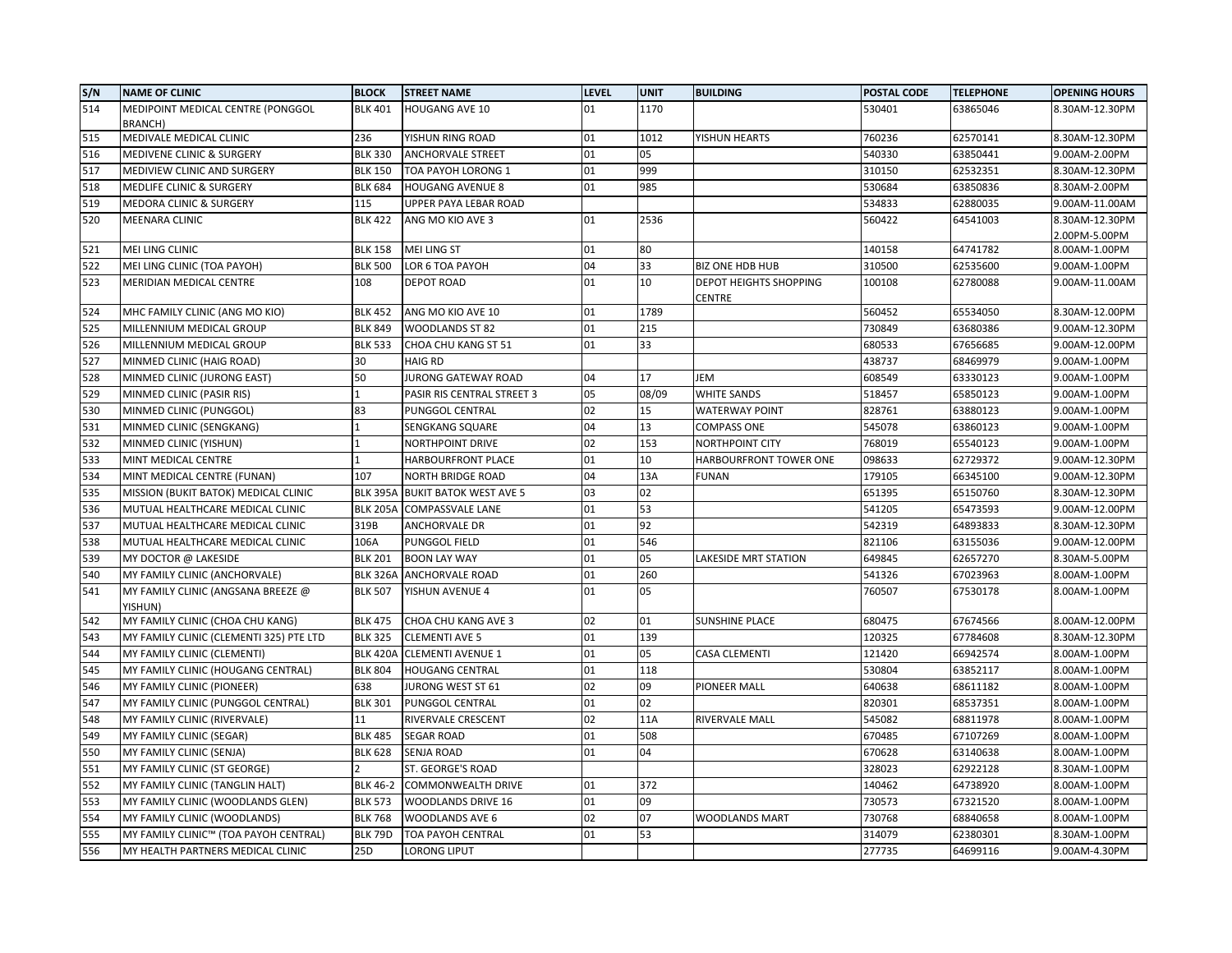| S/N | <b>NAME OF CLINIC</b>                   | <b>BLOCK</b>    | <b>STREET NAME</b>            | <b>LEVEL</b> | <b>UNIT</b> | <b>BUILDING</b>                         | POSTAL CODE | <b>TELEPHONE</b> | <b>OPENING HOURS</b>            |
|-----|-----------------------------------------|-----------------|-------------------------------|--------------|-------------|-----------------------------------------|-------------|------------------|---------------------------------|
| 514 | MEDIPOINT MEDICAL CENTRE (PONGGOL       | <b>BLK 401</b>  | <b>HOUGANG AVE 10</b>         | 01           | 1170        |                                         | 530401      | 63865046         | 8.30AM-12.30PM                  |
|     | BRANCH)                                 |                 |                               |              |             |                                         |             |                  |                                 |
| 515 | MEDIVALE MEDICAL CLINIC                 | 236             | YISHUN RING ROAD              | 01           | 1012        | YISHUN HEARTS                           | 760236      | 62570141         | 8.30AM-12.30PM                  |
| 516 | MEDIVENE CLINIC & SURGERY               | <b>BLK 330</b>  | <b>ANCHORVALE STREET</b>      | 01           | 05          |                                         | 540330      | 63850441         | 9.00AM-2.00PM                   |
| 517 | MEDIVIEW CLINIC AND SURGERY             | <b>BLK 150</b>  | TOA PAYOH LORONG 1            | 01           | 999         |                                         | 310150      | 62532351         | 8.30AM-12.30PM                  |
| 518 | <b>MEDLIFE CLINIC &amp; SURGERY</b>     | <b>BLK 684</b>  | <b>HOUGANG AVENUE 8</b>       | 01           | 985         |                                         | 530684      | 63850836         | 8.30AM-2.00PM                   |
| 519 | <b>MEDORA CLINIC &amp; SURGERY</b>      | 115             | UPPER PAYA LEBAR ROAD         |              |             |                                         | 534833      | 62880035         | 9.00AM-11.00AM                  |
| 520 | MEENARA CLINIC                          | <b>BLK 422</b>  | ANG MO KIO AVE 3              | 01           | 2536        |                                         | 560422      | 64541003         | 8.30AM-12.30PM<br>2.00PM-5.00PM |
| 521 | <b>MEI LING CLINIC</b>                  | <b>BLK 158</b>  | <b>MEI LING ST</b>            | 01           | 80          |                                         | 140158      | 64741782         | 8.00AM-1.00PM                   |
| 522 | MEI LING CLINIC (TOA PAYOH)             | <b>BLK 500</b>  | LOR 6 TOA PAYOH               | 04           | 33          | <b>BIZ ONE HDB HUB</b>                  | 310500      | 62535600         | 9.00AM-1.00PM                   |
| 523 | MERIDIAN MEDICAL CENTRE                 | 108             | <b>DEPOT ROAD</b>             | 01           | 10          | <b>DEPOT HEIGHTS SHOPPING</b><br>CENTRE | 100108      | 62780088         | 9.00AM-11.00AM                  |
| 524 | MHC FAMILY CLINIC (ANG MO KIO)          | <b>BLK 452</b>  | ANG MO KIO AVE 10             | 01           | 1789        |                                         | 560452      | 65534050         | 8.30AM-12.00PM                  |
| 525 | MILLENNIUM MEDICAL GROUP                | <b>BLK 849</b>  | WOODLANDS ST 82               | 01           | 215         |                                         | 730849      | 63680386         | 9.00AM-12.30PM                  |
| 526 | MILLENNIUM MEDICAL GROUP                | <b>BLK 533</b>  | CHOA CHU KANG ST 51           | 01           | 33          |                                         | 680533      | 67656685         | 9.00AM-12.00PM                  |
| 527 | MINMED CLINIC (HAIG ROAD)               | 30              | <b>HAIG RD</b>                |              |             |                                         | 438737      | 68469979         | 9.00AM-1.00PM                   |
| 528 | MINMED CLINIC (JURONG EAST)             | 50              | JURONG GATEWAY ROAD           | 04           | 17          | JEM                                     | 608549      | 63330123         | 9.00AM-1.00PM                   |
| 529 | MINMED CLINIC (PASIR RIS)               |                 | PASIR RIS CENTRAL STREET 3    | 05           | 08/09       | <b>WHITE SANDS</b>                      | 518457      | 65850123         | 9.00AM-1.00PM                   |
| 530 | MINMED CLINIC (PUNGGOL)                 | 83              | PUNGGOL CENTRAL               | 02           | 15          | WATERWAY POINT                          | 828761      | 63880123         | 9.00AM-1.00PM                   |
| 531 | MINMED CLINIC (SENGKANG)                | 1               | SENGKANG SQUARE               | 04           | 13          | COMPASS ONE                             | 545078      | 63860123         | 9.00AM-1.00PM                   |
| 532 | MINMED CLINIC (YISHUN)                  | 1               | NORTHPOINT DRIVE              | 02           | 153         | NORTHPOINT CITY                         | 768019      | 65540123         | 9.00AM-1.00PM                   |
| 533 | MINT MEDICAL CENTRE                     | $\mathbf{1}$    | HARBOURFRONT PLACE            | 01           | 10          | HARBOURFRONT TOWER ONE                  | 098633      | 62729372         | 9.00AM-12.30PM                  |
| 534 | MINT MEDICAL CENTRE (FUNAN)             | 107             | <b>NORTH BRIDGE ROAD</b>      | 04           | 13A         | <b>FUNAN</b>                            | 179105      | 66345100         | 9.00AM-12.30PM                  |
| 535 | MISSION (BUKIT BATOK) MEDICAL CLINIC    | <b>BLK 395A</b> | <b>BUKIT BATOK WEST AVE 5</b> | 03           | 02          |                                         | 651395      | 65150760         | 8.30AM-12.30PM                  |
| 536 | MUTUAL HEALTHCARE MEDICAL CLINIC        | <b>BLK 205A</b> | <b>COMPASSVALE LANE</b>       | 01           | 53          |                                         | 541205      | 65473593         | 9.00AM-12.00PM                  |
| 537 | MUTUAL HEALTHCARE MEDICAL CLINIC        | 319B            | ANCHORVALE DR                 | 01           | 92          |                                         | 542319      | 64893833         | 8.30AM-12.30PM                  |
| 538 | MUTUAL HEALTHCARE MEDICAL CLINIC        | 106A            | PUNGGOL FIELD                 | 01           | 546         |                                         | 821106      | 63155036         | 9.00AM-12.00PM                  |
| 539 | MY DOCTOR @ LAKESIDE                    | <b>BLK 201</b>  | <b>BOON LAY WAY</b>           | 01           | 05          | <b>LAKESIDE MRT STATION</b>             | 649845      | 62657270         | 8.30AM-5.00PM                   |
| 540 | MY FAMILY CLINIC (ANCHORVALE)           | <b>BLK 326A</b> | ANCHORVALE ROAD               | 01           | 260         |                                         | 541326      | 67023963         | 8.00AM-1.00PM                   |
| 541 | MY FAMILY CLINIC (ANGSANA BREEZE @      | <b>BLK 507</b>  | YISHUN AVENUE 4               | 01           | 05          |                                         | 760507      | 67530178         | 8.00AM-1.00PM                   |
|     | YISHUN)                                 |                 |                               |              |             |                                         |             |                  |                                 |
| 542 | MY FAMILY CLINIC (CHOA CHU KANG)        | <b>BLK 475</b>  | CHOA CHU KANG AVE 3           | 02           | 01          | <b>SUNSHINE PLACE</b>                   | 680475      | 67674566         | 8.00AM-12.00PM                  |
| 543 | MY FAMILY CLINIC (CLEMENTI 325) PTE LTD | <b>BLK 325</b>  | <b>CLEMENTI AVE 5</b>         | 01           | 139         |                                         | 120325      | 67784608         | 8.30AM-12.30PM                  |
| 544 | MY FAMILY CLINIC (CLEMENTI)             | <b>BLK 420A</b> | <b>CLEMENTI AVENUE 1</b>      | 01           | 05          | <b>CASA CLEMENTI</b>                    | 121420      | 66942574         | 8.00AM-1.00PM                   |
| 545 | MY FAMILY CLINIC (HOUGANG CENTRAL)      | <b>BLK 804</b>  | <b>HOUGANG CENTRAL</b>        | 01           | 118         |                                         | 530804      | 63852117         | 8.00AM-1.00PM                   |
| 546 | MY FAMILY CLINIC (PIONEER)              | 638             | <b>JURONG WEST ST 61</b>      | 02           | 09          | PIONEER MALL                            | 640638      | 68611182         | 8.00AM-1.00PM                   |
| 547 | MY FAMILY CLINIC (PUNGGOL CENTRAL)      | <b>BLK 301</b>  | PUNGGOL CENTRAL               | 01           | 02          |                                         | 820301      | 68537351         | 8.00AM-1.00PM                   |
| 548 | MY FAMILY CLINIC (RIVERVALE)            | 11              | RIVERVALE CRESCENT            | 02           | 11A         | RIVERVALE MALL                          | 545082      | 68811978         | 8.00AM-1.00PM                   |
| 549 | MY FAMILY CLINIC (SEGAR)                | <b>BLK 485</b>  | <b>SEGAR ROAD</b>             | 01           | 508         |                                         | 670485      | 67107269         | 8.00AM-1.00PM                   |
| 550 | MY FAMILY CLINIC (SENJA)                | <b>BLK 628</b>  | SENJA ROAD                    | 01           | 04          |                                         | 670628      | 63140638         | 8.00AM-1.00PM                   |
| 551 | MY FAMILY CLINIC (ST GEORGE)            | C               | ST. GEORGE'S ROAD             |              |             |                                         | 328023      | 62922128         | 8.30AM-1.00PM                   |
| 552 | MY FAMILY CLINIC (TANGLIN HALT)         | <b>BLK 46-2</b> | COMMONWEALTH DRIVE            | 01           | 372         |                                         | 140462      | 64738920         | 8.00AM-1.00PM                   |
| 553 | MY FAMILY CLINIC (WOODLANDS GLEN)       | <b>BLK 573</b>  | WOODLANDS DRIVE 16            | 01           | 09          |                                         | 730573      | 67321520         | 8.00AM-1.00PM                   |
| 554 | MY FAMILY CLINIC (WOODLANDS)            | <b>BLK 768</b>  | WOODLANDS AVE 6               | 02           | 07          | <b>WOODLANDS MART</b>                   | 730768      | 68840658         | 8.00AM-1.00PM                   |
| 555 | MY FAMILY CLINIC™ (TOA PAYOH CENTRAL)   | <b>BLK 79D</b>  | TOA PAYOH CENTRAL             | 01           | 53          |                                         | 314079      | 62380301         | 8.30AM-1.00PM                   |
| 556 | MY HEALTH PARTNERS MEDICAL CLINIC       | 25D             | LORONG LIPUT                  |              |             |                                         | 277735      | 64699116         | 9.00AM-4.30PM                   |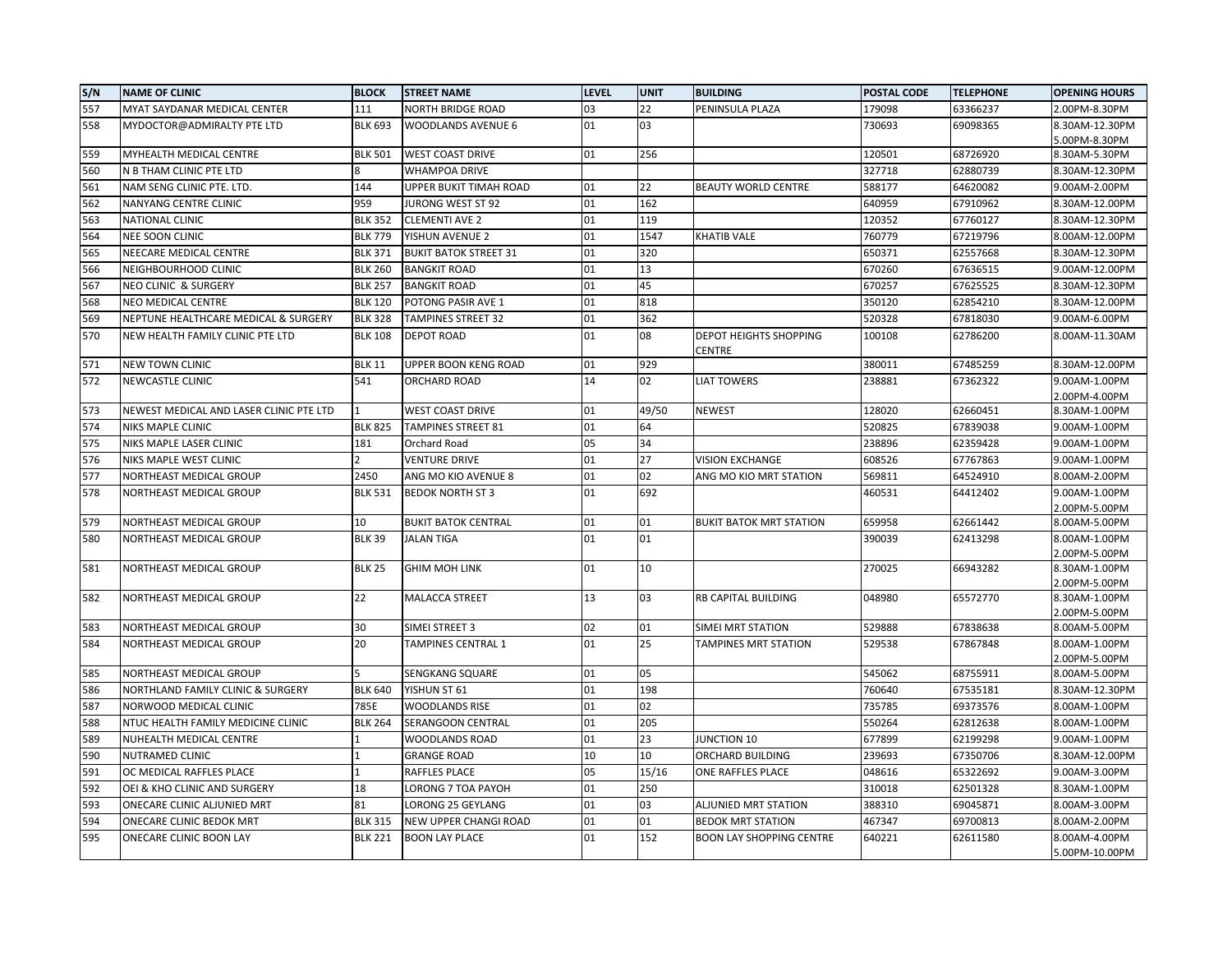| S/N | <b>NAME OF CLINIC</b>                   | <b>BLOCK</b>   | <b>STREET NAME</b>           | <b>LEVEL</b> | <b>UNIT</b> | <b>BUILDING</b>                 | POSTAL CODE      | <b>TELEPHONE</b>     | <b>OPENING HOURS</b>           |
|-----|-----------------------------------------|----------------|------------------------------|--------------|-------------|---------------------------------|------------------|----------------------|--------------------------------|
| 557 | MYAT SAYDANAR MEDICAL CENTER            | 111            | <b>NORTH BRIDGE ROAD</b>     | 03           | 22          | PENINSULA PLAZA                 | 179098           | 63366237             | 2.00PM-8.30PM                  |
| 558 | MYDOCTOR@ADMIRALTY PTE LTD              | <b>BLK 693</b> | WOODLANDS AVENUE 6           | 01           | 03          |                                 | 730693           | 69098365             | 8.30AM-12.30PM                 |
|     |                                         |                |                              |              |             |                                 |                  |                      | 5.00PM-8.30PM                  |
| 559 | MYHEALTH MEDICAL CENTRE                 | <b>BLK 501</b> | <b>WEST COAST DRIVE</b>      | 01           | 256         |                                 | 120501           | 68726920             | 8.30AM-5.30PM                  |
| 560 | N B THAM CLINIC PTE LTD                 | 8              | WHAMPOA DRIVE                |              |             |                                 | 327718           | 62880739             | 8.30AM-12.30PM                 |
| 561 | NAM SENG CLINIC PTE. LTD.               | 144            | UPPER BUKIT TIMAH ROAD       | 01           | 22          | <b>BEAUTY WORLD CENTRE</b>      | 588177           | 64620082             | 9.00AM-2.00PM                  |
| 562 | NANYANG CENTRE CLINIC                   | 959            | JURONG WEST ST 92            | 01           | 162         |                                 | 640959           | 67910962             | 8.30AM-12.00PM                 |
| 563 | NATIONAL CLINIC                         | <b>BLK 352</b> | <b>CLEMENTI AVE 2</b>        | 01           | 119         |                                 | 120352           | 67760127             | 8.30AM-12.30PM                 |
| 564 | NEE SOON CLINIC                         | <b>BLK 779</b> | YISHUN AVENUE 2              | 01           | 1547        | <b>KHATIB VALE</b>              | 760779           | 67219796             | 8.00AM-12.00PM                 |
| 565 | NEECARE MEDICAL CENTRE                  | <b>BLK 371</b> | <b>BUKIT BATOK STREET 31</b> | 01           | 320         |                                 | 650371           | 62557668             | 8.30AM-12.30PM                 |
| 566 | NEIGHBOURHOOD CLINIC                    | <b>BLK 260</b> | <b>BANGKIT ROAD</b>          | 01           | 13          |                                 | 670260           | 67636515             | 9.00AM-12.00PM                 |
| 567 | <b>NEO CLINIC &amp; SURGERY</b>         | <b>BLK 257</b> | <b>BANGKIT ROAD</b>          | 01           | 45          |                                 | 670257           | 67625525             | 8.30AM-12.30PM                 |
| 568 | NEO MEDICAL CENTRE                      | <b>BLK 120</b> | POTONG PASIR AVE 1           | 01           | 818         |                                 | 350120           | 62854210             | 8.30AM-12.00PM                 |
| 569 | NEPTUNE HEALTHCARE MEDICAL & SURGERY    | <b>BLK 328</b> | TAMPINES STREET 32           | 01           | 362         |                                 | 520328           | 67818030             | 9.00AM-6.00PM                  |
| 570 | NEW HEALTH FAMILY CLINIC PTE LTD        | <b>BLK 108</b> | DEPOT ROAD                   | 01           | 08          | <b>DEPOT HEIGHTS SHOPPING</b>   | 100108           | 62786200             | 8.00AM-11.30AM                 |
|     |                                         |                |                              |              |             | CENTRE                          |                  |                      |                                |
| 571 | <b>NEW TOWN CLINIC</b>                  | <b>BLK 11</b>  | UPPER BOON KENG ROAD         | 01           | 929         |                                 | 380011           | 67485259             | 8.30AM-12.00PM                 |
| 572 | <b>NEWCASTLE CLINIC</b>                 | 541            | ORCHARD ROAD                 | 14           | 02          | <b>LIAT TOWERS</b>              | 238881           | 67362322             | 9.00AM-1.00PM                  |
|     |                                         |                |                              |              |             |                                 |                  |                      | 2.00PM-4.00PM                  |
| 573 | NEWEST MEDICAL AND LASER CLINIC PTE LTD |                | WEST COAST DRIVE             | 01           | 49/50       | <b>NEWEST</b>                   | 128020           | 62660451             | 8.30AM-1.00PM                  |
| 574 | <b>NIKS MAPLE CLINIC</b>                | <b>BLK 825</b> | TAMPINES STREET 81           | 01           | 64          |                                 | 520825           | 67839038             | 9.00AM-1.00PM                  |
| 575 | NIKS MAPLE LASER CLINIC                 | 181            | Orchard Road                 | 05           | 34          |                                 | 238896           | 62359428             | 9.00AM-1.00PM                  |
| 576 | NIKS MAPLE WEST CLINIC                  | 2              | VENTURE DRIVE                | 01           | 27          | <b>VISION EXCHANGE</b>          | 608526           | 67767863             | 9.00AM-1.00PM                  |
| 577 | NORTHEAST MEDICAL GROUP                 | 2450           | ANG MO KIO AVENUE 8          | 01           | 02          | ANG MO KIO MRT STATION          | 569811           | 64524910             | 8.00AM-2.00PM                  |
| 578 | NORTHEAST MEDICAL GROUP                 | <b>BLK 531</b> | <b>BEDOK NORTH ST 3</b>      | 01           | 692         |                                 | 460531           | 64412402             | 9.00AM-1.00PM                  |
| 579 | NORTHEAST MEDICAL GROUP                 | 10             | <b>BUKIT BATOK CENTRAL</b>   | 01           | 01          | <b>BUKIT BATOK MRT STATION</b>  |                  |                      | 2.00PM-5.00PM                  |
| 580 | NORTHEAST MEDICAL GROUP                 | <b>BLK 39</b>  | <b>JALAN TIGA</b>            | 01           | 01          |                                 | 659958<br>390039 | 62661442<br>62413298 | 8.00AM-5.00PM<br>8.00AM-1.00PM |
|     |                                         |                |                              |              |             |                                 |                  |                      | 2.00PM-5.00PM                  |
| 581 | NORTHEAST MEDICAL GROUP                 | <b>BLK 25</b>  | <b>GHIM MOH LINK</b>         | 01           | 10          |                                 | 270025           | 66943282             | 8.30AM-1.00PM                  |
|     |                                         |                |                              |              |             |                                 |                  |                      | 2.00PM-5.00PM                  |
| 582 | NORTHEAST MEDICAL GROUP                 | 22             | MALACCA STREET               | 13           | 03          | RB CAPITAL BUILDING             | 048980           | 65572770             | 8.30AM-1.00PM                  |
|     |                                         |                |                              |              |             |                                 |                  |                      | 2.00PM-5.00PM                  |
| 583 | NORTHEAST MEDICAL GROUP                 | 30             | SIMEI STREET 3               | 02           | 01          | SIMEI MRT STATION               | 529888           | 67838638             | 8.00AM-5.00PM                  |
| 584 | NORTHEAST MEDICAL GROUP                 | 20             | TAMPINES CENTRAL 1           | 01           | 25          | <b>TAMPINES MRT STATION</b>     | 529538           | 67867848             | 8.00AM-1.00PM                  |
|     |                                         |                |                              |              |             |                                 |                  |                      | 2.00PM-5.00PM                  |
| 585 | NORTHEAST MEDICAL GROUP                 | 5              | SENGKANG SQUARE              | 01           | 05          |                                 | 545062           | 68755911             | 8.00AM-5.00PM                  |
| 586 | NORTHLAND FAMILY CLINIC & SURGERY       | <b>BLK 640</b> | YISHUN ST 61                 | 01           | 198         |                                 | 760640           | 67535181             | 8.30AM-12.30PM                 |
| 587 | NORWOOD MEDICAL CLINIC                  | 785E           | WOODLANDS RISE               | 01           | 02          |                                 | 735785           | 69373576             | 8.00AM-1.00PM                  |
| 588 | NTUC HEALTH FAMILY MEDICINE CLINIC      | <b>BLK 264</b> | SERANGOON CENTRAL            | 01           | 205         |                                 | 550264           | 62812638             | 8.00AM-1.00PM                  |
| 589 | NUHEALTH MEDICAL CENTRE                 | 1              | WOODLANDS ROAD               | 01           | 23          | <b>JUNCTION 10</b>              | 677899           | 62199298             | 9.00AM-1.00PM                  |
| 590 | <b>NUTRAMED CLINIC</b>                  | 1              | <b>GRANGE ROAD</b>           | 10           | 10          | ORCHARD BUILDING                | 239693           | 67350706             | 8.30AM-12.00PM                 |
| 591 | OC MEDICAL RAFFLES PLACE                | $\mathbf{1}$   | RAFFLES PLACE                | 05           | 15/16       | ONE RAFFLES PLACE               | 048616           | 65322692             | 9.00AM-3.00PM                  |
| 592 | OEI & KHO CLINIC AND SURGERY            | 18             | LORONG 7 TOA PAYOH           | 01           | 250         |                                 | 310018           | 62501328             | 8.30AM-1.00PM                  |
| 593 | ONECARE CLINIC ALJUNIED MRT             | 81             | LORONG 25 GEYLANG            | 01           | 03          | ALJUNIED MRT STATION            | 388310           | 69045871             | 8.00AM-3.00PM                  |
| 594 | ONECARE CLINIC BEDOK MRT                | <b>BLK 315</b> | NEW UPPER CHANGI ROAD        | 01           | 01          | <b>BEDOK MRT STATION</b>        | 467347           | 69700813             | 8.00AM-2.00PM                  |
| 595 | ONECARE CLINIC BOON LAY                 | <b>BLK 221</b> | <b>BOON LAY PLACE</b>        | 01           | 152         | <b>BOON LAY SHOPPING CENTRE</b> | 640221           | 62611580             | 8.00AM-4.00PM                  |
|     |                                         |                |                              |              |             |                                 |                  |                      | 5.00PM-10.00PM                 |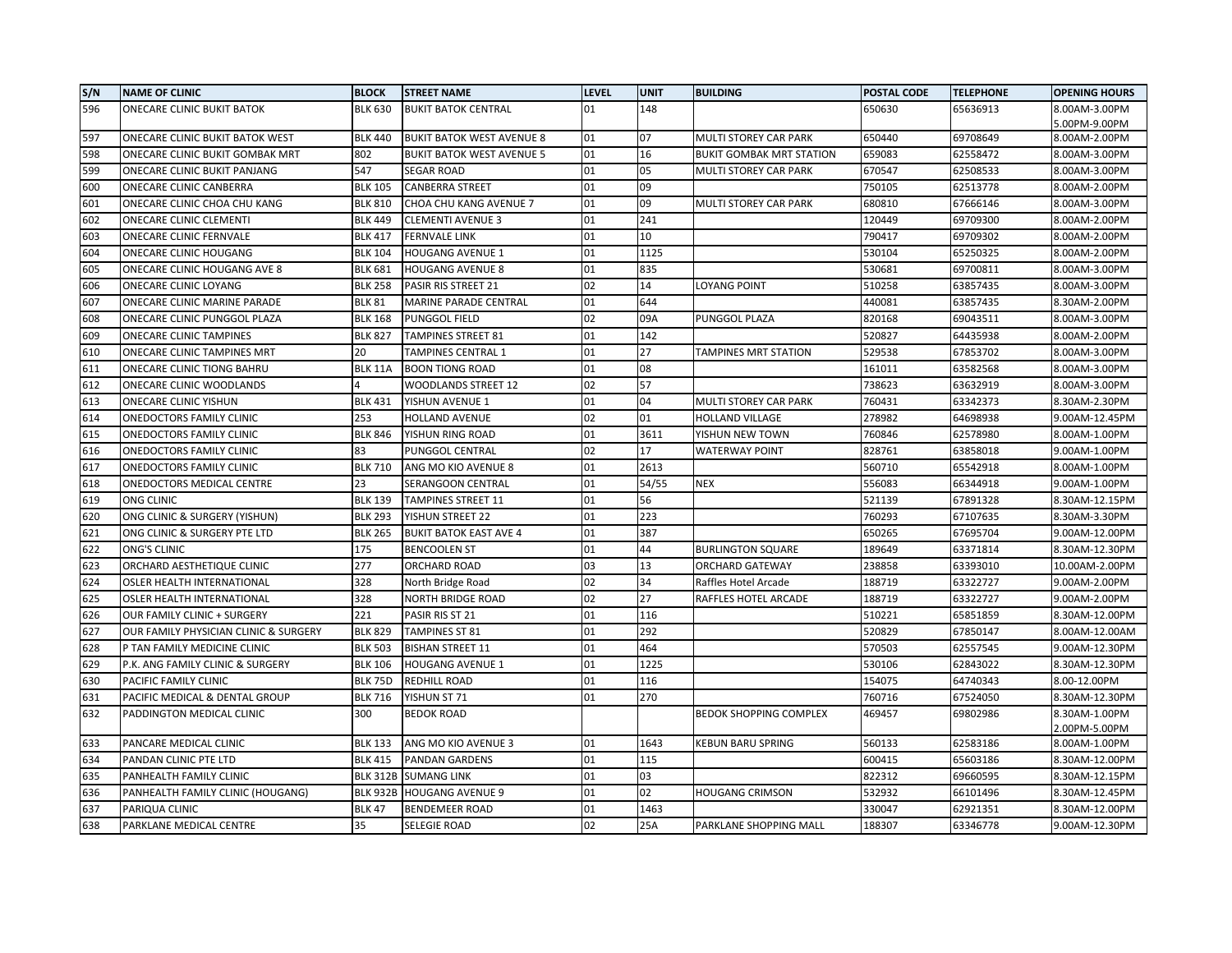| S/N | <b>NAME OF CLINIC</b>                 | <b>BLOCK</b>    | <b>STREET NAME</b>               | <b>LEVEL</b> | <b>UNIT</b> | <b>BUILDING</b>                 | POSTAL CODE | <b>TELEPHONE</b> | <b>OPENING HOURS</b> |
|-----|---------------------------------------|-----------------|----------------------------------|--------------|-------------|---------------------------------|-------------|------------------|----------------------|
| 596 | <b>ONECARE CLINIC BUKIT BATOK</b>     | <b>BLK 630</b>  | <b>BUKIT BATOK CENTRAL</b>       | 01           | 148         |                                 | 650630      | 65636913         | 8.00AM-3.00PM        |
|     |                                       |                 |                                  |              |             |                                 |             |                  | 5.00PM-9.00PM        |
| 597 | ONECARE CLINIC BUKIT BATOK WEST       | <b>BLK 440</b>  | <b>BUKIT BATOK WEST AVENUE 8</b> | 01           | 07          | MULTI STOREY CAR PARK           | 650440      | 69708649         | 8.00AM-2.00PM        |
| 598 | ONECARE CLINIC BUKIT GOMBAK MRT       | 802             | <b>BUKIT BATOK WEST AVENUE 5</b> | 01           | 16          | <b>BUKIT GOMBAK MRT STATION</b> | 659083      | 62558472         | 8.00AM-3.00PM        |
| 599 | ONECARE CLINIC BUKIT PANJANG          | 547             | <b>SEGAR ROAD</b>                | 01           | 05          | MULTI STOREY CAR PARK           | 670547      | 62508533         | 8.00AM-3.00PM        |
| 600 | ONECARE CLINIC CANBERRA               | <b>BLK 105</b>  | <b>CANBERRA STREET</b>           | 01           | 09          |                                 | 750105      | 62513778         | 8.00AM-2.00PM        |
| 601 | ONECARE CLINIC CHOA CHU KANG          | <b>BLK 810</b>  | CHOA CHU KANG AVENUE 7           | 01           | 09          | MULTI STOREY CAR PARK           | 680810      | 67666146         | 8.00AM-3.00PM        |
| 602 | ONECARE CLINIC CLEMENTI               | <b>BLK 449</b>  | <b>CLEMENTI AVENUE 3</b>         | 01           | 241         |                                 | 120449      | 69709300         | 8.00AM-2.00PM        |
| 603 | ONECARE CLINIC FERNVALE               | <b>BLK 417</b>  | <b>FERNVALE LINK</b>             | 01           | 10          |                                 | 790417      | 69709302         | 8.00AM-2.00PM        |
| 604 | <b>ONECARE CLINIC HOUGANG</b>         | <b>BLK 104</b>  | <b>HOUGANG AVENUE 1</b>          | 01           | 1125        |                                 | 530104      | 65250325         | 8.00AM-2.00PM        |
| 605 | ONECARE CLINIC HOUGANG AVE 8          | <b>BLK 681</b>  | <b>HOUGANG AVENUE 8</b>          | 01           | 835         |                                 | 530681      | 69700811         | 8.00AM-3.00PM        |
| 606 | ONECARE CLINIC LOYANG                 | <b>BLK 258</b>  | PASIR RIS STREET 21              | 02           | 14          | <b>LOYANG POINT</b>             | 510258      | 63857435         | 8.00AM-3.00PM        |
| 607 | ONECARE CLINIC MARINE PARADE          | <b>BLK 81</b>   | MARINE PARADE CENTRAL            | 01           | 644         |                                 | 440081      | 63857435         | 8.30AM-2.00PM        |
| 608 | ONECARE CLINIC PUNGGOL PLAZA          | <b>BLK 168</b>  | PUNGGOL FIELD                    | 02           | 09A         | PUNGGOL PLAZA                   | 820168      | 69043511         | 8.00AM-3.00PM        |
| 609 | <b>ONECARE CLINIC TAMPINES</b>        | <b>BLK 827</b>  | <b>TAMPINES STREET 81</b>        | 01           | 142         |                                 | 520827      | 64435938         | 8.00AM-2.00PM        |
| 610 | ONECARE CLINIC TAMPINES MRT           | 20              | TAMPINES CENTRAL 1               | 01           | 27          | <b>TAMPINES MRT STATION</b>     | 529538      | 67853702         | 8.00AM-3.00PM        |
| 611 | ONECARE CLINIC TIONG BAHRU            | <b>BLK 11A</b>  | <b>BOON TIONG ROAD</b>           | 01           | 08          |                                 | 161011      | 63582568         | 8.00AM-3.00PM        |
| 612 | ONECARE CLINIC WOODLANDS              |                 | WOODLANDS STREET 12              | 02           | 57          |                                 | 738623      | 63632919         | 8.00AM-3.00PM        |
| 613 | <b>ONECARE CLINIC YISHUN</b>          | <b>BLK 431</b>  | YISHUN AVENUE 1                  | 01           | 04          | MULTI STOREY CAR PARK           | 760431      | 63342373         | 8.30AM-2.30PM        |
| 614 | ONEDOCTORS FAMILY CLINIC              | 253             | <b>HOLLAND AVENUE</b>            | 02           | 01          | <b>HOLLAND VILLAGE</b>          | 278982      | 64698938         | 9.00AM-12.45PM       |
| 615 | ONEDOCTORS FAMILY CLINIC              | <b>BLK 846</b>  | YISHUN RING ROAD                 | 01           | 3611        | YISHUN NEW TOWN                 | 760846      | 62578980         | 8.00AM-1.00PM        |
| 616 | ONEDOCTORS FAMILY CLINIC              | 83              | PUNGGOL CENTRAL                  | 02           | 17          | <b>WATERWAY POINT</b>           | 828761      | 63858018         | 9.00AM-1.00PM        |
| 617 | ONEDOCTORS FAMILY CLINIC              | <b>BLK 710</b>  | ANG MO KIO AVENUE 8              | 01           | 2613        |                                 | 560710      | 65542918         | 8.00AM-1.00PM        |
| 618 | ONEDOCTORS MEDICAL CENTRE             | 23              | SERANGOON CENTRAL                | 01           | 54/55       | <b>NEX</b>                      | 556083      | 66344918         | 9.00AM-1.00PM        |
| 619 | ONG CLINIC                            | <b>BLK 139</b>  | TAMPINES STREET 11               | 01           | 56          |                                 | 521139      | 67891328         | 8.30AM-12.15PM       |
| 620 | ONG CLINIC & SURGERY (YISHUN)         | <b>BLK 293</b>  | YISHUN STREET 22                 | 01           | 223         |                                 | 760293      | 67107635         | 8.30AM-3.30PM        |
| 621 | ONG CLINIC & SURGERY PTE LTD          | <b>BLK 265</b>  | <b>BUKIT BATOK EAST AVE 4</b>    | 01           | 387         |                                 | 650265      | 67695704         | 9.00AM-12.00PM       |
| 622 | <b>ONG'S CLINIC</b>                   | 175             | <b>BENCOOLEN ST</b>              | 01           | 44          | <b>BURLINGTON SQUARE</b>        | 189649      | 63371814         | 8.30AM-12.30PM       |
| 623 | ORCHARD AESTHETIQUE CLINIC            | 277             | ORCHARD ROAD                     | 03           | 13          | <b>ORCHARD GATEWAY</b>          | 238858      | 63393010         | 10.00AM-2.00PM       |
| 624 | OSLER HEALTH INTERNATIONAL            | 328             | North Bridge Road                | 02           | 34          | Raffles Hotel Arcade            | 188719      | 63322727         | 9.00AM-2.00PM        |
| 625 | OSLER HEALTH INTERNATIONAL            | 328             | <b>NORTH BRIDGE ROAD</b>         | 02           | 27          | RAFFLES HOTEL ARCADE            | 188719      | 63322727         | 9.00AM-2.00PM        |
| 626 | OUR FAMILY CLINIC + SURGERY           | 221             | PASIR RIS ST 21                  | 01           | 116         |                                 | 510221      | 65851859         | 8.30AM-12.00PM       |
| 627 | OUR FAMILY PHYSICIAN CLINIC & SURGERY | <b>BLK 829</b>  | <b>TAMPINES ST 81</b>            | 01           | 292         |                                 | 520829      | 67850147         | 8.00AM-12.00AM       |
| 628 | P TAN FAMILY MEDICINE CLINIC          | <b>BLK 503</b>  | <b>BISHAN STREET 11</b>          | 01           | 464         |                                 | 570503      | 62557545         | 9.00AM-12.30PM       |
| 629 | P.K. ANG FAMILY CLINIC & SURGERY      | <b>BLK 106</b>  | <b>HOUGANG AVENUE 1</b>          | 01           | 1225        |                                 | 530106      | 62843022         | 8.30AM-12.30PM       |
| 630 | PACIFIC FAMILY CLINIC                 | <b>BLK 75D</b>  | REDHILL ROAD                     | 01           | 116         |                                 | 154075      | 64740343         | 8.00-12.00PM         |
| 631 | PACIFIC MEDICAL & DENTAL GROUP        | <b>BLK 716</b>  | YISHUN ST 71                     | 01           | 270         |                                 | 760716      | 67524050         | 8.30AM-12.30PM       |
| 632 | PADDINGTON MEDICAL CLINIC             | 300             | <b>BEDOK ROAD</b>                |              |             | <b>BEDOK SHOPPING COMPLEX</b>   | 469457      | 69802986         | 8.30AM-1.00PM        |
|     |                                       |                 |                                  |              |             |                                 |             |                  | 2.00PM-5.00PM        |
| 633 | PANCARE MEDICAL CLINIC                | <b>BLK 133</b>  | ANG MO KIO AVENUE 3              | 01           | 1643        | <b>KEBUN BARU SPRING</b>        | 560133      | 62583186         | 8.00AM-1.00PM        |
| 634 | PANDAN CLINIC PTE LTD                 | <b>BLK 415</b>  | <b>PANDAN GARDENS</b>            | 01           | 115         |                                 | 600415      | 65603186         | 8.30AM-12.00PM       |
| 635 | PANHEALTH FAMILY CLINIC               | <b>BLK 312B</b> | <b>SUMANG LINK</b>               | 01           | 03          |                                 | 822312      | 69660595         | 8.30AM-12.15PM       |
| 636 | PANHEALTH FAMILY CLINIC (HOUGANG)     | <b>BLK 932B</b> | <b>HOUGANG AVENUE 9</b>          | 01           | 02          | <b>HOUGANG CRIMSON</b>          | 532932      | 66101496         | 8.30AM-12.45PM       |
| 637 | PARIQUA CLINIC                        | <b>BLK 47</b>   | <b>BENDEMEER ROAD</b>            | 01           | 1463        |                                 | 330047      | 62921351         | 8.30AM-12.00PM       |
| 638 | PARKLANE MEDICAL CENTRE               | 35              | <b>SELEGIE ROAD</b>              | 02           | 25A         | PARKLANE SHOPPING MALL          | 188307      | 63346778         | 9.00AM-12.30PM       |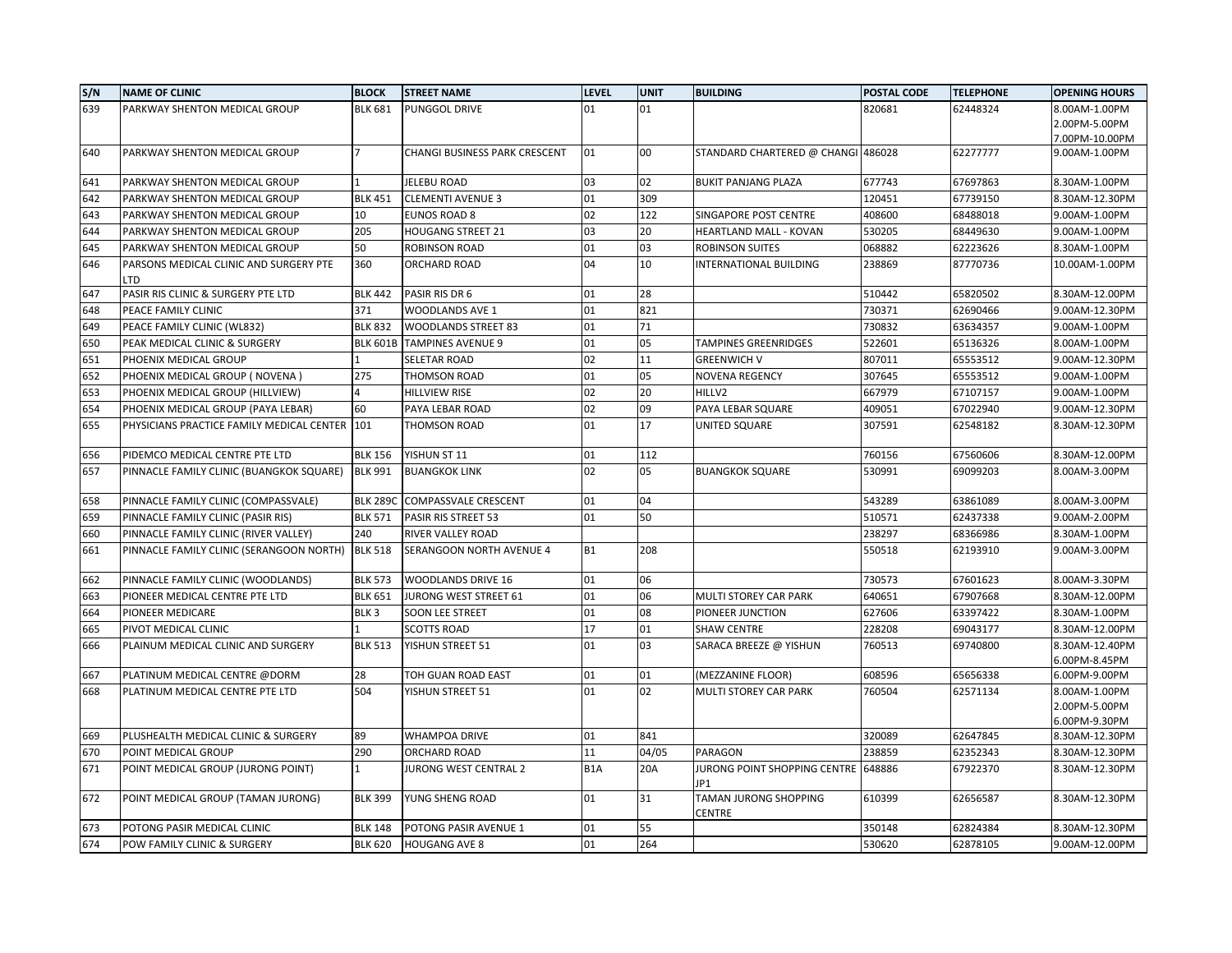| S/N | <b>NAME OF CLINIC</b>                         | <b>BLOCK</b>     | <b>STREET NAME</b>            | <b>LEVEL</b>     | <b>UNIT</b> | <b>BUILDING</b>                     | POSTAL CODE | <b>TELEPHONE</b> | <b>OPENING HOURS</b> |
|-----|-----------------------------------------------|------------------|-------------------------------|------------------|-------------|-------------------------------------|-------------|------------------|----------------------|
| 639 | PARKWAY SHENTON MEDICAL GROUP                 | <b>BLK 681</b>   | PUNGGOL DRIVE                 | 01               | 01          |                                     | 820681      | 62448324         | 8.00AM-1.00PM        |
|     |                                               |                  |                               |                  |             |                                     |             |                  | 2.00PM-5.00PM        |
|     |                                               |                  |                               |                  |             |                                     |             |                  | 7.00PM-10.00PM       |
| 640 | PARKWAY SHENTON MEDICAL GROUP                 |                  | CHANGI BUSINESS PARK CRESCENT | 01               | 00          | STANDARD CHARTERED @ CHANGI 486028  |             | 62277777         | 9.00AM-1.00PM        |
| 641 | PARKWAY SHENTON MEDICAL GROUP                 |                  | <b>JELEBU ROAD</b>            | 03               | 02          | <b>BUKIT PANJANG PLAZA</b>          | 677743      | 67697863         | 8.30AM-1.00PM        |
| 642 | PARKWAY SHENTON MEDICAL GROUP                 | <b>BLK 451</b>   | <b>CLEMENTI AVENUE 3</b>      | 01               | 309         |                                     | 120451      | 67739150         | 8.30AM-12.30PM       |
| 643 | PARKWAY SHENTON MEDICAL GROUP                 | 10               | <b>EUNOS ROAD 8</b>           | 02               | 122         | SINGAPORE POST CENTRE               | 408600      | 68488018         | 9.00AM-1.00PM        |
| 644 | PARKWAY SHENTON MEDICAL GROUP                 | 205              | <b>HOUGANG STREET 21</b>      | 03               | 20          | HEARTLAND MALL - KOVAN              | 530205      | 68449630         | 9.00AM-1.00PM        |
| 645 | PARKWAY SHENTON MEDICAL GROUP                 | 50               | ROBINSON ROAD                 | 01               | 03          | <b>ROBINSON SUITES</b>              | 068882      | 62223626         | 8.30AM-1.00PM        |
| 646 | PARSONS MEDICAL CLINIC AND SURGERY PTE<br>LTD | 360              | ORCHARD ROAD                  | 04               | 10          | INTERNATIONAL BUILDING              | 238869      | 87770736         | 10.00AM-1.00PM       |
| 647 | PASIR RIS CLINIC & SURGERY PTE LTD            | <b>BLK 442</b>   | PASIR RIS DR 6                | 01               | 28          |                                     | 510442      | 65820502         | 8.30AM-12.00PM       |
| 648 | PEACE FAMILY CLINIC                           | 371              | WOODLANDS AVE 1               | 01               | 821         |                                     | 730371      | 62690466         | 9.00AM-12.30PM       |
| 649 | PEACE FAMILY CLINIC (WL832)                   | <b>BLK 832</b>   | <b>WOODLANDS STREET 83</b>    | 01               | 71          |                                     | 730832      | 63634357         | 9.00AM-1.00PM        |
| 650 | PEAK MEDICAL CLINIC & SURGERY                 | <b>BLK 601B</b>  | <b>TAMPINES AVENUE 9</b>      | 01               | 05          | <b>TAMPINES GREENRIDGES</b>         | 522601      | 65136326         | 8.00AM-1.00PM        |
| 651 | PHOENIX MEDICAL GROUP                         |                  | <b>SELETAR ROAD</b>           | 02               | 11          | <b>GREENWICH V</b>                  | 807011      | 65553512         | 9.00AM-12.30PM       |
| 652 | PHOENIX MEDICAL GROUP (NOVENA)                | 275              | THOMSON ROAD                  | 01               | 05          | <b>NOVENA REGENCY</b>               | 307645      | 65553512         | 9.00AM-1.00PM        |
| 653 | PHOENIX MEDICAL GROUP (HILLVIEW)              |                  | <b>HILLVIEW RISE</b>          | 02               | 20          | HILLV2                              | 667979      | 67107157         | 9.00AM-1.00PM        |
| 654 | PHOENIX MEDICAL GROUP (PAYA LEBAR)            | 60               | PAYA LEBAR ROAD               | 02               | 09          | PAYA LEBAR SQUARE                   | 409051      | 67022940         | 9.00AM-12.30PM       |
| 655 | PHYSICIANS PRACTICE FAMILY MEDICAL CENTER     | 101              | THOMSON ROAD                  | 01               | 17          | UNITED SQUARE                       | 307591      | 62548182         | 8.30AM-12.30PM       |
| 656 | PIDEMCO MEDICAL CENTRE PTE LTD                | <b>BLK 156</b>   | YISHUN ST 11                  | 01               | 112         |                                     | 760156      | 67560606         | 8.30AM-12.00PM       |
| 657 | PINNACLE FAMILY CLINIC (BUANGKOK SQUARE)      | <b>BLK 991</b>   | <b>BUANGKOK LINK</b>          | 02               | 05          | <b>BUANGKOK SQUARE</b>              | 530991      | 69099203         | 8.00AM-3.00PM        |
| 658 | PINNACLE FAMILY CLINIC (COMPASSVALE)          | <b>BLK 289C</b>  | <b>COMPASSVALE CRESCENT</b>   | 01               | 04          |                                     | 543289      | 63861089         | 8.00AM-3.00PM        |
| 659 | PINNACLE FAMILY CLINIC (PASIR RIS)            | <b>BLK 571</b>   | PASIR RIS STREET 53           | 01               | 50          |                                     | 510571      | 62437338         | 9.00AM-2.00PM        |
| 660 | PINNACLE FAMILY CLINIC (RIVER VALLEY)         | 240              | RIVER VALLEY ROAD             |                  |             |                                     | 238297      | 68366986         | 8.30AM-1.00PM        |
| 661 | PINNACLE FAMILY CLINIC (SERANGOON NORTH)      | <b>BLK 518</b>   | SERANGOON NORTH AVENUE 4      | <b>B1</b>        | 208         |                                     | 550518      | 62193910         | 9.00AM-3.00PM        |
| 662 | PINNACLE FAMILY CLINIC (WOODLANDS)            | <b>BLK 573</b>   | WOODLANDS DRIVE 16            | 01               | 06          |                                     | 730573      | 67601623         | 8.00AM-3.30PM        |
| 663 | PIONEER MEDICAL CENTRE PTE LTD                | <b>BLK 651</b>   | JURONG WEST STREET 61         | 01               | 06          | MULTI STOREY CAR PARK               | 640651      | 67907668         | 8.30AM-12.00PM       |
| 664 | PIONEER MEDICARE                              | BLK <sub>3</sub> | SOON LEE STREET               | 01               | 08          | PIONEER JUNCTION                    | 627606      | 63397422         | 8.30AM-1.00PM        |
| 665 | PIVOT MEDICAL CLINIC                          |                  | <b>SCOTTS ROAD</b>            | 17               | 01          | <b>SHAW CENTRE</b>                  | 228208      | 69043177         | 8.30AM-12.00PM       |
| 666 | PLAINUM MEDICAL CLINIC AND SURGERY            | <b>BLK 513</b>   | YISHUN STREET 51              | 01               | 03          | SARACA BREEZE @ YISHUN              | 760513      | 69740800         | 8.30AM-12.40PM       |
|     |                                               |                  |                               |                  |             |                                     |             |                  | 6.00PM-8.45PM        |
| 667 | PLATINUM MEDICAL CENTRE @DORM                 | 28               | TOH GUAN ROAD EAST            | 01               | 01          | (MEZZANINE FLOOR)                   | 608596      | 65656338         | 6.00PM-9.00PM        |
| 668 | PLATINUM MEDICAL CENTRE PTE LTD               | 504              | YISHUN STREET 51              | 01               | 02          | <b>MULTI STOREY CAR PARK</b>        | 760504      | 62571134         | 8.00AM-1.00PM        |
|     |                                               |                  |                               |                  |             |                                     |             |                  | 2.00PM-5.00PM        |
|     |                                               |                  |                               |                  |             |                                     |             |                  | 6.00PM-9.30PM        |
| 669 | PLUSHEALTH MEDICAL CLINIC & SURGERY           | 89               | <b>WHAMPOA DRIVE</b>          | 01               | 841         |                                     | 320089      | 62647845         | 8.30AM-12.30PM       |
| 670 | POINT MEDICAL GROUP                           | 290              | ORCHARD ROAD                  | 11               | 04/05       | PARAGON                             | 238859      | 62352343         | 8.30AM-12.30PM       |
| 671 | POINT MEDICAL GROUP (JURONG POINT)            |                  | JURONG WEST CENTRAL 2         | B <sub>1</sub> A | 20A         | JURONG POINT SHOPPING CENTRE<br>JP1 | 648886      | 67922370         | 8.30AM-12.30PM       |
| 672 | POINT MEDICAL GROUP (TAMAN JURONG)            | <b>BLK 399</b>   | YUNG SHENG ROAD               | 01               | 31          | TAMAN JURONG SHOPPING<br>CENTRE     | 610399      | 62656587         | 8.30AM-12.30PM       |
| 673 | POTONG PASIR MEDICAL CLINIC                   | <b>BLK 148</b>   | POTONG PASIR AVENUE 1         | 01               | 55          |                                     | 350148      | 62824384         | 8.30AM-12.30PM       |
| 674 | POW FAMILY CLINIC & SURGERY                   | <b>BLK 620</b>   | <b>HOUGANG AVE 8</b>          | 01               | 264         |                                     | 530620      | 62878105         | 9.00AM-12.00PM       |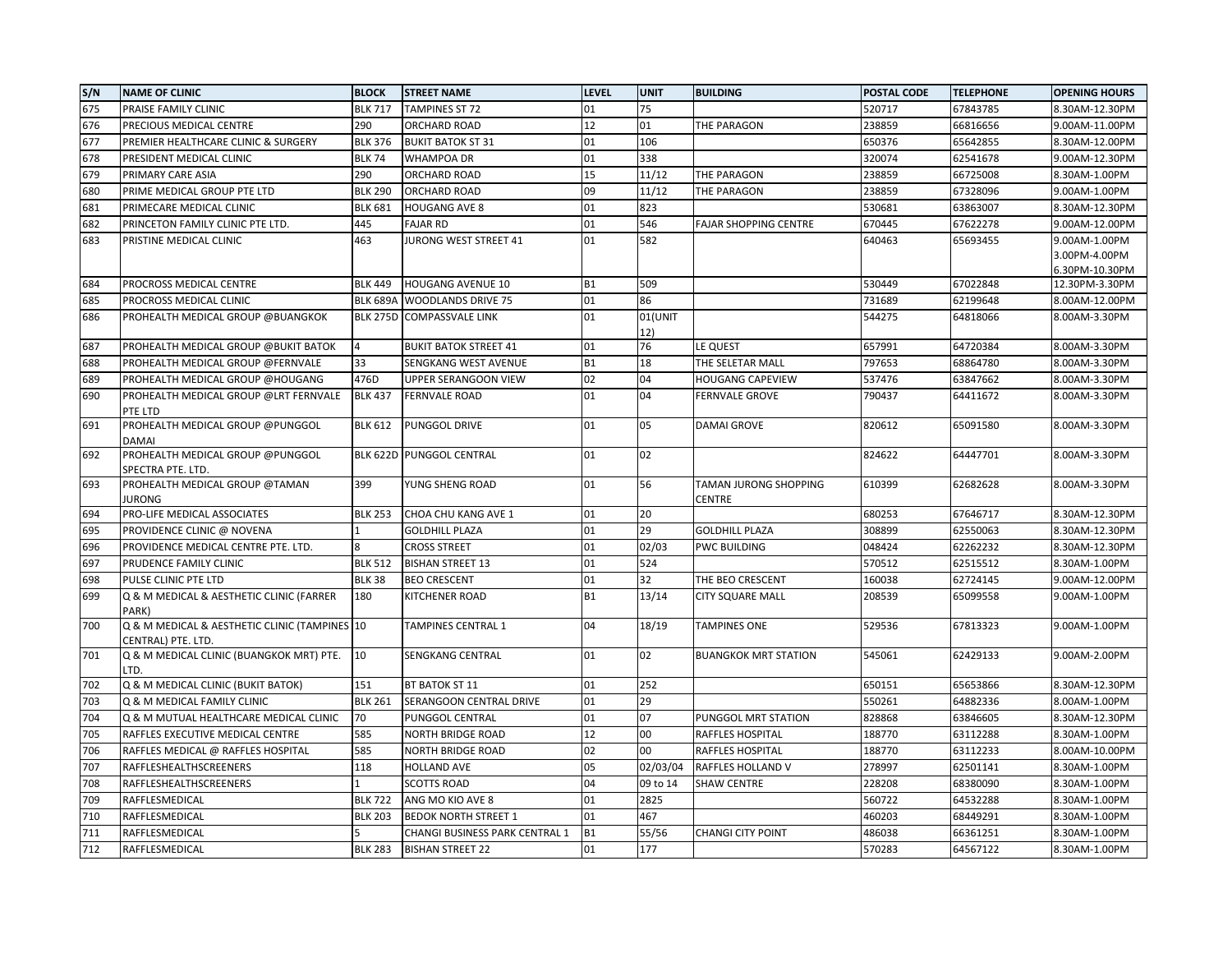| S/N | <b>NAME OF CLINIC</b>                                          | <b>BLOCK</b>    | <b>STREET NAME</b>             | <b>LEVEL</b> | <b>UNIT</b> | <b>BUILDING</b>              | <b>POSTAL CODE</b> | <b>TELEPHONE</b> | <b>OPENING HOURS</b> |
|-----|----------------------------------------------------------------|-----------------|--------------------------------|--------------|-------------|------------------------------|--------------------|------------------|----------------------|
| 675 | PRAISE FAMILY CLINIC                                           | <b>BLK 717</b>  | <b>TAMPINES ST 72</b>          | 01           | 75          |                              | 520717             | 67843785         | 8.30AM-12.30PM       |
| 676 | PRECIOUS MEDICAL CENTRE                                        | 290             | ORCHARD ROAD                   | 12           | 01          | THE PARAGON                  | 238859             | 66816656         | 9.00AM-11.00PM       |
| 677 | PREMIER HEALTHCARE CLINIC & SURGERY                            | <b>BLK 376</b>  | <b>BUKIT BATOK ST 31</b>       | 01           | 106         |                              | 650376             | 65642855         | 8.30AM-12.00PM       |
| 678 | PRESIDENT MEDICAL CLINIC                                       | <b>BLK 74</b>   | <b>WHAMPOA DR</b>              | 01           | 338         |                              | 320074             | 62541678         | 9.00AM-12.30PM       |
| 679 | PRIMARY CARE ASIA                                              | 290             | ORCHARD ROAD                   | 15           | 11/12       | THE PARAGON                  | 238859             | 66725008         | 8.30AM-1.00PM        |
| 680 | PRIME MEDICAL GROUP PTE LTD                                    | <b>BLK 290</b>  | ORCHARD ROAD                   | 09           | 11/12       | THE PARAGON                  | 238859             | 67328096         | 9.00AM-1.00PM        |
| 681 | PRIMECARE MEDICAL CLINIC                                       | <b>BLK 681</b>  | <b>HOUGANG AVE 8</b>           | 01           | 823         |                              | 530681             | 63863007         | 8.30AM-12.30PM       |
| 682 | PRINCETON FAMILY CLINIC PTE LTD.                               | 445             | <b>FAJAR RD</b>                | 01           | 546         | <b>FAJAR SHOPPING CENTRE</b> | 670445             | 67622278         | 9.00AM-12.00PM       |
| 683 | PRISTINE MEDICAL CLINIC                                        | 463             | JURONG WEST STREET 41          | 01           | 582         |                              | 640463             | 65693455         | 9.00AM-1.00PM        |
|     |                                                                |                 |                                |              |             |                              |                    |                  | 3.00PM-4.00PM        |
|     |                                                                |                 |                                |              |             |                              |                    |                  | 6.30PM-10.30PM       |
| 684 | PROCROSS MEDICAL CENTRE                                        | <b>BLK 449</b>  | <b>HOUGANG AVENUE 10</b>       | <b>B1</b>    | 509         |                              | 530449             | 67022848         | 12.30PM-3.30PM       |
| 685 | PROCROSS MEDICAL CLINIC                                        | <b>BLK 689A</b> | <b>WOODLANDS DRIVE 75</b>      | 01           | 86          |                              | 731689             | 62199648         | 8.00AM-12.00PM       |
| 686 | PROHEALTH MEDICAL GROUP @BUANGKOK                              | <b>BLK 275D</b> | <b>COMPASSVALE LINK</b>        | 01           | 01(UNIT     |                              | 544275             | 64818066         | 8.00AM-3.30PM        |
| 687 |                                                                |                 |                                | 01           | 12)<br>76   |                              |                    | 64720384         |                      |
|     | PROHEALTH MEDICAL GROUP @BUKIT BATOK                           |                 | <b>BUKIT BATOK STREET 41</b>   |              |             | LE QUEST                     | 657991             |                  | 8.00AM-3.30PM        |
| 688 | PROHEALTH MEDICAL GROUP @FERNVALE                              | 33              | SENGKANG WEST AVENUE           | <b>B1</b>    | 18          | THE SELETAR MALL             | 797653             | 68864780         | 8.00AM-3.30PM        |
| 689 | PROHEALTH MEDICAL GROUP @HOUGANG                               | 476D            | UPPER SERANGOON VIEW           | 02           | 04          | <b>HOUGANG CAPEVIEW</b>      | 537476             | 63847662         | 8.00AM-3.30PM        |
| 690 | PROHEALTH MEDICAL GROUP @LRT FERNVALE<br>PTE LTD               | <b>BLK 437</b>  | <b>FERNVALE ROAD</b>           | 01           | 04          | <b>FERNVALE GROVE</b>        | 790437             | 64411672         | 8.00AM-3.30PM        |
| 691 | PROHEALTH MEDICAL GROUP @PUNGGOL<br><b>DAMAI</b>               | <b>BLK 612</b>  | PUNGGOL DRIVE                  | 01           | 05          | <b>DAMAI GROVE</b>           | 820612             | 65091580         | 8.00AM-3.30PM        |
| 692 | PROHEALTH MEDICAL GROUP @PUNGGOL                               | <b>BLK 622D</b> | <b>PUNGGOL CENTRAL</b>         | 01           | 02          |                              | 824622             | 64447701         | 8.00AM-3.30PM        |
|     | SPECTRA PTE. LTD.                                              |                 |                                |              |             |                              |                    |                  |                      |
| 693 | PROHEALTH MEDICAL GROUP @TAMAN                                 | 399             | YUNG SHENG ROAD                | 01           | 56          | TAMAN JURONG SHOPPING        | 610399             | 62682628         | 8.00AM-3.30PM        |
|     | IURONG                                                         |                 |                                |              |             | CENTRE                       |                    |                  |                      |
| 694 | PRO-LIFE MEDICAL ASSOCIATES                                    | <b>BLK 253</b>  | CHOA CHU KANG AVE 1            | 01           | 20          |                              | 680253             | 67646717         | 8.30AM-12.30PM       |
| 695 | PROVIDENCE CLINIC @ NOVENA                                     |                 | <b>GOLDHILL PLAZA</b>          | 01           | 29          | <b>GOLDHILL PLAZA</b>        | 308899             | 62550063         | 8.30AM-12.30PM       |
| 696 | PROVIDENCE MEDICAL CENTRE PTE. LTD.                            |                 | <b>CROSS STREET</b>            | 01           | 02/03       | <b>PWC BUILDING</b>          | 048424             | 62262232         | 8.30AM-12.30PM       |
| 697 | PRUDENCE FAMILY CLINIC                                         | <b>BLK 512</b>  | <b>BISHAN STREET 13</b>        | 01           | 524         |                              | 570512             | 62515512         | 8.30AM-1.00PM        |
| 698 | PULSE CLINIC PTE LTD                                           | <b>BLK 38</b>   | <b>BEO CRESCENT</b>            | 01           | 32          | THE BEO CRESCENT             | 160038             | 62724145         | 9.00AM-12.00PM       |
| 699 | Q & M MEDICAL & AESTHETIC CLINIC (FARRER                       | 180             | KITCHENER ROAD                 | <b>B1</b>    | 13/14       | <b>CITY SQUARE MALL</b>      | 208539             | 65099558         | 9.00AM-1.00PM        |
|     | PARK)                                                          |                 |                                |              |             |                              |                    |                  |                      |
| 700 | Q & M MEDICAL & AESTHETIC CLINIC (TAMPINES 10                  |                 | TAMPINES CENTRAL 1             | 04           | 18/19       | <b>TAMPINES ONE</b>          | 529536             | 67813323         | 9.00AM-1.00PM        |
| 701 | CENTRAL) PTE. LTD.<br>Q & M MEDICAL CLINIC (BUANGKOK MRT) PTE. | 10              | SENGKANG CENTRAL               | 01           | 02          | <b>BUANGKOK MRT STATION</b>  | 545061             | 62429133         | 9.00AM-2.00PM        |
|     | LTD.                                                           |                 |                                |              |             |                              |                    |                  |                      |
| 702 | Q & M MEDICAL CLINIC (BUKIT BATOK)                             | 151             | BT BATOK ST 11                 | 01           | 252         |                              | 650151             | 65653866         | 8.30AM-12.30PM       |
| 703 | Q & M MEDICAL FAMILY CLINIC                                    | <b>BLK 261</b>  | SERANGOON CENTRAL DRIVE        | 01           | 29          |                              | 550261             | 64882336         | 8.00AM-1.00PM        |
| 704 | Q & M MUTUAL HEALTHCARE MEDICAL CLINIC                         | 70              | PUNGGOL CENTRAL                | 01           | 07          | PUNGGOL MRT STATION          | 828868             | 63846605         | 8.30AM-12.30PM       |
| 705 | RAFFLES EXECUTIVE MEDICAL CENTRE                               | 585             | NORTH BRIDGE ROAD              | 12           | 00          | RAFFLES HOSPITAL             | 188770             | 63112288         | 8.30AM-1.00PM        |
| 706 | RAFFLES MEDICAL @ RAFFLES HOSPITAL                             | 585             | NORTH BRIDGE ROAD              | 02           | 00          | RAFFLES HOSPITAL             | 188770             | 63112233         | 8.00AM-10.00PM       |
| 707 | RAFFLESHEALTHSCREENERS                                         | 118             | <b>HOLLAND AVE</b>             | 05           | 02/03/04    | RAFFLES HOLLAND V            | 278997             | 62501141         | 8.30AM-1.00PM        |
| 708 | RAFFLESHEALTHSCREENERS                                         |                 | <b>SCOTTS ROAD</b>             | 04           | 09 to 14    | <b>SHAW CENTRE</b>           | 228208             | 68380090         | 8.30AM-1.00PM        |
| 709 | RAFFLESMEDICAL                                                 | <b>BLK 722</b>  | ANG MO KIO AVE 8               | 01           | 2825        |                              | 560722             | 64532288         | 8.30AM-1.00PM        |
| 710 | RAFFLESMEDICAL                                                 | <b>BLK 203</b>  | <b>BEDOK NORTH STREET 1</b>    | 01           | 467         |                              | 460203             | 68449291         | 8.30AM-1.00PM        |
| 711 | RAFFLESMEDICAL                                                 |                 | CHANGI BUSINESS PARK CENTRAL 1 | <b>B1</b>    | 55/56       | <b>CHANGI CITY POINT</b>     | 486038             | 66361251         | 8.30AM-1.00PM        |
| 712 | RAFFLESMEDICAL                                                 | <b>BLK 283</b>  | <b>BISHAN STREET 22</b>        | 01           | 177         |                              | 570283             | 64567122         | 8.30AM-1.00PM        |
|     |                                                                |                 |                                |              |             |                              |                    |                  |                      |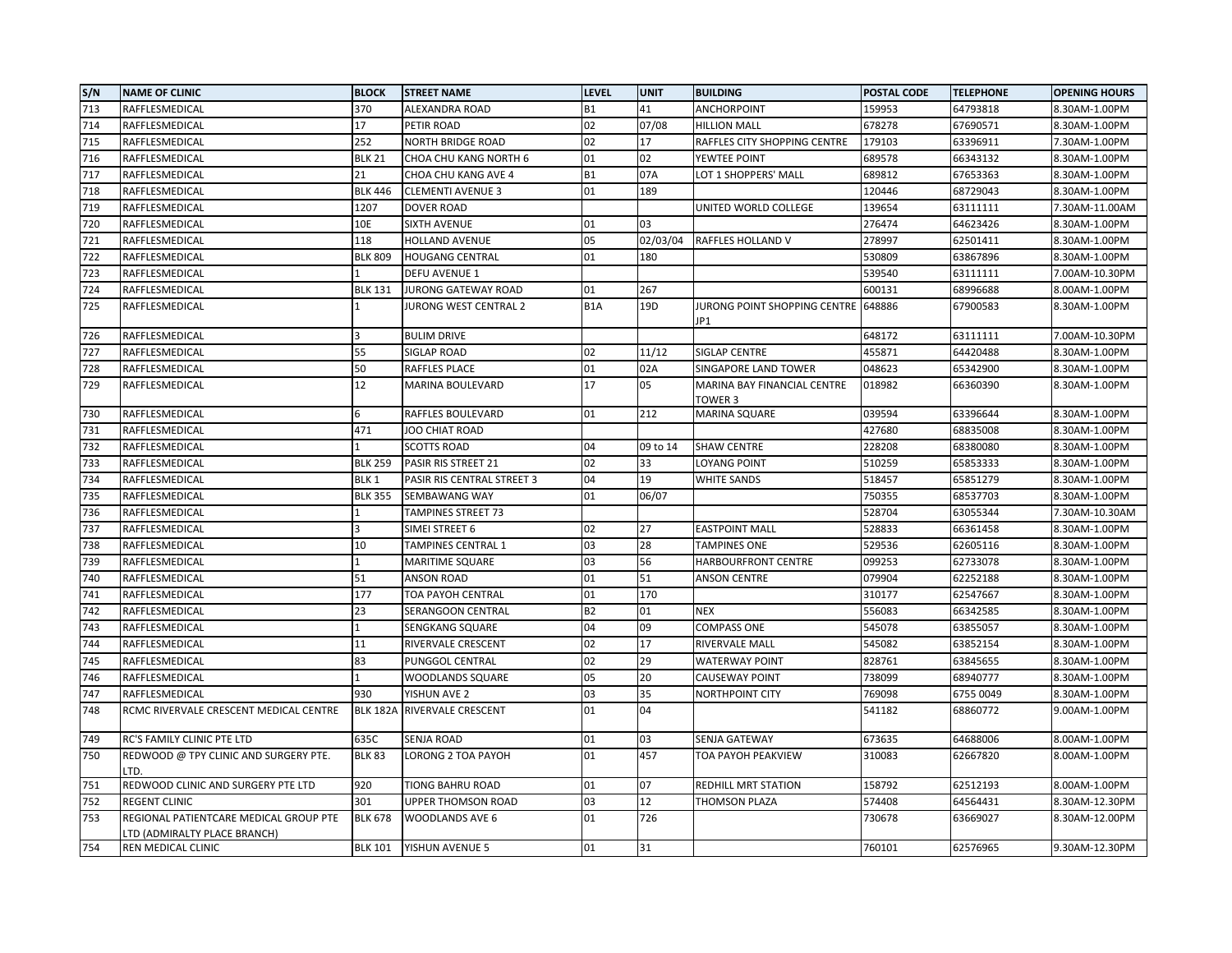| S/N | <b>NAME OF CLINIC</b>                                                  | <b>BLOCK</b>     | <b>STREET NAME</b>         | <b>LEVEL</b>     | <b>UNIT</b> | <b>BUILDING</b>                        | POSTAL CODE | <b>TELEPHONE</b> | <b>OPENING HOURS</b> |
|-----|------------------------------------------------------------------------|------------------|----------------------------|------------------|-------------|----------------------------------------|-------------|------------------|----------------------|
| 713 | RAFFLESMEDICAL                                                         | 370              | ALEXANDRA ROAD             | <b>B1</b>        | 41          | ANCHORPOINT                            | 159953      | 64793818         | 8.30AM-1.00PM        |
| 714 | RAFFLESMEDICAL                                                         | 17               | PETIR ROAD                 | 02               | 07/08       | <b>HILLION MALL</b>                    | 678278      | 67690571         | 8.30AM-1.00PM        |
| 715 | RAFFLESMEDICAL                                                         | 252              | <b>NORTH BRIDGE ROAD</b>   | 02               | 17          | RAFFLES CITY SHOPPING CENTRE           | 179103      | 63396911         | 7.30AM-1.00PM        |
| 716 | RAFFLESMEDICAL                                                         | <b>BLK 21</b>    | CHOA CHU KANG NORTH 6      | 01               | 02          | YEWTEE POINT                           | 689578      | 66343132         | 8.30AM-1.00PM        |
| 717 | RAFFLESMEDICAL                                                         | 21               | CHOA CHU KANG AVE 4        | <b>B1</b>        | 07A         | LOT 1 SHOPPERS' MALL                   | 689812      | 67653363         | 8.30AM-1.00PM        |
| 718 | RAFFLESMEDICAL                                                         | <b>BLK 446</b>   | <b>CLEMENTI AVENUE 3</b>   | 01               | 189         |                                        | 120446      | 68729043         | 8.30AM-1.00PM        |
| 719 | RAFFLESMEDICAL                                                         | 1207             | <b>DOVER ROAD</b>          |                  |             | UNITED WORLD COLLEGE                   | 139654      | 63111111         | 7.30AM-11.00AM       |
| 720 | RAFFLESMEDICAL                                                         | 10E              | <b>SIXTH AVENUE</b>        | 01               | 03          |                                        | 276474      | 64623426         | 8.30AM-1.00PM        |
| 721 | RAFFLESMEDICAL                                                         | 118              | HOLLAND AVENUE             | 05               | 02/03/04    | RAFFLES HOLLAND V                      | 278997      | 62501411         | 8.30AM-1.00PM        |
| 722 | RAFFLESMEDICAL                                                         | <b>BLK 809</b>   | <b>HOUGANG CENTRAL</b>     | 01               | 180         |                                        | 530809      | 63867896         | 8.30AM-1.00PM        |
| 723 | RAFFLESMEDICAL                                                         |                  | <b>DEFU AVENUE 1</b>       |                  |             |                                        | 539540      | 63111111         | 7.00AM-10.30PM       |
| 724 | RAFFLESMEDICAL                                                         | <b>BLK 131</b>   | <b>JURONG GATEWAY ROAD</b> | 01               | 267         |                                        | 600131      | 68996688         | 8.00AM-1.00PM        |
| 725 | RAFFLESMEDICAL                                                         |                  | JURONG WEST CENTRAL 2      | B <sub>1</sub> A | 19D         | JURONG POINT SHOPPING CENTRE<br>JP1    | 648886      | 67900583         | 8.30AM-1.00PM        |
| 726 | RAFFLESMEDICAL                                                         |                  | <b>BULIM DRIVE</b>         |                  |             |                                        | 648172      | 63111111         | 7.00AM-10.30PM       |
| 727 | RAFFLESMEDICAL                                                         | 55               | SIGLAP ROAD                | 02               | 11/12       | SIGLAP CENTRE                          | 455871      | 64420488         | 8.30AM-1.00PM        |
| 728 | RAFFLESMEDICAL                                                         | 50               | RAFFLES PLACE              | 01               | 02A         | SINGAPORE LAND TOWER                   | 048623      | 65342900         | 8.30AM-1.00PM        |
| 729 | RAFFLESMEDICAL                                                         | 12               | MARINA BOULEVARD           | 17               | 05          | MARINA BAY FINANCIAL CENTRE<br>TOWER 3 | 018982      | 66360390         | 8.30AM-1.00PM        |
| 730 | RAFFLESMEDICAL                                                         |                  | RAFFLES BOULEVARD          | 01               | 212         | <b>MARINA SQUARE</b>                   | 039594      | 63396644         | 8.30AM-1.00PM        |
| 731 | RAFFLESMEDICAL                                                         | 471              | JOO CHIAT ROAD             |                  |             |                                        | 427680      | 68835008         | 8.30AM-1.00PM        |
| 732 | RAFFLESMEDICAL                                                         |                  | <b>SCOTTS ROAD</b>         | 04               | 09 to 14    | <b>SHAW CENTRE</b>                     | 228208      | 68380080         | 8.30AM-1.00PM        |
| 733 | RAFFLESMEDICAL                                                         | <b>BLK 259</b>   | PASIR RIS STREET 21        | 02               | 33          | <b>LOYANG POINT</b>                    | 510259      | 65853333         | 8.30AM-1.00PM        |
| 734 | RAFFLESMEDICAL                                                         | BLK <sub>1</sub> | PASIR RIS CENTRAL STREET 3 | 04               | 19          | <b>WHITE SANDS</b>                     | 518457      | 65851279         | 8.30AM-1.00PM        |
| 735 | RAFFLESMEDICAL                                                         | <b>BLK 355</b>   | SEMBAWANG WAY              | 01               | 06/07       |                                        | 750355      | 68537703         | 8.30AM-1.00PM        |
| 736 | RAFFLESMEDICAL                                                         |                  | TAMPINES STREET 73         |                  |             |                                        | 528704      | 63055344         | 7.30AM-10.30AM       |
| 737 | RAFFLESMEDICAL                                                         |                  | SIMEI STREET 6             | 02               | 27          | <b>EASTPOINT MALL</b>                  | 528833      | 66361458         | 8.30AM-1.00PM        |
| 738 | RAFFLESMEDICAL                                                         | 10               | TAMPINES CENTRAL 1         | 03               | 28          | <b>TAMPINES ONE</b>                    | 529536      | 62605116         | 8.30AM-1.00PM        |
| 739 | RAFFLESMEDICAL                                                         |                  | <b>MARITIME SQUARE</b>     | 03               | 56          | HARBOURFRONT CENTRE                    | 099253      | 62733078         | 8.30AM-1.00PM        |
| 740 | RAFFLESMEDICAL                                                         | 51               | ANSON ROAD                 | 01               | 51          | <b>ANSON CENTRE</b>                    | 079904      | 62252188         | 8.30AM-1.00PM        |
| 741 | RAFFLESMEDICAL                                                         | 177              | TOA PAYOH CENTRAL          | 01               | 170         |                                        | 310177      | 62547667         | 8.30AM-1.00PM        |
| 742 | RAFFLESMEDICAL                                                         | 23               | SERANGOON CENTRAL          | <b>B2</b>        | 01          | <b>NEX</b>                             | 556083      | 66342585         | 8.30AM-1.00PM        |
| 743 | RAFFLESMEDICAL                                                         |                  | SENGKANG SQUARE            | 04               | 09          | <b>COMPASS ONE</b>                     | 545078      | 63855057         | 8.30AM-1.00PM        |
| 744 | RAFFLESMEDICAL                                                         | 11               | RIVERVALE CRESCENT         | 02               | 17          | RIVERVALE MALL                         | 545082      | 63852154         | 8.30AM-1.00PM        |
| 745 | RAFFLESMEDICAL                                                         | 83               | PUNGGOL CENTRAL            | 02               | 29          | <b>WATERWAY POINT</b>                  | 828761      | 63845655         | 8.30AM-1.00PM        |
| 746 | RAFFLESMEDICAL                                                         |                  | WOODLANDS SQUARE           | 05               | 20          | <b>CAUSEWAY POINT</b>                  | 738099      | 68940777         | 8.30AM-1.00PM        |
| 747 | RAFFLESMEDICAL                                                         | 930              | YISHUN AVE 2               | 03               | 35          | <b>NORTHPOINT CITY</b>                 | 769098      | 6755 0049        | 8.30AM-1.00PM        |
| 748 | RCMC RIVERVALE CRESCENT MEDICAL CENTRE                                 | <b>BLK 182A</b>  | <b>RIVERVALE CRESCENT</b>  | 01               | 04          |                                        | 541182      | 68860772         | 9.00AM-1.00PM        |
| 749 | RC'S FAMILY CLINIC PTE LTD                                             | 635C             | SENJA ROAD                 | 01               | 03          | SENJA GATEWAY                          | 673635      | 64688006         | 8.00AM-1.00PM        |
| 750 | REDWOOD @ TPY CLINIC AND SURGERY PTE.<br>LTD.                          | <b>BLK 83</b>    | LORONG 2 TOA PAYOH         | 01               | 457         | TOA PAYOH PEAKVIEW                     | 310083      | 62667820         | 8.00AM-1.00PM        |
| 751 | REDWOOD CLINIC AND SURGERY PTE LTD                                     | 920              | TIONG BAHRU ROAD           | 01               | 07          | REDHILL MRT STATION                    | 158792      | 62512193         | 8.00AM-1.00PM        |
| 752 | <b>REGENT CLINIC</b>                                                   | 301              | UPPER THOMSON ROAD         | 03               | 12          | THOMSON PLAZA                          | 574408      | 64564431         | 8.30AM-12.30PM       |
| 753 | REGIONAL PATIENTCARE MEDICAL GROUP PTE<br>LTD (ADMIRALTY PLACE BRANCH) | <b>BLK 678</b>   | WOODLANDS AVE 6            | 01               | 726         |                                        | 730678      | 63669027         | 8.30AM-12.00PM       |
| 754 | REN MEDICAL CLINIC                                                     | <b>BLK 101</b>   | YISHUN AVENUE 5            | 01               | 31          |                                        | 760101      | 62576965         | 9.30AM-12.30PM       |
|     |                                                                        |                  |                            |                  |             |                                        |             |                  |                      |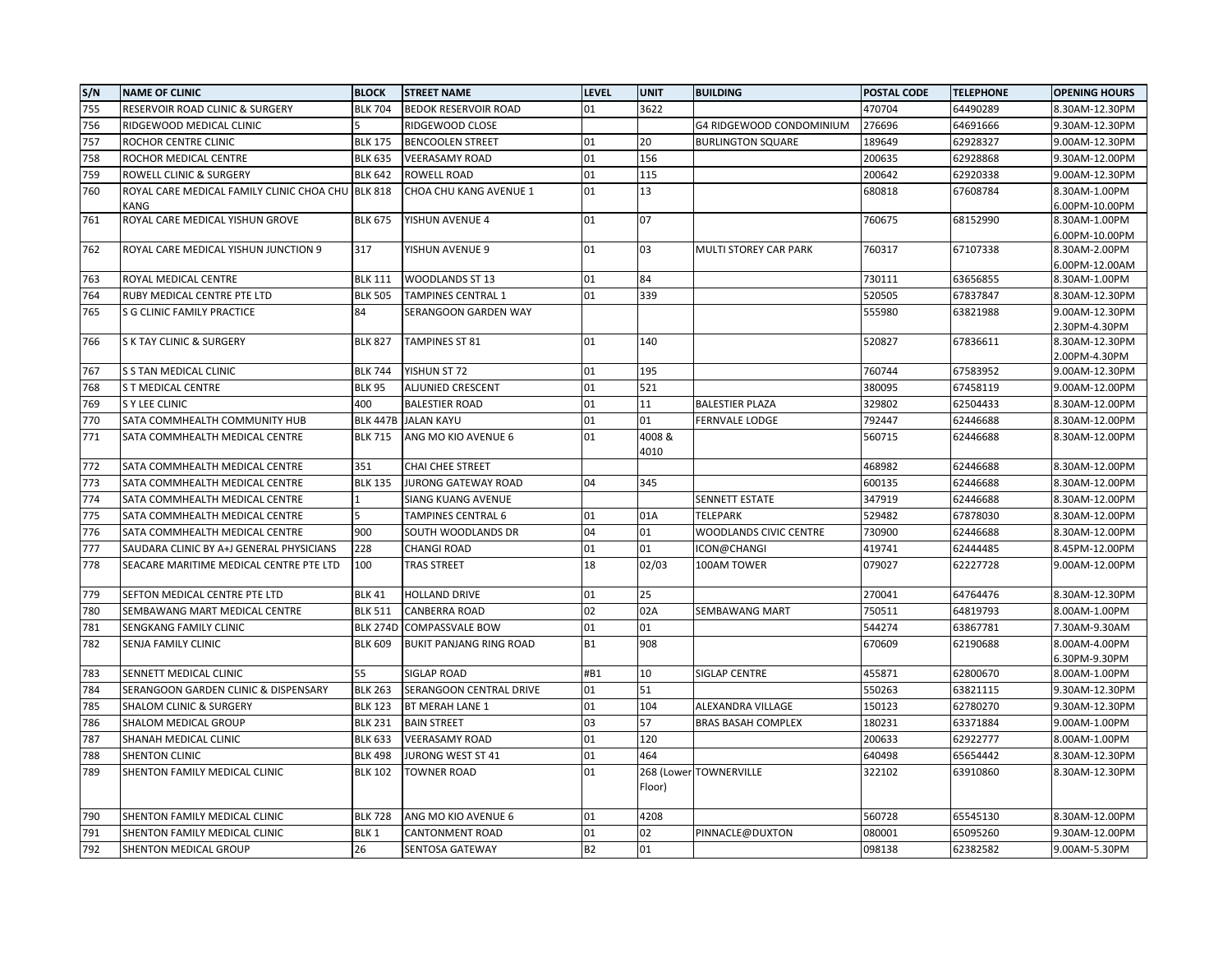| S/N | <b>NAME OF CLINIC</b>                     | <b>BLOCK</b>     | <b>STREET NAME</b>             | <b>LEVEL</b> | <b>UNIT</b> | <b>BUILDING</b>           | <b>POSTAL CODE</b> | <b>TELEPHONE</b> | <b>OPENING HOURS</b>            |
|-----|-------------------------------------------|------------------|--------------------------------|--------------|-------------|---------------------------|--------------------|------------------|---------------------------------|
| 755 | RESERVOIR ROAD CLINIC & SURGERY           | <b>BLK 704</b>   | <b>BEDOK RESERVOIR ROAD</b>    | 01           | 3622        |                           | 470704             | 64490289         | 8.30AM-12.30PM                  |
| 756 | RIDGEWOOD MEDICAL CLINIC                  |                  | RIDGEWOOD CLOSE                |              |             | G4 RIDGEWOOD CONDOMINIUM  | 276696             | 64691666         | 9.30AM-12.30PM                  |
| 757 | ROCHOR CENTRE CLINIC                      | <b>BLK 175</b>   | <b>BENCOOLEN STREET</b>        | 01           | 20          | <b>BURLINGTON SQUARE</b>  | 189649             | 62928327         | 9.00AM-12.30PM                  |
| 758 | ROCHOR MEDICAL CENTRE                     | <b>BLK 635</b>   | <b>VEERASAMY ROAD</b>          | 01           | 156         |                           | 200635             | 62928868         | 9.30AM-12.00PM                  |
| 759 | ROWELL CLINIC & SURGERY                   | <b>BLK 642</b>   | ROWELL ROAD                    | 01           | 115         |                           | 200642             | 62920338         | 9.00AM-12.30PM                  |
| 760 | ROYAL CARE MEDICAL FAMILY CLINIC CHOA CHU | <b>BLK 818</b>   | CHOA CHU KANG AVENUE 1         | 01           | 13          |                           | 680818             | 67608784         | 8.30AM-1.00PM                   |
|     | KANG                                      |                  |                                |              |             |                           |                    |                  | 6.00PM-10.00PM                  |
| 761 | ROYAL CARE MEDICAL YISHUN GROVE           | <b>BLK 675</b>   | YISHUN AVENUE 4                | 01           | 07          |                           | 760675             | 68152990         | 8.30AM-1.00PM                   |
|     |                                           |                  |                                |              |             |                           |                    |                  | 6.00PM-10.00PM                  |
| 762 | ROYAL CARE MEDICAL YISHUN JUNCTION 9      | 317              | YISHUN AVENUE 9                | 01           | 03          | MULTI STOREY CAR PARK     | 760317             | 67107338         | 8.30AM-2.00PM                   |
| 763 | ROYAL MEDICAL CENTRE                      | <b>BLK 111</b>   | WOODLANDS ST 13                | 01           | 84          |                           | 730111             | 63656855         | 6.00PM-12.00AM<br>8.30AM-1.00PM |
| 764 | RUBY MEDICAL CENTRE PTE LTD               | <b>BLK 505</b>   | <b>TAMPINES CENTRAL 1</b>      | 01           | 339         |                           | 520505             | 67837847         | 8.30AM-12.30PM                  |
| 765 | S G CLINIC FAMILY PRACTICE                | 84               | SERANGOON GARDEN WAY           |              |             |                           | 555980             | 63821988         | 9.00AM-12.30PM                  |
|     |                                           |                  |                                |              |             |                           |                    |                  | 2.30PM-4.30PM                   |
| 766 | S K TAY CLINIC & SURGERY                  | <b>BLK 827</b>   | TAMPINES ST 81                 | 01           | 140         |                           | 520827             | 67836611         | 8.30AM-12.30PM                  |
|     |                                           |                  |                                |              |             |                           |                    |                  | 2.00PM-4.30PM                   |
| 767 | S S TAN MEDICAL CLINIC                    | <b>BLK 744</b>   | YISHUN ST 72                   | 01           | 195         |                           | 760744             | 67583952         | 9.00AM-12.30PM                  |
| 768 | <b>S T MEDICAL CENTRE</b>                 | <b>BLK 95</b>    | ALJUNIED CRESCENT              | 01           | 521         |                           | 380095             | 67458119         | 9.00AM-12.00PM                  |
| 769 | S Y LEE CLINIC                            | 400              | <b>BALESTIER ROAD</b>          | 01           | 11          | <b>BALESTIER PLAZA</b>    | 329802             | 62504433         | 8.30AM-12.00PM                  |
| 770 | SATA COMMHEALTH COMMUNITY HUB             | <b>BLK 447B</b>  | <b>JALAN KAYU</b>              | 01           | 01          | <b>FERNVALE LODGE</b>     | 792447             | 62446688         | 8.30AM-12.00PM                  |
| 771 | SATA COMMHEALTH MEDICAL CENTRE            | <b>BLK 715</b>   | ANG MO KIO AVENUE 6            | 01           | 4008&       |                           | 560715             | 62446688         | 8.30AM-12.00PM                  |
|     |                                           |                  |                                |              | 4010        |                           |                    |                  |                                 |
| 772 | SATA COMMHEALTH MEDICAL CENTRE            | 351              | CHAI CHEE STREET               |              |             |                           | 468982             | 62446688         | 8.30AM-12.00PM                  |
| 773 | SATA COMMHEALTH MEDICAL CENTRE            | <b>BLK 135</b>   | <b>JURONG GATEWAY ROAD</b>     | 04           | 345         |                           | 600135             | 62446688         | 8.30AM-12.00PM                  |
| 774 | SATA COMMHEALTH MEDICAL CENTRE            |                  | SIANG KUANG AVENUE             |              |             | SENNETT ESTATE            | 347919             | 62446688         | 8.30AM-12.00PM                  |
| 775 | SATA COMMHEALTH MEDICAL CENTRE            |                  | <b>TAMPINES CENTRAL 6</b>      | 01           | 01A         | <b>TELEPARK</b>           | 529482             | 67878030         | 8.30AM-12.00PM                  |
| 776 | SATA COMMHEALTH MEDICAL CENTRE            | 900              | SOUTH WOODLANDS DR             | 04           | 01          | WOODLANDS CIVIC CENTRE    | 730900             | 62446688         | 8.30AM-12.00PM                  |
| 777 | SAUDARA CLINIC BY A+J GENERAL PHYSICIANS  | 228              | <b>CHANGI ROAD</b>             | 01           | 01          | ICON@CHANGI               | 419741             | 62444485         | 8.45PM-12.00PM                  |
| 778 | SEACARE MARITIME MEDICAL CENTRE PTE LTD   | 100              | <b>TRAS STREET</b>             | 18           | 02/03       | 100AM TOWER               | 079027             | 62227728         | 9.00AM-12.00PM                  |
| 779 | SEFTON MEDICAL CENTRE PTE LTD             | <b>BLK 41</b>    | <b>HOLLAND DRIVE</b>           | 01           | 25          |                           | 270041             | 64764476         | 8.30AM-12.30PM                  |
| 780 | SEMBAWANG MART MEDICAL CENTRE             | <b>BLK 511</b>   | <b>CANBERRA ROAD</b>           | 02           | 02A         | <b>SEMBAWANG MART</b>     | 750511             | 64819793         | 8.00AM-1.00PM                   |
| 781 | SENGKANG FAMILY CLINIC                    | <b>BLK 274D</b>  | COMPASSVALE BOW                | 01           | 01          |                           | 544274             | 63867781         | 7.30AM-9.30AM                   |
| 782 | SENJA FAMILY CLINIC                       | <b>BLK 609</b>   | <b>BUKIT PANJANG RING ROAD</b> | <b>B1</b>    | 908         |                           | 670609             | 62190688         | 8.00AM-4.00PM                   |
|     |                                           |                  |                                |              |             |                           |                    |                  | 6.30PM-9.30PM                   |
| 783 | SENNETT MEDICAL CLINIC                    | 55               | <b>SIGLAP ROAD</b>             | #B1          | 10          | SIGLAP CENTRE             | 455871             | 62800670         | 8.00AM-1.00PM                   |
| 784 | SERANGOON GARDEN CLINIC & DISPENSARY      | <b>BLK 263</b>   | SERANGOON CENTRAL DRIVE        | 01           | 51          |                           | 550263             | 63821115         | 9.30AM-12.30PM                  |
| 785 | <b>SHALOM CLINIC &amp; SURGERY</b>        | <b>BLK 123</b>   | BT MERAH LANE 1                | 01           | 104         | ALEXANDRA VILLAGE         | 150123             | 62780270         | 9.30AM-12.30PM                  |
| 786 | SHALOM MEDICAL GROUP                      | <b>BLK 231</b>   | <b>BAIN STREET</b>             | 03           | 57          | <b>BRAS BASAH COMPLEX</b> | 180231             | 63371884         | 9.00AM-1.00PM                   |
| 787 | SHANAH MEDICAL CLINIC                     | <b>BLK 633</b>   | <b>VEERASAMY ROAD</b>          | 01           | 120         |                           | 200633             | 62922777         | 8.00AM-1.00PM                   |
| 788 | <b>SHENTON CLINIC</b>                     | <b>BLK 498</b>   | JURONG WEST ST 41              | 01           | 464         |                           | 640498             | 65654442         | 8.30AM-12.30PM                  |
| 789 | SHENTON FAMILY MEDICAL CLINIC             | <b>BLK 102</b>   | <b>TOWNER ROAD</b>             | 01           | Floor)      | 268 (Lower TOWNERVILLE    | 322102             | 63910860         | 8.30AM-12.30PM                  |
|     |                                           |                  |                                |              |             |                           |                    |                  |                                 |
| 790 | SHENTON FAMILY MEDICAL CLINIC             | <b>BLK 728</b>   | ANG MO KIO AVENUE 6            | 01           | 4208        |                           | 560728             | 65545130         | 8.30AM-12.00PM                  |
| 791 | SHENTON FAMILY MEDICAL CLINIC             | BLK <sub>1</sub> | <b>CANTONMENT ROAD</b>         | 01           | 02          | PINNACLE@DUXTON           | 080001             | 65095260         | 9.30AM-12.00PM                  |
| 792 | SHENTON MEDICAL GROUP                     | 26               | SENTOSA GATEWAY                | <b>B2</b>    | 01          |                           | 098138             | 62382582         | 9.00AM-5.30PM                   |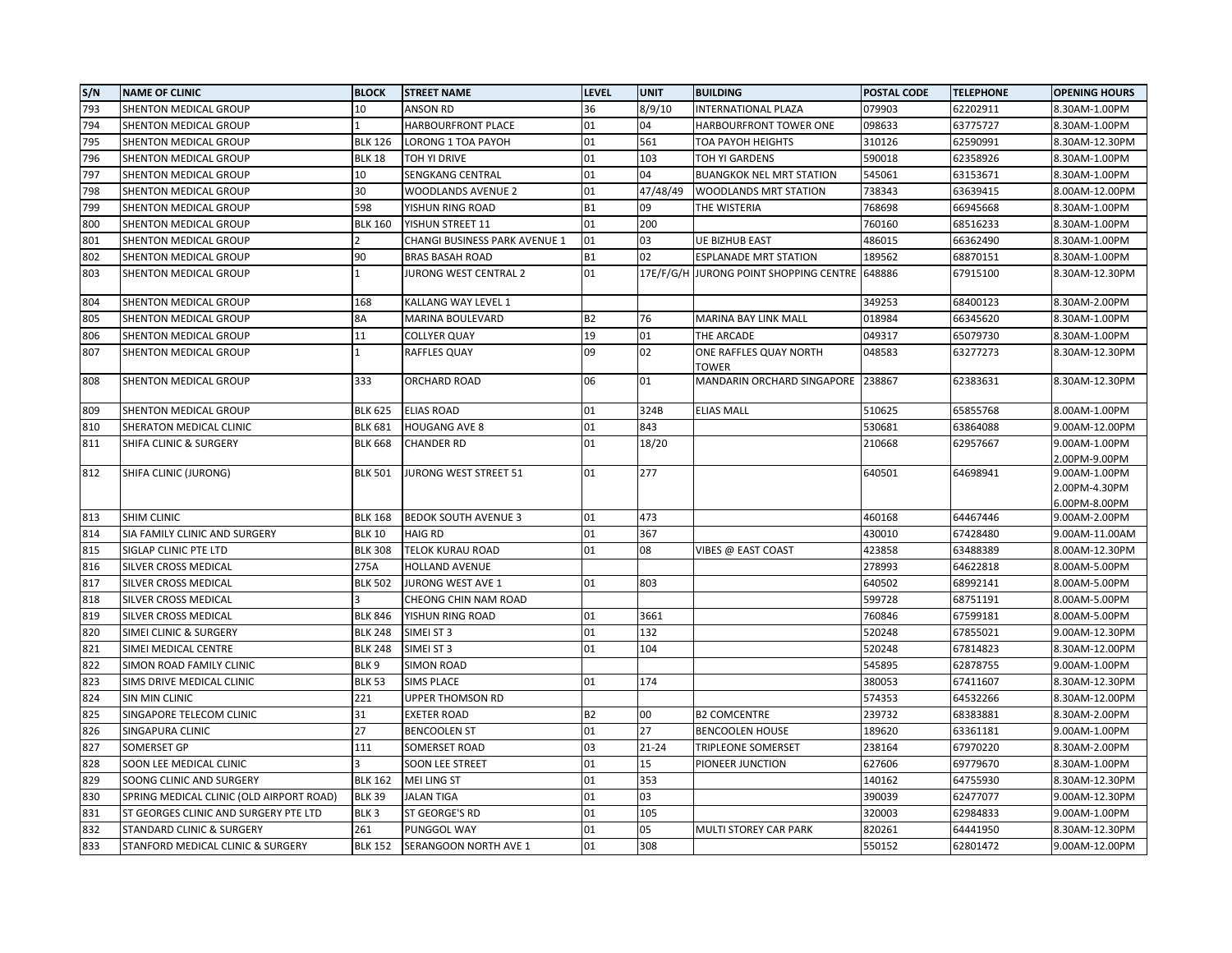| S/N | <b>NAME OF CLINIC</b>                    | <b>BLOCK</b>     | <b>STREET NAME</b>            | <b>LEVEL</b> | <b>UNIT</b> | <b>BUILDING</b>                               | POSTAL CODE | <b>TELEPHONE</b> | <b>OPENING HOURS</b>                            |
|-----|------------------------------------------|------------------|-------------------------------|--------------|-------------|-----------------------------------------------|-------------|------------------|-------------------------------------------------|
| 793 | SHENTON MEDICAL GROUP                    | 10               | <b>ANSON RD</b>               | 36           | 8/9/10      | <b>INTERNATIONAL PLAZA</b>                    | 079903      | 62202911         | 8.30AM-1.00PM                                   |
| 794 | SHENTON MEDICAL GROUP                    |                  | HARBOURFRONT PLACE            | 01           | 04          | HARBOURFRONT TOWER ONE                        | 098633      | 63775727         | 8.30AM-1.00PM                                   |
| 795 | SHENTON MEDICAL GROUP                    | <b>BLK 126</b>   | LORONG 1 TOA PAYOH            | 01           | 561         | TOA PAYOH HEIGHTS                             | 310126      | 62590991         | 8.30AM-12.30PM                                  |
| 796 | SHENTON MEDICAL GROUP                    | <b>BLK 18</b>    | TOH YI DRIVE                  | 01           | 103         | TOH YI GARDENS                                | 590018      | 62358926         | 8.30AM-1.00PM                                   |
| 797 | SHENTON MEDICAL GROUP                    | 10               | SENGKANG CENTRAL              | 01           | 04          | <b>BUANGKOK NEL MRT STATION</b>               | 545061      | 63153671         | 8.30AM-1.00PM                                   |
| 798 | SHENTON MEDICAL GROUP                    | 30               | <b>WOODLANDS AVENUE 2</b>     | 01           | 47/48/49    | WOODLANDS MRT STATION                         | 738343      | 63639415         | 8.00AM-12.00PM                                  |
| 799 | SHENTON MEDICAL GROUP                    | 598              | YISHUN RING ROAD              | <b>B1</b>    | 09          | THE WISTERIA                                  | 768698      | 66945668         | 8.30AM-1.00PM                                   |
| 800 | SHENTON MEDICAL GROUP                    | <b>BLK 160</b>   | YISHUN STREET 11              | 01           | 200         |                                               | 760160      | 68516233         | 8.30AM-1.00PM                                   |
| 801 | SHENTON MEDICAL GROUP                    |                  | CHANGI BUSINESS PARK AVENUE 1 | 01           | 03          | UE BIZHUB EAST                                | 486015      | 66362490         | 8.30AM-1.00PM                                   |
| 802 | SHENTON MEDICAL GROUP                    | 90               | <b>BRAS BASAH ROAD</b>        | <b>B1</b>    | 02          | <b>ESPLANADE MRT STATION</b>                  | 189562      | 68870151         | 8.30AM-1.00PM                                   |
| 803 | SHENTON MEDICAL GROUP                    | $\mathbf{1}$     | <b>JURONG WEST CENTRAL 2</b>  | 01           |             | 17E/F/G/H JURONG POINT SHOPPING CENTRE 648886 |             | 67915100         | 8.30AM-12.30PM                                  |
| 804 | SHENTON MEDICAL GROUP                    | 168              | KALLANG WAY LEVEL 1           |              |             |                                               | 349253      | 68400123         | 8.30AM-2.00PM                                   |
| 805 | SHENTON MEDICAL GROUP                    | 8A               | MARINA BOULEVARD              | <b>B2</b>    | 76          | MARINA BAY LINK MALL                          | 018984      | 66345620         | 8.30AM-1.00PM                                   |
| 806 | SHENTON MEDICAL GROUP                    | 11               | <b>COLLYER QUAY</b>           | 19           | 01          | THE ARCADE                                    | 049317      | 65079730         | 8.30AM-1.00PM                                   |
| 807 | SHENTON MEDICAL GROUP                    |                  | RAFFLES QUAY                  | 09           | 02          | ONE RAFFLES QUAY NORTH<br>TOWER               | 048583      | 63277273         | 8.30AM-12.30PM                                  |
| 808 | SHENTON MEDICAL GROUP                    | 333              | ORCHARD ROAD                  | 06           | 01          | MANDARIN ORCHARD SINGAPORE                    | 238867      | 62383631         | 8.30AM-12.30PM                                  |
| 809 | SHENTON MEDICAL GROUP                    | <b>BLK 625</b>   | <b>ELIAS ROAD</b>             | 01           | 324B        | <b>ELIAS MALL</b>                             | 510625      | 65855768         | 8.00AM-1.00PM                                   |
| 810 | SHERATON MEDICAL CLINIC                  | <b>BLK 681</b>   | <b>HOUGANG AVE 8</b>          | 01           | 843         |                                               | 530681      | 63864088         | 9.00AM-12.00PM                                  |
| 811 | SHIFA CLINIC & SURGERY                   | <b>BLK 668</b>   | <b>CHANDER RD</b>             | 01           | 18/20       |                                               | 210668      | 62957667         | 9.00AM-1.00PM<br>2.00PM-9.00PM                  |
| 812 | SHIFA CLINIC (JURONG)                    | <b>BLK 501</b>   | JURONG WEST STREET 51         | 01           | 277         |                                               | 640501      | 64698941         | 9.00AM-1.00PM<br>2.00PM-4.30PM<br>6.00PM-8.00PM |
| 813 | <b>SHIM CLINIC</b>                       | <b>BLK 168</b>   | <b>BEDOK SOUTH AVENUE 3</b>   | 01           | 473         |                                               | 460168      | 64467446         | 9.00AM-2.00PM                                   |
| 814 | SIA FAMILY CLINIC AND SURGERY            | <b>BLK 10</b>    | <b>HAIG RD</b>                | 01           | 367         |                                               | 430010      | 67428480         | 9.00AM-11.00AM                                  |
| 815 | SIGLAP CLINIC PTE LTD                    | <b>BLK 308</b>   | TELOK KURAU ROAD              | 01           | 08          | VIBES @ EAST COAST                            | 423858      | 63488389         | 8.00AM-12.30PM                                  |
| 816 | SILVER CROSS MEDICAL                     | 275A             | <b>HOLLAND AVENUE</b>         |              |             |                                               | 278993      | 64622818         | 8.00AM-5.00PM                                   |
| 817 | SILVER CROSS MEDICAL                     | <b>BLK 502</b>   | JURONG WEST AVE 1             | 01           | 803         |                                               | 640502      | 68992141         | 8.00AM-5.00PM                                   |
| 818 | SILVER CROSS MEDICAL                     |                  | CHEONG CHIN NAM ROAD          |              |             |                                               | 599728      | 68751191         | 8.00AM-5.00PM                                   |
| 819 | SILVER CROSS MEDICAL                     | <b>BLK 846</b>   | YISHUN RING ROAD              | 01           | 3661        |                                               | 760846      | 67599181         | 8.00AM-5.00PM                                   |
| 820 | SIMEI CLINIC & SURGERY                   | <b>BLK 248</b>   | SIMEI ST 3                    | 01           | 132         |                                               | 520248      | 67855021         | 9.00AM-12.30PM                                  |
| 821 | SIMEI MEDICAL CENTRE                     | <b>BLK 248</b>   | SIMEI ST 3                    | 01           | 104         |                                               | 520248      | 67814823         | 8.30AM-12.00PM                                  |
| 822 | SIMON ROAD FAMILY CLINIC                 | BLK 9            | <b>SIMON ROAD</b>             |              |             |                                               | 545895      | 62878755         | 9.00AM-1.00PM                                   |
| 823 | SIMS DRIVE MEDICAL CLINIC                | <b>BLK 53</b>    | <b>SIMS PLACE</b>             | 01           | 174         |                                               | 380053      | 67411607         | 8.30AM-12.30PM                                  |
| 824 | <b>SIN MIN CLINIC</b>                    | 221              | <b>UPPER THOMSON RD</b>       |              |             |                                               | 574353      | 64532266         | 8.30AM-12.00PM                                  |
| 825 | SINGAPORE TELECOM CLINIC                 | 31               | <b>EXETER ROAD</b>            | <b>B2</b>    | 00          | <b>B2 COMCENTRE</b>                           | 239732      | 68383881         | 8.30AM-2.00PM                                   |
| 826 | SINGAPURA CLINIC                         | 27               | <b>BENCOOLEN ST</b>           | 01           | 27          | <b>BENCOOLEN HOUSE</b>                        | 189620      | 63361181         | 9.00AM-1.00PM                                   |
| 827 | SOMERSET GP                              | 111              | SOMERSET ROAD                 | 03           | $21 - 24$   | <b>TRIPLEONE SOMERSET</b>                     | 238164      | 67970220         | 8.30AM-2.00PM                                   |
| 828 | SOON LEE MEDICAL CLINIC                  |                  | SOON LEE STREET               | 01           | 15          | PIONEER JUNCTION                              | 627606      | 69779670         | 8.30AM-1.00PM                                   |
| 829 | SOONG CLINIC AND SURGERY                 | <b>BLK 162</b>   | <b>MEI LING ST</b>            | 01           | 353         |                                               | 140162      | 64755930         | 8.30AM-12.30PM                                  |
| 830 | SPRING MEDICAL CLINIC (OLD AIRPORT ROAD) | <b>BLK 39</b>    | <b>JALAN TIGA</b>             | 01           | 03          |                                               | 390039      | 62477077         | 9.00AM-12.30PM                                  |
| 831 | ST GEORGES CLINIC AND SURGERY PTE LTD    | BLK <sub>3</sub> | ST GEORGE'S RD                | 01           | 105         |                                               | 320003      | 62984833         | 9.00AM-1.00PM                                   |
| 832 | <b>STANDARD CLINIC &amp; SURGERY</b>     | 261              | PUNGGOL WAY                   | 01           | 05          | MULTI STOREY CAR PARK                         | 820261      | 64441950         | 8.30AM-12.30PM                                  |
| 833 | STANFORD MEDICAL CLINIC & SURGERY        | <b>BLK 152</b>   | SERANGOON NORTH AVE 1         | 01           | 308         |                                               | 550152      | 62801472         | 9.00AM-12.00PM                                  |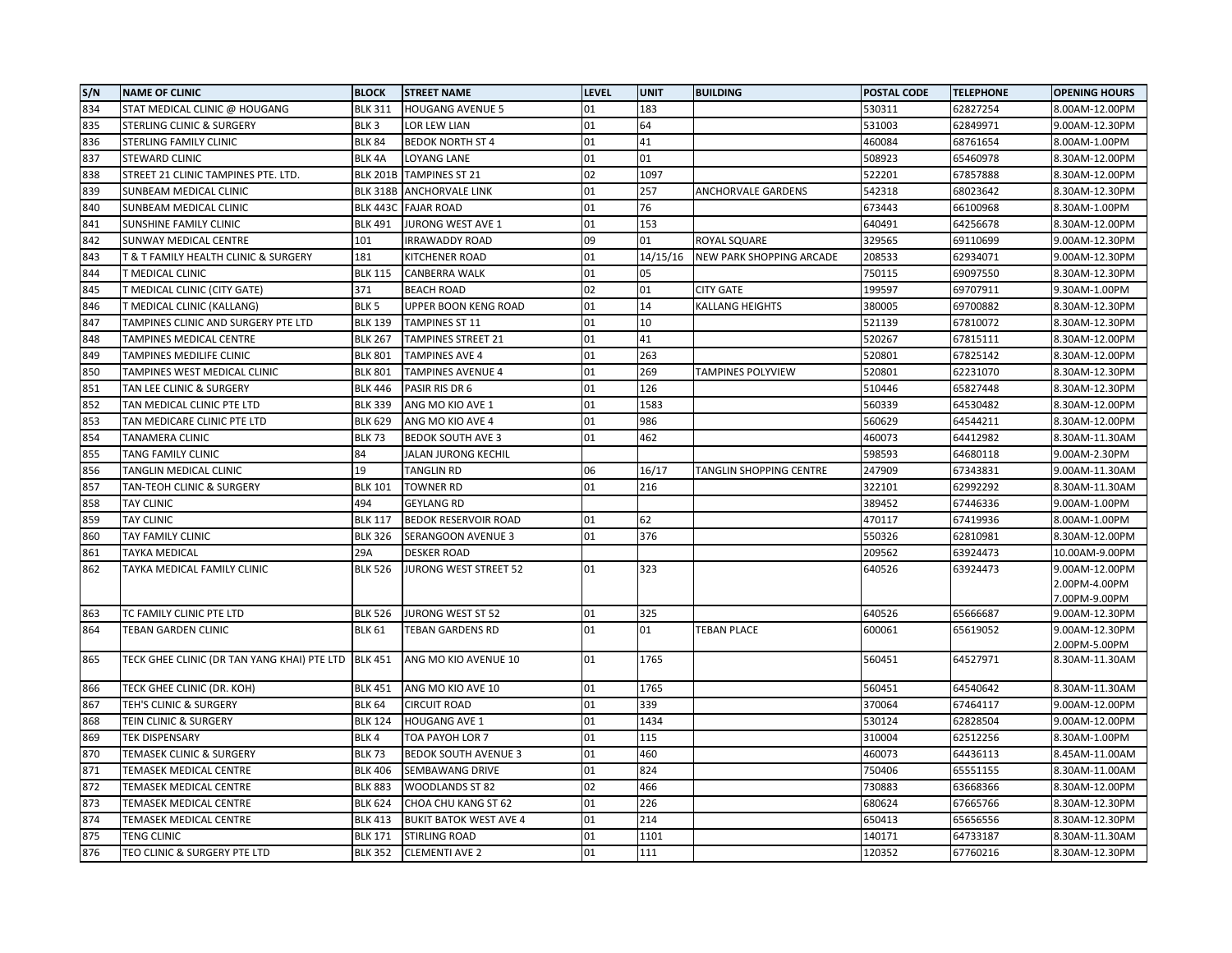| S/N | <b>NAME OF CLINIC</b>                       | <b>BLOCK</b>     | <b>STREET NAME</b>            | <b>LEVEL</b> | <b>UNIT</b> | <b>BUILDING</b>           | POSTAL CODE | <b>TELEPHONE</b> | <b>OPENING HOURS</b>            |
|-----|---------------------------------------------|------------------|-------------------------------|--------------|-------------|---------------------------|-------------|------------------|---------------------------------|
| 834 | STAT MEDICAL CLINIC @ HOUGANG               | <b>BLK 311</b>   | <b>HOUGANG AVENUE 5</b>       | 01           | 183         |                           | 530311      | 62827254         | 8.00AM-12.00PM                  |
| 835 | STERLING CLINIC & SURGERY                   | BLK <sub>3</sub> | LOR LEW LIAN                  | 01           | 64          |                           | 531003      | 62849971         | 9.00AM-12.30PM                  |
| 836 | STERLING FAMILY CLINIC                      | <b>BLK 84</b>    | <b>BEDOK NORTH ST 4</b>       | 01           | 41          |                           | 460084      | 68761654         | 8.00AM-1.00PM                   |
| 837 | <b>STEWARD CLINIC</b>                       | BLK 4A           | LOYANG LANE                   | 01           | 01          |                           | 508923      | 65460978         | 8.30AM-12.00PM                  |
| 838 | STREET 21 CLINIC TAMPINES PTE. LTD.         | <b>BLK 201B</b>  | <b>TAMPINES ST 21</b>         | 02           | 1097        |                           | 522201      | 67857888         | 8.30AM-12.00PM                  |
| 839 | SUNBEAM MEDICAL CLINIC                      | <b>BLK 318B</b>  | <b>ANCHORVALE LINK</b>        | 01           | 257         | <b>ANCHORVALE GARDENS</b> | 542318      | 68023642         | 8.30AM-12.30PM                  |
| 840 | SUNBEAM MEDICAL CLINIC                      | <b>BLK 443C</b>  | <b>FAJAR ROAD</b>             | 01           | 76          |                           | 673443      | 66100968         | 8.30AM-1.00PM                   |
| 841 | SUNSHINE FAMILY CLINIC                      | <b>BLK 491</b>   | JURONG WEST AVE 1             | 01           | 153         |                           | 640491      | 64256678         | 8.30AM-12.00PM                  |
| 842 | SUNWAY MEDICAL CENTRE                       | 101              | <b>IRRAWADDY ROAD</b>         | 09           | 01          | ROYAL SQUARE              | 329565      | 69110699         | 9.00AM-12.30PM                  |
| 843 | T & T FAMILY HEALTH CLINIC & SURGERY        | 181              | KITCHENER ROAD                | 01           | 14/15/16    | NEW PARK SHOPPING ARCADE  | 208533      | 62934071         | 9.00AM-12.30PM                  |
| 844 | T MEDICAL CLINIC                            | <b>BLK 115</b>   | <b>CANBERRA WALK</b>          | 01           | 05          |                           | 750115      | 69097550         | 8.30AM-12.30PM                  |
| 845 | T MEDICAL CLINIC (CITY GATE)                | 371              | <b>BEACH ROAD</b>             | 02           | 01          | <b>CITY GATE</b>          | 199597      | 69707911         | 9.30AM-1.00PM                   |
| 846 | T MEDICAL CLINIC (KALLANG)                  | BLK <sub>5</sub> | UPPER BOON KENG ROAD          | 01           | 14          | <b>KALLANG HEIGHTS</b>    | 380005      | 69700882         | 8.30AM-12.30PM                  |
| 847 | TAMPINES CLINIC AND SURGERY PTE LTD         | <b>BLK 139</b>   | TAMPINES ST 11                | 01           | 10          |                           | 521139      | 67810072         | 8.30AM-12.30PM                  |
| 848 | TAMPINES MEDICAL CENTRE                     | <b>BLK 267</b>   | <b>TAMPINES STREET 21</b>     | 01           | 41          |                           | 520267      | 67815111         | 8.30AM-12.00PM                  |
| 849 | TAMPINES MEDILIFE CLINIC                    | <b>BLK 801</b>   | <b>TAMPINES AVE 4</b>         | 01           | 263         |                           | 520801      | 67825142         | 8.30AM-12.00PM                  |
| 850 | TAMPINES WEST MEDICAL CLINIC                | <b>BLK 801</b>   | <b>TAMPINES AVENUE 4</b>      | 01           | 269         | <b>TAMPINES POLYVIEW</b>  | 520801      | 62231070         | 8.30AM-12.30PM                  |
| 851 | TAN LEE CLINIC & SURGERY                    | <b>BLK 446</b>   | PASIR RIS DR 6                | 01           | 126         |                           | 510446      | 65827448         | 8.30AM-12.30PM                  |
| 852 | TAN MEDICAL CLINIC PTE LTD                  | <b>BLK 339</b>   | ANG MO KIO AVE 1              | 01           | 1583        |                           | 560339      | 64530482         | 8.30AM-12.00PM                  |
| 853 | TAN MEDICARE CLINIC PTE LTD                 | <b>BLK 629</b>   | ANG MO KIO AVE 4              | 01           | 986         |                           | 560629      | 64544211         | 8.30AM-12.00PM                  |
| 854 | TANAMERA CLINIC                             | <b>BLK 73</b>    | <b>BEDOK SOUTH AVE 3</b>      | 01           | 462         |                           | 460073      | 64412982         | 8.30AM-11.30AM                  |
| 855 | TANG FAMILY CLINIC                          | 84               | JALAN JURONG KECHIL           |              |             |                           | 598593      | 64680118         | 9.00AM-2.30PM                   |
| 856 | TANGLIN MEDICAL CLINIC                      | 19               | TANGLIN RD                    | 06           | 16/17       | TANGLIN SHOPPING CENTRE   | 247909      | 67343831         | 9.00AM-11.30AM                  |
| 857 | TAN-TEOH CLINIC & SURGERY                   | <b>BLK 101</b>   | <b>TOWNER RD</b>              | 01           | 216         |                           | 322101      | 62992292         | 8.30AM-11.30AM                  |
| 858 | <b>TAY CLINIC</b>                           | 494              | <b>GEYLANG RD</b>             |              |             |                           | 389452      | 67446336         | 9.00AM-1.00PM                   |
| 859 | <b>TAY CLINIC</b>                           | <b>BLK 117</b>   | <b>BEDOK RESERVOIR ROAD</b>   | 01           | 62          |                           | 470117      | 67419936         | 8.00AM-1.00PM                   |
| 860 | TAY FAMILY CLINIC                           | <b>BLK 326</b>   | SERANGOON AVENUE 3            | 01           | 376         |                           | 550326      | 62810981         | 8.30AM-12.00PM                  |
| 861 | <b>TAYKA MEDICAL</b>                        | 29A              | <b>DESKER ROAD</b>            |              |             |                           | 209562      | 63924473         | 10.00AM-9.00PM                  |
| 862 | TAYKA MEDICAL FAMILY CLINIC                 | <b>BLK 526</b>   | JURONG WEST STREET 52         | 01           | 323         |                           | 640526      | 63924473         | 9.00AM-12.00PM                  |
|     |                                             |                  |                               |              |             |                           |             |                  | 2.00PM-4.00PM                   |
|     |                                             |                  |                               |              |             |                           |             |                  | 7.00PM-9.00PM                   |
| 863 | TC FAMILY CLINIC PTE LTD                    | <b>BLK 526</b>   | JURONG WEST ST 52             | 01           | 325         |                           | 640526      | 65666687         | 9.00AM-12.30PM                  |
| 864 | TEBAN GARDEN CLINIC                         | <b>BLK 61</b>    | <b>TEBAN GARDENS RD</b>       | 01           | 01          | <b>TEBAN PLACE</b>        | 600061      | 65619052         | 9.00AM-12.30PM                  |
| 865 | TECK GHEE CLINIC (DR TAN YANG KHAI) PTE LTD | <b>BLK 451</b>   | ANG MO KIO AVENUE 10          | 01           | 1765        |                           | 560451      | 64527971         | 2.00PM-5.00PM<br>8.30AM-11.30AM |
|     |                                             |                  |                               |              |             |                           |             |                  |                                 |
| 866 | TECK GHEE CLINIC (DR. KOH)                  | <b>BLK 451</b>   | ANG MO KIO AVE 10             | 01           | 1765        |                           | 560451      | 64540642         | 8.30AM-11.30AM                  |
| 867 | TEH'S CLINIC & SURGERY                      | <b>BLK 64</b>    | <b>CIRCUIT ROAD</b>           | 01           | 339         |                           | 370064      | 67464117         | 9.00AM-12.00PM                  |
| 868 | TEIN CLINIC & SURGERY                       | <b>BLK 124</b>   | HOUGANG AVE 1                 | 01           | 1434        |                           | 530124      | 62828504         | 9.00AM-12.00PM                  |
| 869 | TEK DISPENSARY                              | BLK 4            | TOA PAYOH LOR 7               | 01           | 115         |                           | 310004      | 62512256         | 8.30AM-1.00PM                   |
| 870 | TEMASEK CLINIC & SURGERY                    | <b>BLK 73</b>    | <b>BEDOK SOUTH AVENUE 3</b>   | 01           | 460         |                           | 460073      | 64436113         | 8.45AM-11.00AM                  |
| 871 | TEMASEK MEDICAL CENTRE                      | <b>BLK 406</b>   | SEMBAWANG DRIVE               | 01           | 824         |                           | 750406      | 65551155         | 8.30AM-11.00AM                  |
| 872 | TEMASEK MEDICAL CENTRE                      | <b>BLK 883</b>   | WOODLANDS ST 82               | 02           | 466         |                           | 730883      | 63668366         | 8.30AM-12.00PM                  |
| 873 | TEMASEK MEDICAL CENTRE                      | <b>BLK 624</b>   | CHOA CHU KANG ST 62           | 01           | 226         |                           | 680624      | 67665766         | 8.30AM-12.30PM                  |
| 874 | TEMASEK MEDICAL CENTRE                      | <b>BLK 413</b>   | <b>BUKIT BATOK WEST AVE 4</b> | 01           | 214         |                           | 650413      | 65656556         | 8.30AM-12.30PM                  |
| 875 | TENG CLINIC                                 | <b>BLK 171</b>   | STIRLING ROAD                 | 01           | 1101        |                           | 140171      | 64733187         | 8.30AM-11.30AM                  |
| 876 | TEO CLINIC & SURGERY PTE LTD                | <b>BLK 352</b>   | <b>CLEMENTI AVE 2</b>         | 01           | 111         |                           | 120352      | 67760216         | 8.30AM-12.30PM                  |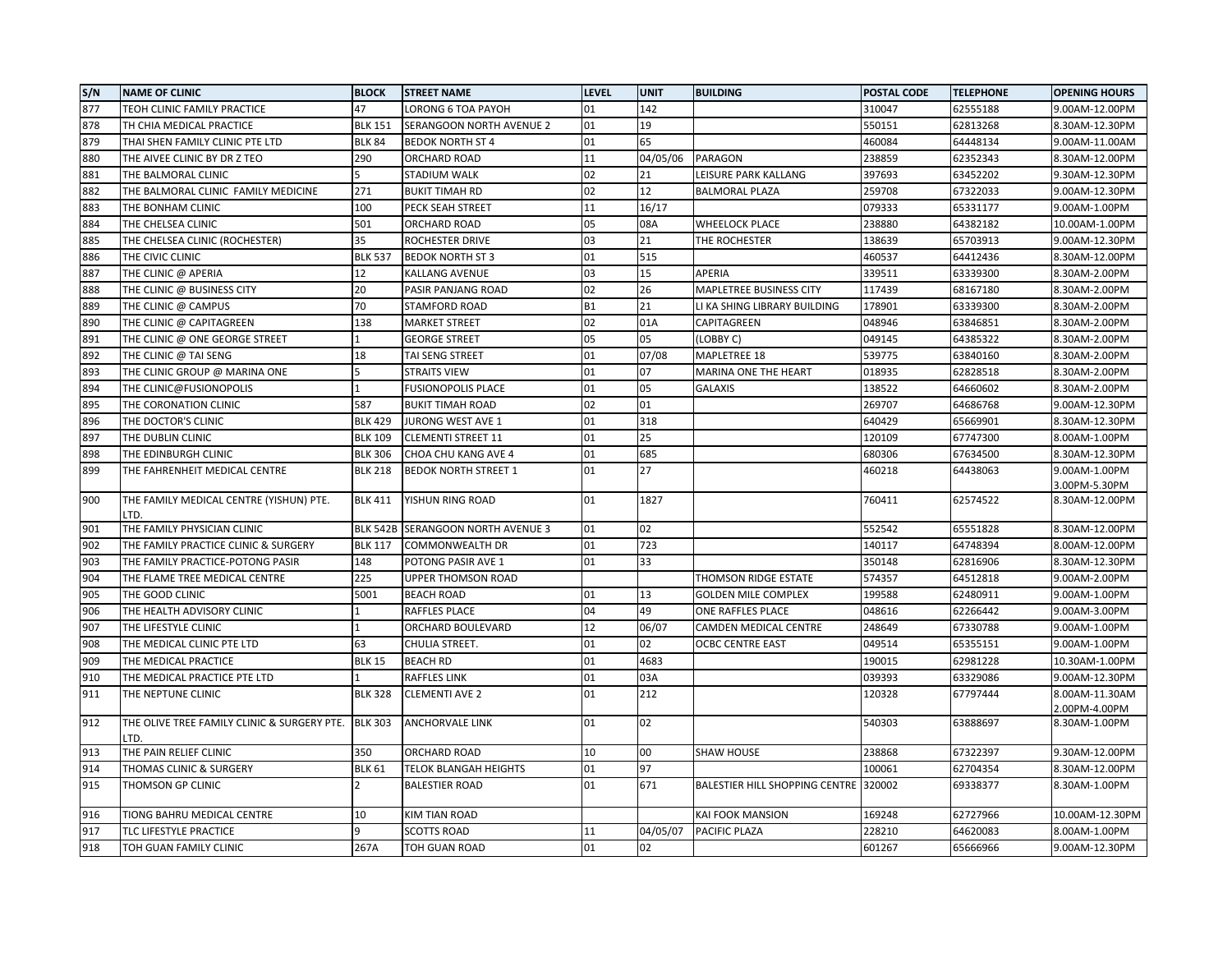| S/N | <b>NAME OF CLINIC</b>                               | <b>BLOCK</b>    | <b>STREET NAME</b>          | <b>LEVEL</b> | <b>UNIT</b> | <b>BUILDING</b>                       | <b>POSTAL CODE</b> | <b>TELEPHONE</b> | <b>OPENING HOURS</b> |
|-----|-----------------------------------------------------|-----------------|-----------------------------|--------------|-------------|---------------------------------------|--------------------|------------------|----------------------|
| 877 | TEOH CLINIC FAMILY PRACTICE                         | 47              | LORONG 6 TOA PAYOH          | 01           | 142         |                                       | 310047             | 62555188         | 9.00AM-12.00PM       |
| 878 | TH CHIA MEDICAL PRACTICE                            | <b>BLK 151</b>  | SERANGOON NORTH AVENUE 2    | 01           | 19          |                                       | 550151             | 62813268         | 8.30AM-12.30PM       |
| 879 | THAI SHEN FAMILY CLINIC PTE LTD                     | <b>BLK 84</b>   | <b>BEDOK NORTH ST 4</b>     | 01           | 65          |                                       | 460084             | 64448134         | 9.00AM-11.00AM       |
| 880 | THE AIVEE CLINIC BY DR Z TEO                        | 290             | ORCHARD ROAD                | 11           | 04/05/06    | <b>PARAGON</b>                        | 238859             | 62352343         | 8.30AM-12.00PM       |
| 881 | THE BALMORAL CLINIC                                 |                 | STADIUM WALK                | 02           | 21          | LEISURE PARK KALLANG                  | 397693             | 63452202         | 9.30AM-12.30PM       |
| 882 | THE BALMORAL CLINIC FAMILY MEDICINE                 | 271             | <b>BUKIT TIMAH RD</b>       | 02           | 12          | <b>BALMORAL PLAZA</b>                 | 259708             | 67322033         | 9.00AM-12.30PM       |
| 883 | THE BONHAM CLINIC                                   | 100             | PECK SEAH STREET            | 11           | 16/17       |                                       | 079333             | 65331177         | 9.00AM-1.00PM        |
| 884 | THE CHELSEA CLINIC                                  | 501             | ORCHARD ROAD                | 05           | 08A         | <b>WHEELOCK PLACE</b>                 | 238880             | 64382182         | 10.00AM-1.00PM       |
| 885 | THE CHELSEA CLINIC (ROCHESTER)                      | 35              | <b>ROCHESTER DRIVE</b>      | 03           | 21          | THE ROCHESTER                         | 138639             | 65703913         | 9.00AM-12.30PM       |
| 886 | THE CIVIC CLINIC                                    | <b>BLK 537</b>  | <b>BEDOK NORTH ST 3</b>     | 01           | 515         |                                       | 460537             | 64412436         | 8.30AM-12.00PM       |
| 887 | THE CLINIC @ APERIA                                 | 12              | KALLANG AVENUE              | 03           | 15          | APERIA                                | 339511             | 63339300         | 8.30AM-2.00PM        |
| 888 | THE CLINIC @ BUSINESS CITY                          | 20              | PASIR PANJANG ROAD          | 02           | 26          | MAPLETREE BUSINESS CITY               | 117439             | 68167180         | 8.30AM-2.00PM        |
| 889 | THE CLINIC @ CAMPUS                                 | 70              | STAMFORD ROAD               | <b>B1</b>    | 21          | LI KA SHING LIBRARY BUILDING          | 178901             | 63339300         | 8.30AM-2.00PM        |
| 890 | THE CLINIC @ CAPITAGREEN                            | 138             | <b>MARKET STREET</b>        | 02           | 01A         | CAPITAGREEN                           | 048946             | 63846851         | 8.30AM-2.00PM        |
| 891 | THE CLINIC @ ONE GEORGE STREET                      |                 | <b>GEORGE STREET</b>        | 05           | 05          | (LOBBY C)                             | 049145             | 64385322         | 8.30AM-2.00PM        |
| 892 | THE CLINIC @ TAI SENG                               | 18              | TAI SENG STREET             | 01           | 07/08       | MAPLETREE 18                          | 539775             | 63840160         | 8.30AM-2.00PM        |
| 893 | THE CLINIC GROUP @ MARINA ONE                       |                 | <b>STRAITS VIEW</b>         | 01           | 07          | MARINA ONE THE HEART                  | 018935             | 62828518         | 8.30AM-2.00PM        |
| 894 | THE CLINIC@FUSIONOPOLIS                             |                 | <b>FUSIONOPOLIS PLACE</b>   | 01           | 05          | <b>GALAXIS</b>                        | 138522             | 64660602         | 8.30AM-2.00PM        |
| 895 | THE CORONATION CLINIC                               | 587             | <b>BUKIT TIMAH ROAD</b>     | 02           | 01          |                                       | 269707             | 64686768         | 9.00AM-12.30PM       |
| 896 | THE DOCTOR'S CLINIC                                 | <b>BLK 429</b>  | JURONG WEST AVE 1           | 01           | 318         |                                       | 640429             | 65669901         | 8.30AM-12.30PM       |
| 897 | THE DUBLIN CLINIC                                   | <b>BLK 109</b>  | <b>CLEMENTI STREET 11</b>   | 01           | 25          |                                       | 120109             | 67747300         | 8.00AM-1.00PM        |
| 898 | THE EDINBURGH CLINIC                                | <b>BLK 306</b>  | CHOA CHU KANG AVE 4         | 01           | 685         |                                       | 680306             | 67634500         | 8.30AM-12.30PM       |
| 899 | THE FAHRENHEIT MEDICAL CENTRE                       | <b>BLK 218</b>  | <b>BEDOK NORTH STREET 1</b> | 01           | 27          |                                       | 460218             | 64438063         | 9.00AM-1.00PM        |
|     |                                                     |                 |                             |              |             |                                       |                    |                  | 3.00PM-5.30PM        |
| 900 | THE FAMILY MEDICAL CENTRE (YISHUN) PTE.             | <b>BLK 411</b>  | YISHUN RING ROAD            | 01           | 1827        |                                       | 760411             | 62574522         | 8.30AM-12.00PM       |
|     | LTD.                                                |                 |                             |              |             |                                       |                    |                  |                      |
| 901 | THE FAMILY PHYSICIAN CLINIC                         | <b>BLK 542B</b> | SERANGOON NORTH AVENUE 3    | 01           | 02          |                                       | 552542             | 65551828         | 8.30AM-12.00PM       |
| 902 | THE FAMILY PRACTICE CLINIC & SURGERY                | <b>BLK 117</b>  | <b>COMMONWEALTH DR</b>      | 01           | 723         |                                       | 140117             | 64748394         | 8.00AM-12.00PM       |
| 903 | THE FAMILY PRACTICE-POTONG PASIR                    | 148             | POTONG PASIR AVE 1          | 01           | 33          |                                       | 350148             | 62816906         | 8.30AM-12.30PM       |
| 904 | THE FLAME TREE MEDICAL CENTRE                       | 225             | <b>UPPER THOMSON ROAD</b>   |              |             | THOMSON RIDGE ESTATE                  | 574357             | 64512818         | 9.00AM-2.00PM        |
| 905 | THE GOOD CLINIC                                     | 5001            | <b>BEACH ROAD</b>           | 01           | 13          | <b>GOLDEN MILE COMPLEX</b>            | 199588             | 62480911         | 9.00AM-1.00PM        |
| 906 | THE HEALTH ADVISORY CLINIC                          |                 | <b>RAFFLES PLACE</b>        | 04           | 49          | ONE RAFFLES PLACE                     | 048616             | 62266442         | 9.00AM-3.00PM        |
| 907 | THE LIFESTYLE CLINIC                                |                 | ORCHARD BOULEVARD           | 12           | 06/07       | CAMDEN MEDICAL CENTRE                 | 248649             | 67330788         | 9.00AM-1.00PM        |
| 908 | THE MEDICAL CLINIC PTE LTD                          | 63              | CHULIA STREET.              | 01           | 02          | <b>OCBC CENTRE EAST</b>               | 049514             | 65355151         | 9.00AM-1.00PM        |
| 909 | THE MEDICAL PRACTICE                                | <b>BLK 15</b>   | <b>BEACH RD</b>             | 01           | 4683        |                                       | 190015             | 62981228         | 10.30AM-1.00PM       |
| 910 | THE MEDICAL PRACTICE PTE LTD                        |                 | <b>RAFFLES LINK</b>         | 01           | 03A         |                                       | 039393             | 63329086         | 9.00AM-12.30PM       |
| 911 | THE NEPTUNE CLINIC                                  | <b>BLK 328</b>  | <b>CLEMENTI AVE 2</b>       | 01           | 212         |                                       | 120328             | 67797444         | 8.00AM-11.30AM       |
| 912 |                                                     | <b>BLK 303</b>  | <b>ANCHORVALE LINK</b>      | 01           | 02          |                                       | 540303             | 63888697         | 2.00PM-4.00PM        |
|     | THE OLIVE TREE FAMILY CLINIC & SURGERY PTE.<br>LTD. |                 |                             |              |             |                                       |                    |                  | 8.30AM-1.00PM        |
| 913 | THE PAIN RELIEF CLINIC                              | 350             | ORCHARD ROAD                | 10           | 00          | <b>SHAW HOUSE</b>                     | 238868             | 67322397         | 9.30AM-12.00PM       |
| 914 | THOMAS CLINIC & SURGERY                             | <b>BLK 61</b>   | TELOK BLANGAH HEIGHTS       | 01           | 97          |                                       | 100061             | 62704354         | 8.30AM-12.00PM       |
| 915 | THOMSON GP CLINIC                                   |                 | <b>BALESTIER ROAD</b>       | 01           | 671         | BALESTIER HILL SHOPPING CENTRE 320002 |                    | 69338377         | 8.30AM-1.00PM        |
|     |                                                     |                 |                             |              |             |                                       |                    |                  |                      |
| 916 | TIONG BAHRU MEDICAL CENTRE                          | 10              | <b>KIM TIAN ROAD</b>        |              |             | <b>KAI FOOK MANSION</b>               | 169248             | 62727966         | 10.00AM-12.30PM      |
| 917 | TLC LIFESTYLE PRACTICE                              | q               | <b>SCOTTS ROAD</b>          | 11           | 04/05/07    | PACIFIC PLAZA                         | 228210             | 64620083         | 8.00AM-1.00PM        |
| 918 | TOH GUAN FAMILY CLINIC                              | 267A            | TOH GUAN ROAD               | 01           | 02          |                                       | 601267             | 65666966         | 9.00AM-12.30PM       |
|     |                                                     |                 |                             |              |             |                                       |                    |                  |                      |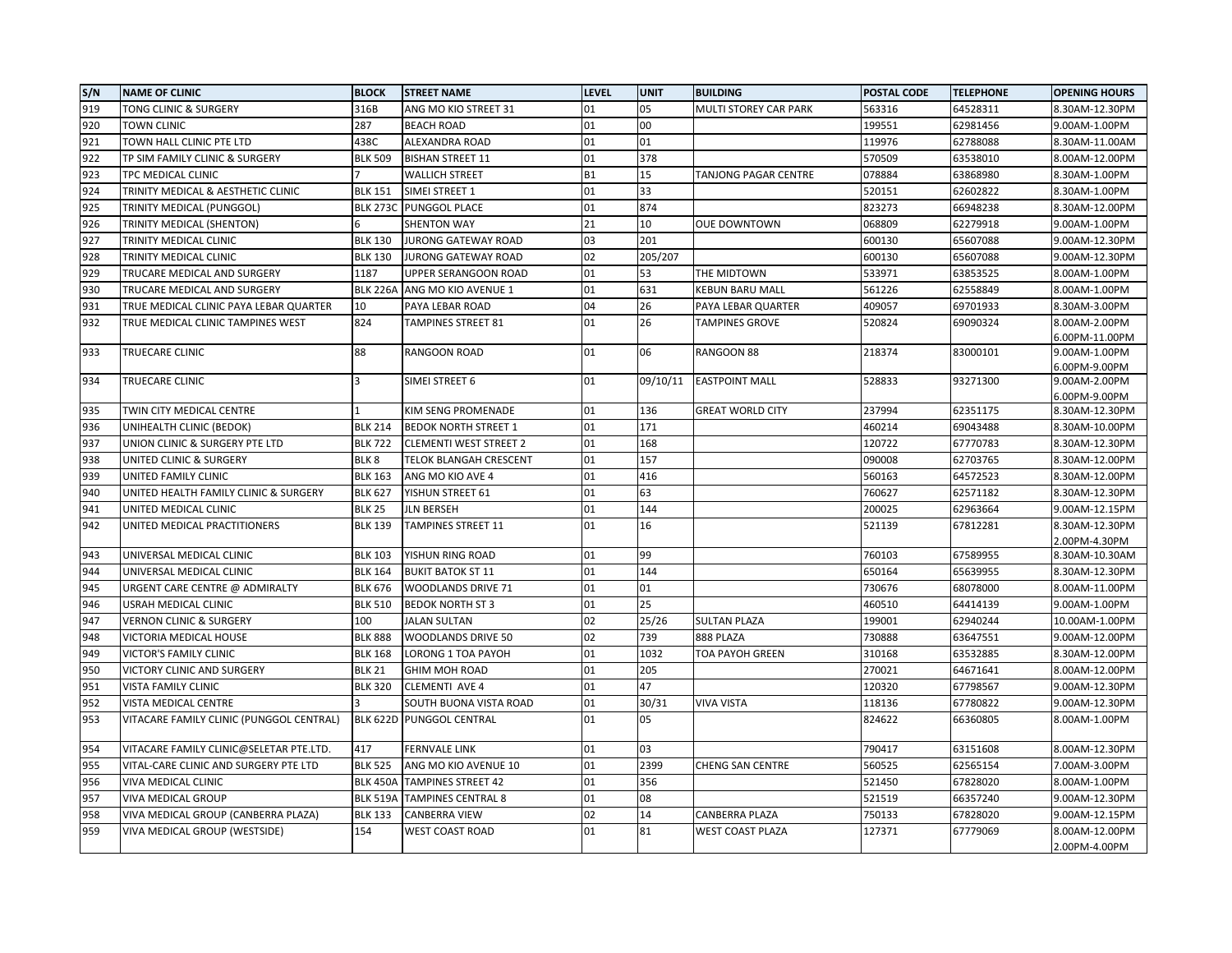| S/N | <b>NAME OF CLINIC</b>                    | <b>BLOCK</b>            | <b>STREET NAME</b>            | <b>LEVEL</b> | <b>UNIT</b> | <b>BUILDING</b>         | <b>POSTAL CODE</b> | <b>TELEPHONE</b> | <b>OPENING HOURS</b>             |
|-----|------------------------------------------|-------------------------|-------------------------------|--------------|-------------|-------------------------|--------------------|------------------|----------------------------------|
| 919 | TONG CLINIC & SURGERY                    | 316B                    | ANG MO KIO STREET 31          | 01           | 05          | MULTI STOREY CAR PARK   | 563316             | 64528311         | 8.30AM-12.30PM                   |
| 920 | TOWN CLINIC                              | 287                     | <b>BEACH ROAD</b>             | 01           | 00          |                         | 199551             | 62981456         | 9.00AM-1.00PM                    |
| 921 | TOWN HALL CLINIC PTE LTD                 | 438C                    | ALEXANDRA ROAD                | 01           | 01          |                         | 119976             | 62788088         | 8.30AM-11.00AM                   |
| 922 | TP SIM FAMILY CLINIC & SURGERY           | <b>BLK 509</b>          | <b>BISHAN STREET 11</b>       | 01           | 378         |                         | 570509             | 63538010         | 8.00AM-12.00PM                   |
| 923 | TPC MEDICAL CLINIC                       |                         | <b>WALLICH STREET</b>         | <b>B1</b>    | 15          | TANJONG PAGAR CENTRE    | 078884             | 63868980         | 8.30AM-1.00PM                    |
| 924 | TRINITY MEDICAL & AESTHETIC CLINIC       | <b>BLK 151</b>          | SIMEI STREET 1                | 01           | 33          |                         | 520151             | 62602822         | 8.30AM-1.00PM                    |
| 925 | TRINITY MEDICAL (PUNGGOL)                | <b>BLK 273C</b>         | <b>PUNGGOL PLACE</b>          | 01           | 874         |                         | 823273             | 66948238         | 8.30AM-12.00PM                   |
| 926 | TRINITY MEDICAL (SHENTON)                |                         | <b>SHENTON WAY</b>            | 21           | 10          | <b>OUE DOWNTOWN</b>     | 068809             | 62279918         | 9.00AM-1.00PM                    |
| 927 | TRINITY MEDICAL CLINIC                   | <b>BLK 130</b>          | JURONG GATEWAY ROAD           | 03           | 201         |                         | 600130             | 65607088         | 9.00AM-12.30PM                   |
| 928 | TRINITY MEDICAL CLINIC                   | <b>BLK 130</b>          | <b>JURONG GATEWAY ROAD</b>    | 02           | 205/207     |                         | 600130             | 65607088         | 9.00AM-12.30PM                   |
| 929 | TRUCARE MEDICAL AND SURGERY              | 1187                    | UPPER SERANGOON ROAD          | 01           | 53          | THE MIDTOWN             | 533971             | 63853525         | 8.00AM-1.00PM                    |
| 930 | TRUCARE MEDICAL AND SURGERY              | <b>BLK 226A</b>         | ANG MO KIO AVENUE 1           | 01           | 631         | <b>KEBUN BARU MALL</b>  | 561226             | 62558849         | 8.00AM-1.00PM                    |
| 931 | TRUE MEDICAL CLINIC PAYA LEBAR QUARTER   | 10                      | PAYA LEBAR ROAD               | 04           | 26          | PAYA LEBAR QUARTER      | 409057             | 69701933         | 8.30AM-3.00PM                    |
| 932 | TRUE MEDICAL CLINIC TAMPINES WEST        | 824                     | TAMPINES STREET 81            | 01           | 26          | <b>TAMPINES GROVE</b>   | 520824             | 69090324         | 8.00AM-2.00PM                    |
|     |                                          |                         |                               |              |             |                         |                    |                  | 6.00PM-11.00PM                   |
| 933 | TRUECARE CLINIC                          | 88                      | RANGOON ROAD                  | 01           | 06          | RANGOON 88              | 218374             | 83000101         | 9.00AM-1.00PM                    |
|     |                                          |                         |                               |              |             |                         |                    |                  | 6.00PM-9.00PM                    |
| 934 | TRUECARE CLINIC                          | $\overline{\mathbf{3}}$ | SIMEI STREET 6                | 01           | 09/10/11    | <b>EASTPOINT MALL</b>   | 528833             | 93271300         | 9.00AM-2.00PM                    |
| 935 | TWIN CITY MEDICAL CENTRE                 |                         | KIM SENG PROMENADE            | 01           | 136         | <b>GREAT WORLD CITY</b> | 237994             | 62351175         | 6.00PM-9.00PM<br>8.30AM-12.30PM  |
| 936 | UNIHEALTH CLINIC (BEDOK)                 | <b>BLK 214</b>          | <b>BEDOK NORTH STREET 1</b>   | 01           | 171         |                         | 460214             | 69043488         | 8.30AM-10.00PM                   |
| 937 | UNION CLINIC & SURGERY PTE LTD           | <b>BLK 722</b>          | <b>CLEMENTI WEST STREET 2</b> | 01           | 168         |                         | 120722             | 67770783         | 8.30AM-12.30PM                   |
| 938 | UNITED CLINIC & SURGERY                  | BLK <sub>8</sub>        | TELOK BLANGAH CRESCENT        | 01           | 157         |                         | 090008             | 62703765         | 8.30AM-12.00PM                   |
| 939 | UNITED FAMILY CLINIC                     | <b>BLK 163</b>          | ANG MO KIO AVE 4              | 01           | 416         |                         | 560163             | 64572523         | 8.30AM-12.00PM                   |
| 940 |                                          | <b>BLK 627</b>          |                               | 01           | 63          |                         |                    | 62571182         |                                  |
| 941 | UNITED HEALTH FAMILY CLINIC & SURGERY    | <b>BLK 25</b>           | YISHUN STREET 61              | 01           | 144         |                         | 760627<br>200025   | 62963664         | 8.30AM-12.30PM<br>9.00AM-12.15PM |
| 942 | UNITED MEDICAL CLINIC                    | <b>BLK 139</b>          | <b>JLN BERSEH</b>             | 01           | 16          |                         | 521139             | 67812281         | 8.30AM-12.30PM                   |
|     | UNITED MEDICAL PRACTITIONERS             |                         | TAMPINES STREET 11            |              |             |                         |                    |                  | 2.00PM-4.30PM                    |
| 943 | UNIVERSAL MEDICAL CLINIC                 | <b>BLK 103</b>          | YISHUN RING ROAD              | 01           | 99          |                         | 760103             | 67589955         | 8.30AM-10.30AM                   |
| 944 | UNIVERSAL MEDICAL CLINIC                 | <b>BLK 164</b>          | <b>BUKIT BATOK ST 11</b>      | 01           | 144         |                         | 650164             | 65639955         | 8.30AM-12.30PM                   |
| 945 | URGENT CARE CENTRE @ ADMIRALTY           | <b>BLK 676</b>          | WOODLANDS DRIVE 71            | 01           | 01          |                         | 730676             | 68078000         | 8.00AM-11.00PM                   |
| 946 | USRAH MEDICAL CLINIC                     | <b>BLK 510</b>          | <b>BEDOK NORTH ST 3</b>       | 01           | 25          |                         | 460510             | 64414139         | 9.00AM-1.00PM                    |
| 947 | VERNON CLINIC & SURGERY                  | 100                     | <b>JALAN SULTAN</b>           | 02           | 25/26       | <b>SULTAN PLAZA</b>     | 199001             | 62940244         | 10.00AM-1.00PM                   |
| 948 | VICTORIA MEDICAL HOUSE                   | <b>BLK 888</b>          | WOODLANDS DRIVE 50            | 02           | 739         | 888 PLAZA               | 730888             | 63647551         | 9.00AM-12.00PM                   |
| 949 | <b>VICTOR'S FAMILY CLINIC</b>            | <b>BLK 168</b>          | <b>LORONG 1 TOA PAYOH</b>     | 01           | 1032        | <b>TOA PAYOH GREEN</b>  | 310168             | 63532885         | 8.30AM-12.00PM                   |
| 950 | VICTORY CLINIC AND SURGERY               | <b>BLK 21</b>           | <b>GHIM MOH ROAD</b>          | 01           | 205         |                         | 270021             | 64671641         | 8.00AM-12.00PM                   |
| 951 | VISTA FAMILY CLINIC                      | <b>BLK 320</b>          | <b>CLEMENTI AVE 4</b>         | 01           | 47          |                         | 120320             | 67798567         | 9.00AM-12.30PM                   |
| 952 | VISTA MEDICAL CENTRE                     |                         | SOUTH BUONA VISTA ROAD        | 01           | 30/31       | <b>VIVA VISTA</b>       | 118136             | 67780822         | 9.00AM-12.30PM                   |
| 953 | VITACARE FAMILY CLINIC (PUNGGOL CENTRAL) | <b>BLK 622D</b>         | <b>PUNGGOL CENTRAL</b>        | 01           | 05          |                         | 824622             | 66360805         | 8.00AM-1.00PM                    |
|     |                                          |                         |                               |              |             |                         |                    |                  |                                  |
| 954 | VITACARE FAMILY CLINIC@SELETAR PTE.LTD.  | 417                     | <b>FERNVALE LINK</b>          | 01           | 03          |                         | 790417             | 63151608         | 8.00AM-12.30PM                   |
| 955 | VITAL-CARE CLINIC AND SURGERY PTE LTD    | <b>BLK 525</b>          | ANG MO KIO AVENUE 10          | 01           | 2399        | <b>CHENG SAN CENTRE</b> | 560525             | 62565154         | 7.00AM-3.00PM                    |
| 956 | VIVA MEDICAL CLINIC                      | <b>BLK 450A</b>         | <b>TAMPINES STREET 42</b>     | 01           | 356         |                         | 521450             | 67828020         | 8.00AM-1.00PM                    |
| 957 | <b>VIVA MEDICAL GROUP</b>                | <b>BLK 519A</b>         | <b>TAMPINES CENTRAL 8</b>     | 01           | 08          |                         | 521519             | 66357240         | 9.00AM-12.30PM                   |
| 958 | VIVA MEDICAL GROUP (CANBERRA PLAZA)      | <b>BLK 133</b>          | CANBERRA VIEW                 | 02           | 14          | CANBERRA PLAZA          | 750133             | 67828020         | 9.00AM-12.15PM                   |
| 959 | VIVA MEDICAL GROUP (WESTSIDE)            | 154                     | WEST COAST ROAD               | 01           | 81          | <b>WEST COAST PLAZA</b> | 127371             | 67779069         | 8.00AM-12.00PM                   |
|     |                                          |                         |                               |              |             |                         |                    |                  | 2.00PM-4.00PM                    |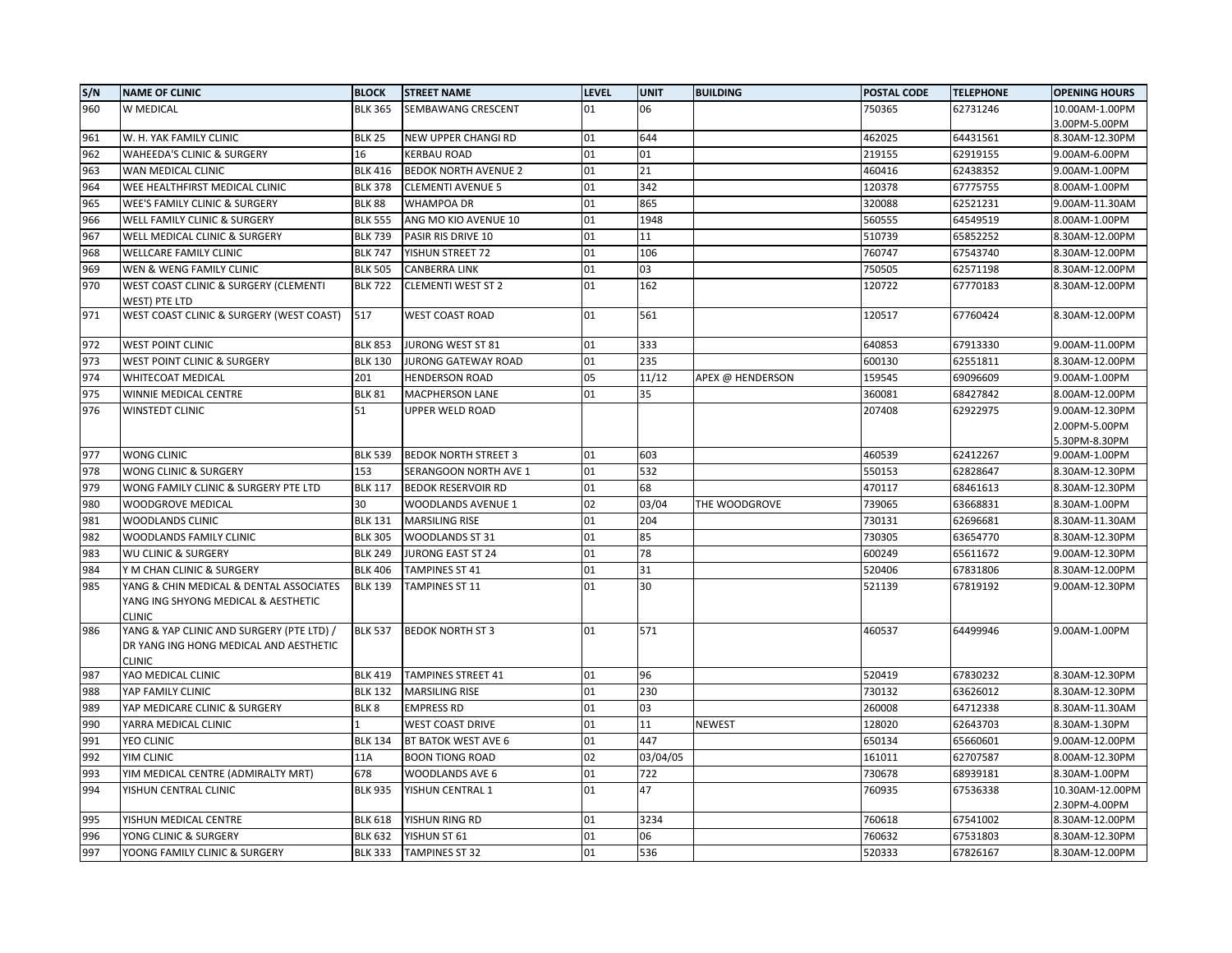| S/N        | <b>NAME OF CLINIC</b>                                                                                | <b>BLOCK</b>     | <b>STREET NAME</b>          | <b>LEVEL</b> | <b>UNIT</b> | <b>BUILDING</b>  | <b>POSTAL CODE</b> | <b>TELEPHONE</b> | <b>OPENING HOURS</b>                             |
|------------|------------------------------------------------------------------------------------------------------|------------------|-----------------------------|--------------|-------------|------------------|--------------------|------------------|--------------------------------------------------|
| 960        | W MEDICAL                                                                                            | <b>BLK 365</b>   | SEMBAWANG CRESCENT          | 01           | 06          |                  | 750365             | 62731246         | 10.00AM-1.00PM<br>3.00PM-5.00PM                  |
| 961        | W. H. YAK FAMILY CLINIC                                                                              | <b>BLK 25</b>    | NEW UPPER CHANGI RD         | 01           | 644         |                  | 462025             | 64431561         | 8.30AM-12.30PM                                   |
| 962        | <b>WAHEEDA'S CLINIC &amp; SURGERY</b>                                                                | 16               | KERBAU ROAD                 | 01           | 01          |                  | 219155             | 62919155         | 9.00AM-6.00PM                                    |
| 963        | WAN MEDICAL CLINIC                                                                                   | <b>BLK 416</b>   | <b>BEDOK NORTH AVENUE 2</b> | 01           | 21          |                  | 460416             | 62438352         | 9.00AM-1.00PM                                    |
| 964        | WEE HEALTHFIRST MEDICAL CLINIC                                                                       | <b>BLK 378</b>   | <b>CLEMENTI AVENUE 5</b>    | 01           | 342         |                  | 120378             | 67775755         | 8.00AM-1.00PM                                    |
| 965        | <b>WEE'S FAMILY CLINIC &amp; SURGERY</b>                                                             | <b>BLK 88</b>    | WHAMPOA DR                  | 01           | 865         |                  | 320088             | 62521231         | 9.00AM-11.30AM                                   |
| 966        | WELL FAMILY CLINIC & SURGERY                                                                         | <b>BLK 555</b>   | ANG MO KIO AVENUE 10        | 01           | 1948        |                  | 560555             | 64549519         | 8.00AM-1.00PM                                    |
| 967        | WELL MEDICAL CLINIC & SURGERY                                                                        | <b>BLK 739</b>   | PASIR RIS DRIVE 10          | 01           | 11          |                  | 510739             | 65852252         | 8.30AM-12.00PM                                   |
| 968        | <b>WELLCARE FAMILY CLINIC</b>                                                                        | <b>BLK 747</b>   | YISHUN STREET 72            | 01           | 106         |                  | 760747             | 67543740         | 8.30AM-12.00PM                                   |
| 969        | WEN & WENG FAMILY CLINIC                                                                             | <b>BLK 505</b>   | CANBERRA LINK               | 01           | 03          |                  | 750505             | 62571198         | 8.30AM-12.00PM                                   |
| 970        | WEST COAST CLINIC & SURGERY (CLEMENTI<br>WEST) PTE LTD                                               | <b>BLK 722</b>   | <b>CLEMENTI WEST ST 2</b>   | 01           | 162         |                  | 120722             | 67770183         | 8.30AM-12.00PM                                   |
| 971        | WEST COAST CLINIC & SURGERY (WEST COAST)                                                             | 517              | <b>WEST COAST ROAD</b>      | 01           | 561         |                  | 120517             | 67760424         | 8.30AM-12.00PM                                   |
| 972        | <b>WEST POINT CLINIC</b>                                                                             | <b>BLK 853</b>   | JURONG WEST ST 81           | 01           | 333         |                  | 640853             | 67913330         | 9.00AM-11.00PM                                   |
| 973        | WEST POINT CLINIC & SURGERY                                                                          | <b>BLK 130</b>   | JURONG GATEWAY ROAD         | 01           | 235         |                  | 600130             | 62551811         | 8.30AM-12.00PM                                   |
| 974        | WHITECOAT MEDICAL                                                                                    | 201              | <b>HENDERSON ROAD</b>       | 05           | 11/12       | APEX @ HENDERSON | 159545             | 69096609         | 9.00AM-1.00PM                                    |
| 975        | WINNIE MEDICAL CENTRE                                                                                | <b>BLK 81</b>    | MACPHERSON LANE             | 01           | 35          |                  | 360081             | 68427842         | 8.00AM-12.00PM                                   |
| 976        | <b>WINSTEDT CLINIC</b>                                                                               | 51               | UPPER WELD ROAD             |              |             |                  | 207408             | 62922975         | 9.00AM-12.30PM<br>2.00PM-5.00PM<br>5.30PM-8.30PM |
| 977        | WONG CLINIC                                                                                          | <b>BLK 539</b>   | <b>BEDOK NORTH STREET 3</b> | 01           | 603         |                  | 460539             | 62412267         | 9.00AM-1.00PM                                    |
| 978        | WONG CLINIC & SURGERY                                                                                | 153              | SERANGOON NORTH AVE 1       | 01           | 532         |                  | 550153             | 62828647         | 8.30AM-12.30PM                                   |
| 979        | WONG FAMILY CLINIC & SURGERY PTE LTD                                                                 | <b>BLK 117</b>   | <b>BEDOK RESERVOIR RD</b>   | 01           | 68          |                  | 470117             | 68461613         | 8.30AM-12.30PM                                   |
| 980        | WOODGROVE MEDICAL                                                                                    | 30               | WOODLANDS AVENUE 1          | 02           | 03/04       | THE WOODGROVE    | 739065             | 63668831         | 8.30AM-1.00PM                                    |
| 981        | WOODLANDS CLINIC                                                                                     | <b>BLK 131</b>   | <b>MARSILING RISE</b>       | 01           | 204         |                  | 730131             | 62696681         | 8.30AM-11.30AM                                   |
| 982        | WOODLANDS FAMILY CLINIC                                                                              | <b>BLK 305</b>   | WOODLANDS ST 31             | 01           | 85          |                  | 730305             | 63654770         | 8.30AM-12.30PM                                   |
| 983        | <b>WU CLINIC &amp; SURGERY</b>                                                                       | <b>BLK 249</b>   | JURONG EAST ST 24           | 01           | 78          |                  | 600249             | 65611672         | 9.00AM-12.30PM                                   |
| 984        | Y M CHAN CLINIC & SURGERY                                                                            | <b>BLK 406</b>   | <b>TAMPINES ST 41</b>       | 01           | 31          |                  | 520406             | 67831806         | 8.30AM-12.00PM                                   |
| 985        | YANG & CHIN MEDICAL & DENTAL ASSOCIATES<br>YANG ING SHYONG MEDICAL & AESTHETIC<br><b>CLINIC</b>      | <b>BLK 139</b>   | TAMPINES ST 11              | 01           | 30          |                  | 521139             | 67819192         | 9.00AM-12.30PM                                   |
| 986        | YANG & YAP CLINIC AND SURGERY (PTE LTD) /<br>DR YANG ING HONG MEDICAL AND AESTHETIC<br><b>CLINIC</b> | <b>BLK 537</b>   | <b>BEDOK NORTH ST 3</b>     | 01           | 571         |                  | 460537             | 64499946         | 9.00AM-1.00PM                                    |
| 987        | YAO MEDICAL CLINIC                                                                                   | <b>BLK 419</b>   | TAMPINES STREET 41          | 01           | 96          |                  | 520419             | 67830232         | 8.30AM-12.30PM                                   |
| 988        | YAP FAMILY CLINIC                                                                                    | <b>BLK 132</b>   | <b>MARSILING RISE</b>       | 01           | 230         |                  | 730132             | 63626012         | 8.30AM-12.30PM                                   |
| 989        | YAP MEDICARE CLINIC & SURGERY                                                                        | BLK <sub>8</sub> | <b>EMPRESS RD</b>           | 01           | 03          |                  | 260008             | 64712338         | 8.30AM-11.30AM                                   |
| 990        | YARRA MEDICAL CLINIC                                                                                 |                  | WEST COAST DRIVE            | 01           | 11          | <b>NEWEST</b>    | 128020             | 62643703         | 8.30AM-1.30PM                                    |
| 991        | YEO CLINIC                                                                                           | <b>BLK 134</b>   | BT BATOK WEST AVE 6         | 01           | 447         |                  | 650134             | 65660601         | 9.00AM-12.00PM                                   |
| 992        | YIM CLINIC                                                                                           | 11A              | <b>BOON TIONG ROAD</b>      | 02           | 03/04/05    |                  | 161011             | 62707587         | 8.00AM-12.30PM                                   |
| 993        | YIM MEDICAL CENTRE (ADMIRALTY MRT)                                                                   | 678              | WOODLANDS AVE 6             | 01           | 722         |                  | 730678             | 68939181         | 8.30AM-1.00PM                                    |
| 994        | YISHUN CENTRAL CLINIC                                                                                | <b>BLK 935</b>   | YISHUN CENTRAL 1            | 01           | 47          |                  | 760935             | 67536338         | 10.30AM-12.00PM                                  |
| 995        | YISHUN MEDICAL CENTRE                                                                                | <b>BLK 618</b>   | YISHUN RING RD              | 01           | 3234        |                  | 760618             | 67541002         | 2.30PM-4.00PM<br>8.30AM-12.00PM                  |
|            |                                                                                                      | <b>BLK 632</b>   | YISHUN ST 61                | 01           | 06          |                  | 760632             | 67531803         | 8.30AM-12.30PM                                   |
| 996<br>997 | YONG CLINIC & SURGERY<br>YOONG FAMILY CLINIC & SURGERY                                               | <b>BLK 333</b>   | <b>TAMPINES ST 32</b>       | 01           | 536         |                  | 520333             | 67826167         | 8.30AM-12.00PM                                   |
|            |                                                                                                      |                  |                             |              |             |                  |                    |                  |                                                  |